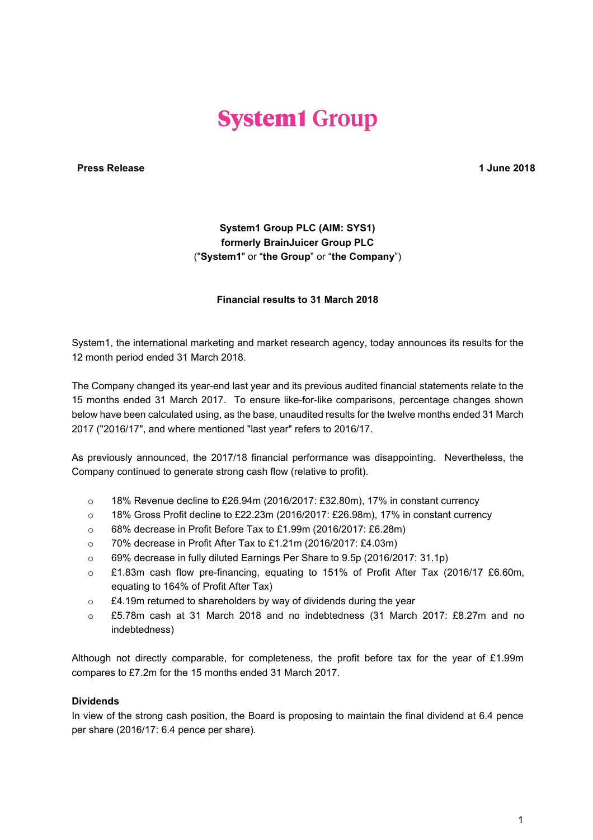# **System1 Group**

**Press Release 1 June 2018**

# **System1 Group PLC (AIM: SYS1) formerly BrainJuicer Group PLC** ("**System1**" or "**the Group**" or "**the Company**")

#### **Financial results to 31 March 2018**

System1, the international marketing and market research agency, today announces its results for the 12 month period ended 31 March 2018.

The Company changed its year-end last year and its previous audited financial statements relate to the 15 months ended 31 March 2017. To ensure like-for-like comparisons, percentage changes shown below have been calculated using, as the base, unaudited results for the twelve months ended 31 March 2017 ("2016/17", and where mentioned "last year" refers to 2016/17.

As previously announced, the 2017/18 financial performance was disappointing. Nevertheless, the Company continued to generate strong cash flow (relative to profit).

- o 18% Revenue decline to £26.94m (2016/2017: £32.80m), 17% in constant currency
- $\circ$  18% Gross Profit decline to £22.23m (2016/2017: £26.98m), 17% in constant currency
- o 68% decrease in Profit Before Tax to £1.99m (2016/2017: £6.28m)
- o 70% decrease in Profit After Tax to £1.21m (2016/2017: £4.03m)
- o 69% decrease in fully diluted Earnings Per Share to 9.5p (2016/2017: 31.1p)
- o £1.83m cash flow pre-financing, equating to 151% of Profit After Tax (2016/17 £6.60m, equating to 164% of Profit After Tax)
- o £4.19m returned to shareholders by way of dividends during the year
- o £5.78m cash at 31 March 2018 and no indebtedness (31 March 2017: £8.27m and no indebtedness)

Although not directly comparable, for completeness, the profit before tax for the year of £1.99m compares to £7.2m for the 15 months ended 31 March 2017.

#### **Dividends**

In view of the strong cash position, the Board is proposing to maintain the final dividend at 6.4 pence per share (2016/17: 6.4 pence per share).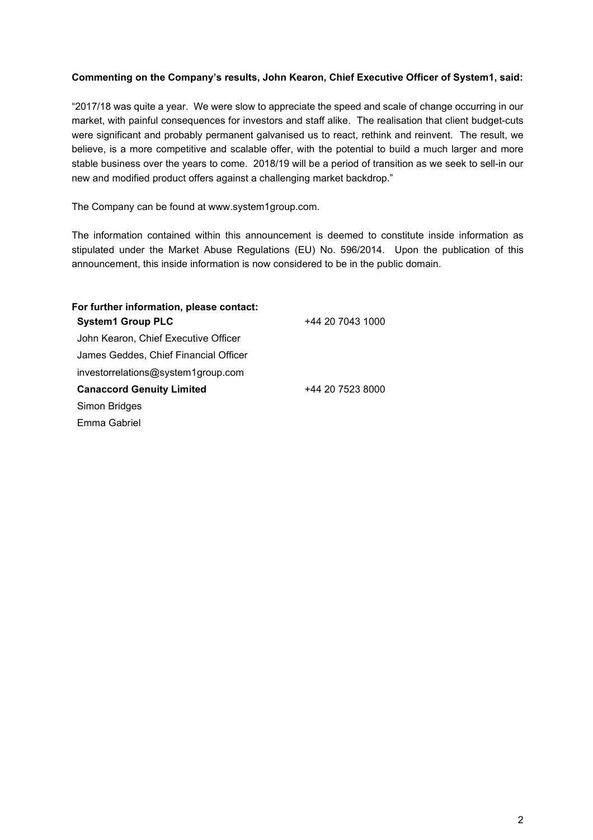# **Commenting on the Company's results, John Kearon, Chief Executive Officer of System1, said:**

"2017/18 was quite a year. We were slow to appreciate the speed and scale of change occurring in our market, with painful consequences for investors and staff alike. The realisation that client budget-cuts were significant and probably permanent galvanised us to react, rethink and reinvent. The result, we believe, is a more competitive and scalable offer, with the potential to build a much larger and more stable business over the years to come. 2018/19 will be a period of transition as we seek to sell-in our new and modified product offers against a challenging market backdrop."

The Company can be found at www.system1group.com.

The information contained within this announcement is deemed to constitute inside information as stipulated under the Market Abuse Regulations (EU) No. 596/2014. Upon the publication of this announcement, this inside information is now considered to be in the public domain.

| For further information, please contact:<br><b>System1 Group PLC</b> | +44 20 7043 1000 |
|----------------------------------------------------------------------|------------------|
| John Kearon, Chief Executive Officer                                 |                  |
| James Geddes, Chief Financial Officer                                |                  |
| investorrelations@system1group.com                                   |                  |
| <b>Canaccord Genuity Limited</b>                                     | +44 20 7523 8000 |
| Simon Bridges                                                        |                  |
| Emma Gabriel                                                         |                  |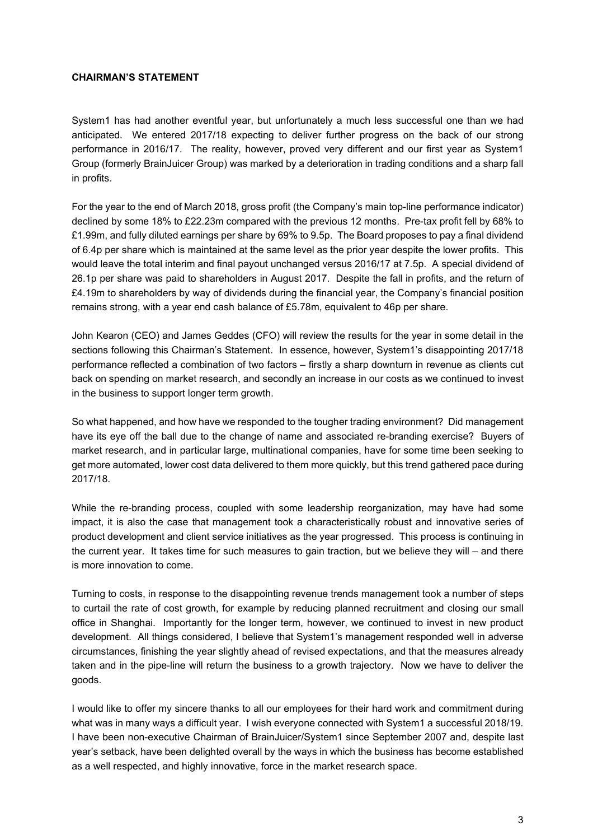# **CHAIRMAN'S STATEMENT**

System1 has had another eventful year, but unfortunately a much less successful one than we had anticipated. We entered 2017/18 expecting to deliver further progress on the back of our strong performance in 2016/17. The reality, however, proved very different and our first year as System1 Group (formerly BrainJuicer Group) was marked by a deterioration in trading conditions and a sharp fall in profits.

For the year to the end of March 2018, gross profit (the Company's main top-line performance indicator) declined by some 18% to £22.23m compared with the previous 12 months. Pre-tax profit fell by 68% to £1.99m, and fully diluted earnings per share by 69% to 9.5p. The Board proposes to pay a final dividend of 6.4p per share which is maintained at the same level as the prior year despite the lower profits. This would leave the total interim and final payout unchanged versus 2016/17 at 7.5p. A special dividend of 26.1p per share was paid to shareholders in August 2017. Despite the fall in profits, and the return of £4.19m to shareholders by way of dividends during the financial year, the Company's financial position remains strong, with a year end cash balance of £5.78m, equivalent to 46p per share.

John Kearon (CEO) and James Geddes (CFO) will review the results for the year in some detail in the sections following this Chairman's Statement. In essence, however, System1's disappointing 2017/18 performance reflected a combination of two factors – firstly a sharp downturn in revenue as clients cut back on spending on market research, and secondly an increase in our costs as we continued to invest in the business to support longer term growth.

So what happened, and how have we responded to the tougher trading environment? Did management have its eye off the ball due to the change of name and associated re-branding exercise? Buyers of market research, and in particular large, multinational companies, have for some time been seeking to get more automated, lower cost data delivered to them more quickly, but this trend gathered pace during 2017/18.

While the re-branding process, coupled with some leadership reorganization, may have had some impact, it is also the case that management took a characteristically robust and innovative series of product development and client service initiatives as the year progressed. This process is continuing in the current year. It takes time for such measures to gain traction, but we believe they will – and there is more innovation to come.

Turning to costs, in response to the disappointing revenue trends management took a number of steps to curtail the rate of cost growth, for example by reducing planned recruitment and closing our small office in Shanghai. Importantly for the longer term, however, we continued to invest in new product development. All things considered, I believe that System1's management responded well in adverse circumstances, finishing the year slightly ahead of revised expectations, and that the measures already taken and in the pipe-line will return the business to a growth trajectory. Now we have to deliver the goods.

I would like to offer my sincere thanks to all our employees for their hard work and commitment during what was in many ways a difficult year. I wish everyone connected with System1 a successful 2018/19. I have been non-executive Chairman of BrainJuicer/System1 since September 2007 and, despite last year's setback, have been delighted overall by the ways in which the business has become established as a well respected, and highly innovative, force in the market research space.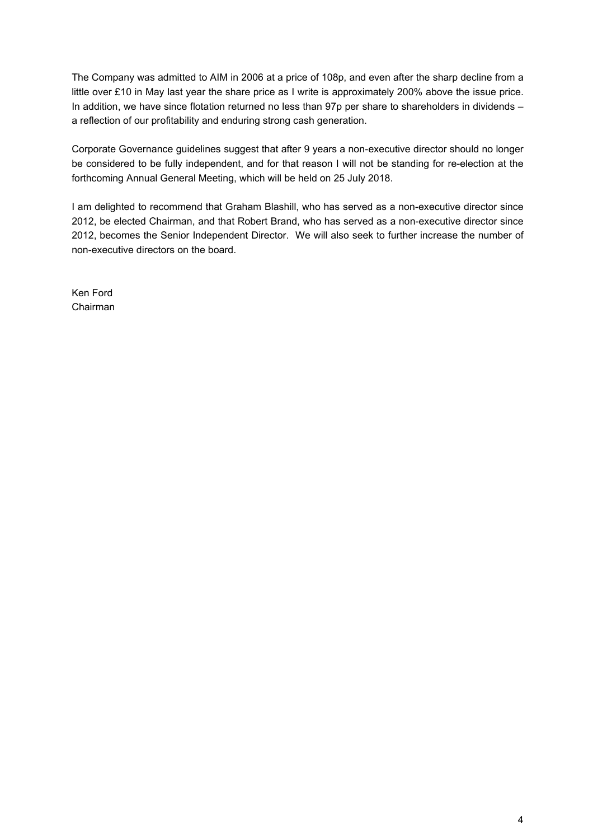The Company was admitted to AIM in 2006 at a price of 108p, and even after the sharp decline from a little over £10 in May last year the share price as I write is approximately 200% above the issue price. In addition, we have since flotation returned no less than 97p per share to shareholders in dividends – a reflection of our profitability and enduring strong cash generation.

Corporate Governance guidelines suggest that after 9 years a non-executive director should no longer be considered to be fully independent, and for that reason I will not be standing for re-election at the forthcoming Annual General Meeting, which will be held on 25 July 2018.

I am delighted to recommend that Graham Blashill, who has served as a non-executive director since 2012, be elected Chairman, and that Robert Brand, who has served as a non-executive director since 2012, becomes the Senior Independent Director. We will also seek to further increase the number of non-executive directors on the board.

Ken Ford Chairman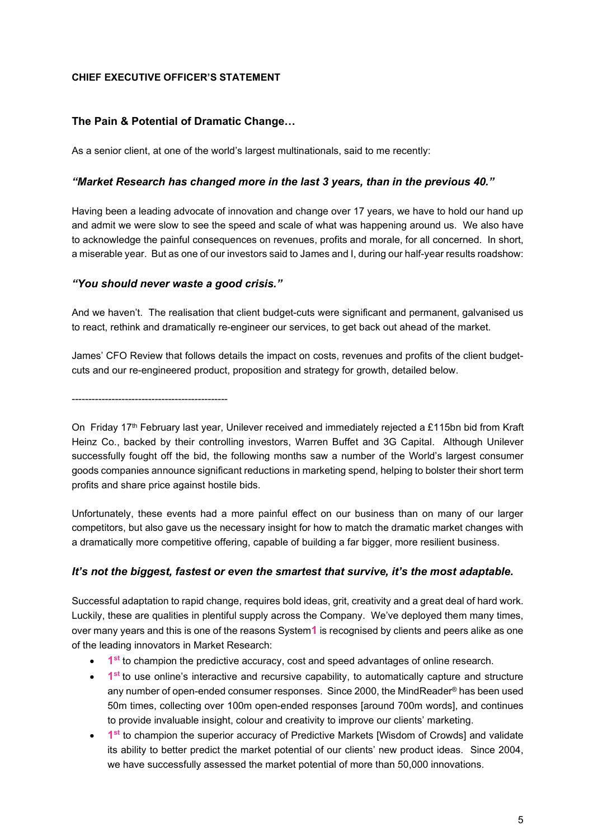# **CHIEF EXECUTIVE OFFICER'S STATEMENT**

# **The Pain & Potential of Dramatic Change…**

As a senior client, at one of the world's largest multinationals, said to me recently:

#### *"Market Research has changed more in the last 3 years, than in the previous 40."*

Having been a leading advocate of innovation and change over 17 years, we have to hold our hand up and admit we were slow to see the speed and scale of what was happening around us. We also have to acknowledge the painful consequences on revenues, profits and morale, for all concerned. In short, a miserable year. But as one of our investors said to James and I, during our half-year results roadshow:

#### *"You should never waste a good crisis."*

And we haven't. The realisation that client budget-cuts were significant and permanent, galvanised us to react, rethink and dramatically re-engineer our services, to get back out ahead of the market.

James' CFO Review that follows details the impact on costs, revenues and profits of the client budgetcuts and our re-engineered product, proposition and strategy for growth, detailed below.

-----------------------------------------------

On Friday 17<sup>th</sup> February last year, Unilever received and immediately rejected a £115bn bid from Kraft Heinz Co., backed by their controlling investors, Warren Buffet and 3G Capital. Although Unilever successfully fought off the bid, the following months saw a number of the World's largest consumer goods companies announce significant reductions in marketing spend, helping to bolster their short term profits and share price against hostile bids.

Unfortunately, these events had a more painful effect on our business than on many of our larger competitors, but also gave us the necessary insight for how to match the dramatic market changes with a dramatically more competitive offering, capable of building a far bigger, more resilient business.

#### *It's not the biggest, fastest or even the smartest that survive, it's the most adaptable.*

Successful adaptation to rapid change, requires bold ideas, grit, creativity and a great deal of hard work. Luckily, these are qualities in plentiful supply across the Company. We've deployed them many times, over many years and this is one of the reasons System**1** is recognised by clients and peers alike as one of the leading innovators in Market Research:

- **1<sup>st</sup>** to champion the predictive accuracy, cost and speed advantages of online research.
- 1<sup>st</sup> to use online's interactive and recursive capability, to automatically capture and structure any number of open-ended consumer responses. Since 2000, the MindReader® has been used 50m times, collecting over 100m open-ended responses [around 700m words], and continues to provide invaluable insight, colour and creativity to improve our clients' marketing.
- **1st** to champion the superior accuracy of Predictive Markets [Wisdom of Crowds] and validate its ability to better predict the market potential of our clients' new product ideas. Since 2004, we have successfully assessed the market potential of more than 50,000 innovations.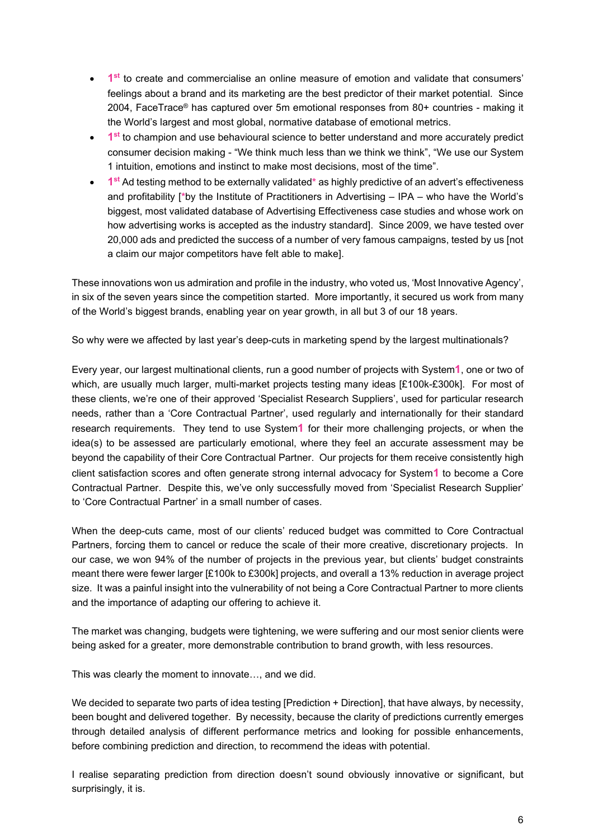- 1<sup>st</sup> to create and commercialise an online measure of emotion and validate that consumers' feelings about a brand and its marketing are the best predictor of their market potential. Since 2004, FaceTrace® has captured over 5m emotional responses from 80+ countries - making it the World's largest and most global, normative database of emotional metrics.
- **1<sup>st</sup>** to champion and use behavioural science to better understand and more accurately predict consumer decision making - "We think much less than we think we think", "We use our System 1 intuition, emotions and instinct to make most decisions, most of the time".
- **1st** Ad testing method to be externally validated**\*** as highly predictive of an advert's effectiveness and profitability [**\***by the Institute of Practitioners in Advertising – IPA – who have the World's biggest, most validated database of Advertising Effectiveness case studies and whose work on how advertising works is accepted as the industry standard]. Since 2009, we have tested over 20,000 ads and predicted the success of a number of very famous campaigns, tested by us [not a claim our major competitors have felt able to make].

These innovations won us admiration and profile in the industry, who voted us, 'Most Innovative Agency', in six of the seven years since the competition started. More importantly, it secured us work from many of the World's biggest brands, enabling year on year growth, in all but 3 of our 18 years.

So why were we affected by last year's deep-cuts in marketing spend by the largest multinationals?

Every year, our largest multinational clients, run a good number of projects with System**1**, one or two of which, are usually much larger, multi-market projects testing many ideas [£100k-£300k]. For most of these clients, we're one of their approved 'Specialist Research Suppliers', used for particular research needs, rather than a 'Core Contractual Partner', used regularly and internationally for their standard research requirements. They tend to use System**1** for their more challenging projects, or when the idea(s) to be assessed are particularly emotional, where they feel an accurate assessment may be beyond the capability of their Core Contractual Partner. Our projects for them receive consistently high client satisfaction scores and often generate strong internal advocacy for System**1** to become a Core Contractual Partner. Despite this, we've only successfully moved from 'Specialist Research Supplier' to 'Core Contractual Partner' in a small number of cases.

When the deep-cuts came, most of our clients' reduced budget was committed to Core Contractual Partners, forcing them to cancel or reduce the scale of their more creative, discretionary projects. In our case, we won 94% of the number of projects in the previous year, but clients' budget constraints meant there were fewer larger [£100k to £300k] projects, and overall a 13% reduction in average project size. It was a painful insight into the vulnerability of not being a Core Contractual Partner to more clients and the importance of adapting our offering to achieve it.

The market was changing, budgets were tightening, we were suffering and our most senior clients were being asked for a greater, more demonstrable contribution to brand growth, with less resources.

This was clearly the moment to innovate…, and we did.

We decided to separate two parts of idea testing [Prediction + Direction], that have always, by necessity, been bought and delivered together. By necessity, because the clarity of predictions currently emerges through detailed analysis of different performance metrics and looking for possible enhancements, before combining prediction and direction, to recommend the ideas with potential.

I realise separating prediction from direction doesn't sound obviously innovative or significant, but surprisingly, it is.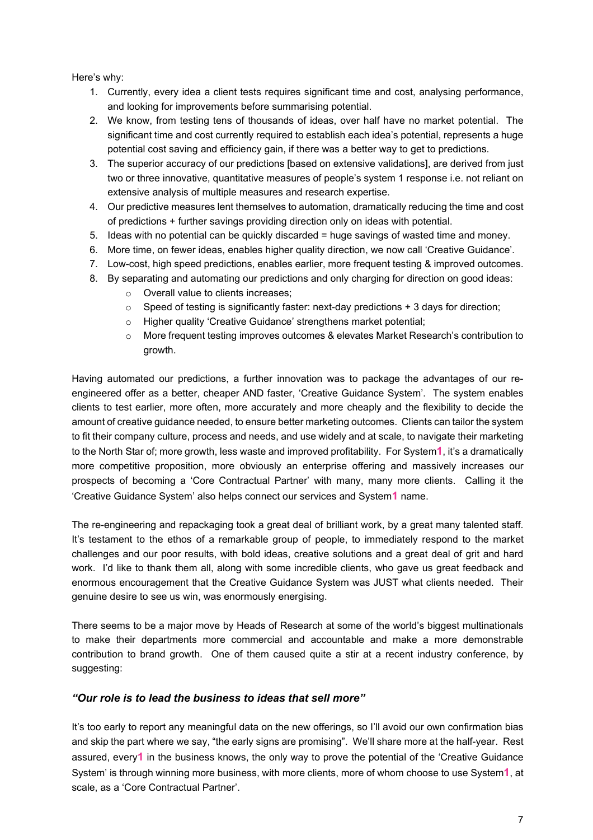Here's why:

- 1. Currently, every idea a client tests requires significant time and cost, analysing performance, and looking for improvements before summarising potential.
- 2. We know, from testing tens of thousands of ideas, over half have no market potential. The significant time and cost currently required to establish each idea's potential, represents a huge potential cost saving and efficiency gain, if there was a better way to get to predictions.
- 3. The superior accuracy of our predictions [based on extensive validations], are derived from just two or three innovative, quantitative measures of people's system 1 response i.e. not reliant on extensive analysis of multiple measures and research expertise.
- 4. Our predictive measures lent themselves to automation, dramatically reducing the time and cost of predictions + further savings providing direction only on ideas with potential.
- 5. Ideas with no potential can be quickly discarded = huge savings of wasted time and money.
- 6. More time, on fewer ideas, enables higher quality direction, we now call 'Creative Guidance'.
- 7. Low-cost, high speed predictions, enables earlier, more frequent testing & improved outcomes.
- 8. By separating and automating our predictions and only charging for direction on good ideas:
	- o Overall value to clients increases;
	- $\circ$  Speed of testing is significantly faster: next-day predictions  $+3$  days for direction;
	- o Higher quality 'Creative Guidance' strengthens market potential;
	- o More frequent testing improves outcomes & elevates Market Research's contribution to growth.

Having automated our predictions, a further innovation was to package the advantages of our reengineered offer as a better, cheaper AND faster, 'Creative Guidance System'. The system enables clients to test earlier, more often, more accurately and more cheaply and the flexibility to decide the amount of creative guidance needed, to ensure better marketing outcomes. Clients can tailor the system to fit their company culture, process and needs, and use widely and at scale, to navigate their marketing to the North Star of; more growth, less waste and improved profitability. For System**1**, it's a dramatically more competitive proposition, more obviously an enterprise offering and massively increases our prospects of becoming a 'Core Contractual Partner' with many, many more clients. Calling it the 'Creative Guidance System' also helps connect our services and System**1** name.

The re-engineering and repackaging took a great deal of brilliant work, by a great many talented staff. It's testament to the ethos of a remarkable group of people, to immediately respond to the market challenges and our poor results, with bold ideas, creative solutions and a great deal of grit and hard work. I'd like to thank them all, along with some incredible clients, who gave us great feedback and enormous encouragement that the Creative Guidance System was JUST what clients needed. Their genuine desire to see us win, was enormously energising.

There seems to be a major move by Heads of Research at some of the world's biggest multinationals to make their departments more commercial and accountable and make a more demonstrable contribution to brand growth. One of them caused quite a stir at a recent industry conference, by suggesting:

#### *"Our role is to lead the business to ideas that sell more"*

It's too early to report any meaningful data on the new offerings, so I'll avoid our own confirmation bias and skip the part where we say, "the early signs are promising". We'll share more at the half-year. Rest assured, every**1** in the business knows, the only way to prove the potential of the 'Creative Guidance System' is through winning more business, with more clients, more of whom choose to use System**1**, at scale, as a 'Core Contractual Partner'.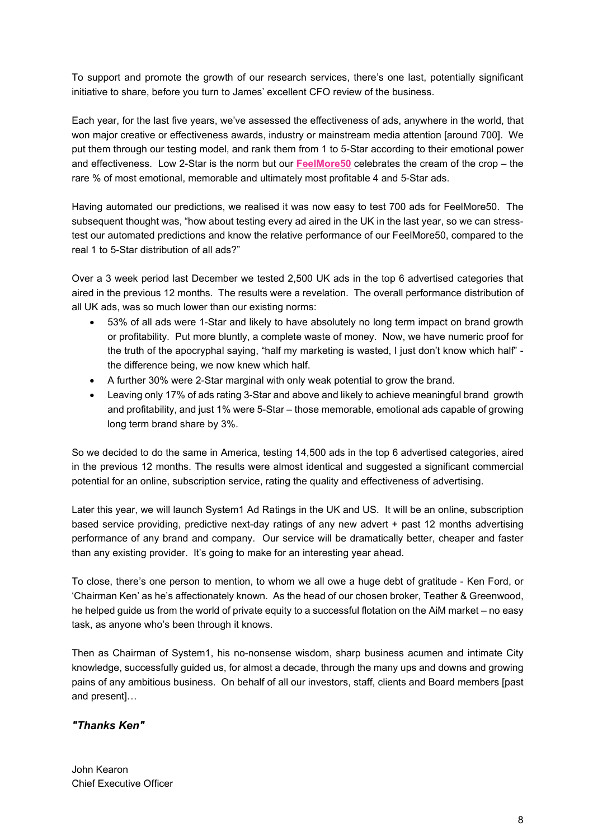To support and promote the growth of our research services, there's one last, potentially significant initiative to share, before you turn to James' excellent CFO review of the business.

Each year, for the last five years, we've assessed the effectiveness of ads, anywhere in the world, that won major creative or effectiveness awards, industry or mainstream media attention [around 700]. We put them through our testing model, and rank them from 1 to 5-Star according to their emotional power and effectiveness. Low 2-Star is the norm but our **FeelMore50** celebrates the cream of the crop – the rare % of most emotional, memorable and ultimately most profitable 4 and 5-Star ads.

Having automated our predictions, we realised it was now easy to test 700 ads for FeelMore50. The subsequent thought was, "how about testing every ad aired in the UK in the last year, so we can stresstest our automated predictions and know the relative performance of our FeelMore50, compared to the real 1 to 5-Star distribution of all ads?"

Over a 3 week period last December we tested 2,500 UK ads in the top 6 advertised categories that aired in the previous 12 months. The results were a revelation. The overall performance distribution of all UK ads, was so much lower than our existing norms:

- 53% of all ads were 1-Star and likely to have absolutely no long term impact on brand growth or profitability. Put more bluntly, a complete waste of money. Now, we have numeric proof for the truth of the apocryphal saying, "half my marketing is wasted, I just don't know which half" the difference being, we now knew which half.
- A further 30% were 2-Star marginal with only weak potential to grow the brand.
- Leaving only 17% of ads rating 3-Star and above and likely to achieve meaningful brand growth and profitability, and just 1% were 5-Star – those memorable, emotional ads capable of growing long term brand share by 3%.

So we decided to do the same in America, testing 14,500 ads in the top 6 advertised categories, aired in the previous 12 months. The results were almost identical and suggested a significant commercial potential for an online, subscription service, rating the quality and effectiveness of advertising.

Later this year, we will launch System1 Ad Ratings in the UK and US. It will be an online, subscription based service providing, predictive next-day ratings of any new advert + past 12 months advertising performance of any brand and company. Our service will be dramatically better, cheaper and faster than any existing provider. It's going to make for an interesting year ahead.

To close, there's one person to mention, to whom we all owe a huge debt of gratitude - Ken Ford, or 'Chairman Ken' as he's affectionately known. As the head of our chosen broker, Teather & Greenwood, he helped guide us from the world of private equity to a successful flotation on the AiM market – no easy task, as anyone who's been through it knows.

Then as Chairman of System1, his no-nonsense wisdom, sharp business acumen and intimate City knowledge, successfully guided us, for almost a decade, through the many ups and downs and growing pains of any ambitious business. On behalf of all our investors, staff, clients and Board members [past and present]…

# *"Thanks Ken"*

John Kearon Chief Executive Officer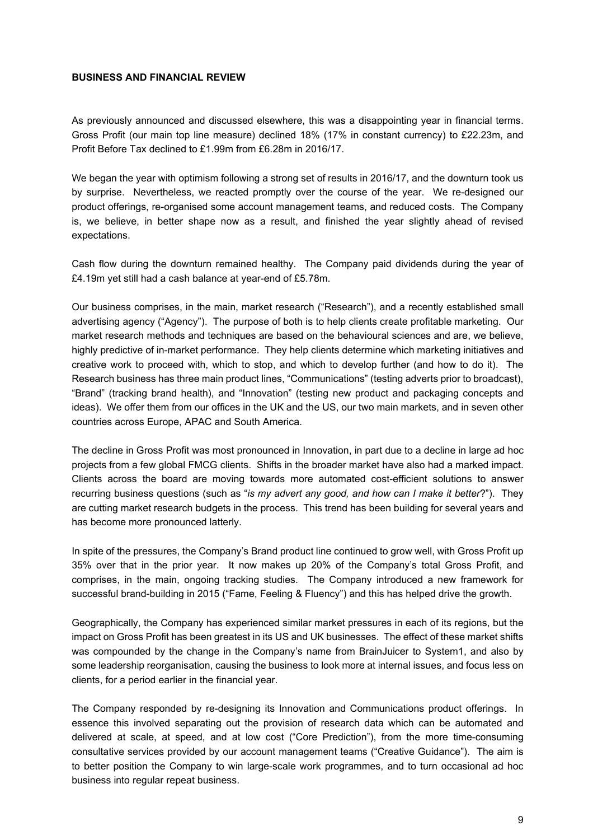#### **BUSINESS AND FINANCIAL REVIEW**

As previously announced and discussed elsewhere, this was a disappointing year in financial terms. Gross Profit (our main top line measure) declined 18% (17% in constant currency) to £22.23m, and Profit Before Tax declined to £1.99m from £6.28m in 2016/17.

We began the year with optimism following a strong set of results in 2016/17, and the downturn took us by surprise. Nevertheless, we reacted promptly over the course of the year. We re-designed our product offerings, re-organised some account management teams, and reduced costs. The Company is, we believe, in better shape now as a result, and finished the year slightly ahead of revised expectations.

Cash flow during the downturn remained healthy. The Company paid dividends during the year of £4.19m yet still had a cash balance at year-end of £5.78m.

Our business comprises, in the main, market research ("Research"), and a recently established small advertising agency ("Agency"). The purpose of both is to help clients create profitable marketing. Our market research methods and techniques are based on the behavioural sciences and are, we believe, highly predictive of in-market performance. They help clients determine which marketing initiatives and creative work to proceed with, which to stop, and which to develop further (and how to do it). The Research business has three main product lines, "Communications" (testing adverts prior to broadcast), "Brand" (tracking brand health), and "Innovation" (testing new product and packaging concepts and ideas). We offer them from our offices in the UK and the US, our two main markets, and in seven other countries across Europe, APAC and South America.

The decline in Gross Profit was most pronounced in Innovation, in part due to a decline in large ad hoc projects from a few global FMCG clients. Shifts in the broader market have also had a marked impact. Clients across the board are moving towards more automated cost-efficient solutions to answer recurring business questions (such as "*is my advert any good, and how can I make it better*?"). They are cutting market research budgets in the process. This trend has been building for several years and has become more pronounced latterly.

In spite of the pressures, the Company's Brand product line continued to grow well, with Gross Profit up 35% over that in the prior year. It now makes up 20% of the Company's total Gross Profit, and comprises, in the main, ongoing tracking studies. The Company introduced a new framework for successful brand-building in 2015 ("Fame, Feeling & Fluency") and this has helped drive the growth.

Geographically, the Company has experienced similar market pressures in each of its regions, but the impact on Gross Profit has been greatest in its US and UK businesses. The effect of these market shifts was compounded by the change in the Company's name from BrainJuicer to System1, and also by some leadership reorganisation, causing the business to look more at internal issues, and focus less on clients, for a period earlier in the financial year.

The Company responded by re-designing its Innovation and Communications product offerings. In essence this involved separating out the provision of research data which can be automated and delivered at scale, at speed, and at low cost ("Core Prediction"), from the more time-consuming consultative services provided by our account management teams ("Creative Guidance"). The aim is to better position the Company to win large-scale work programmes, and to turn occasional ad hoc business into regular repeat business.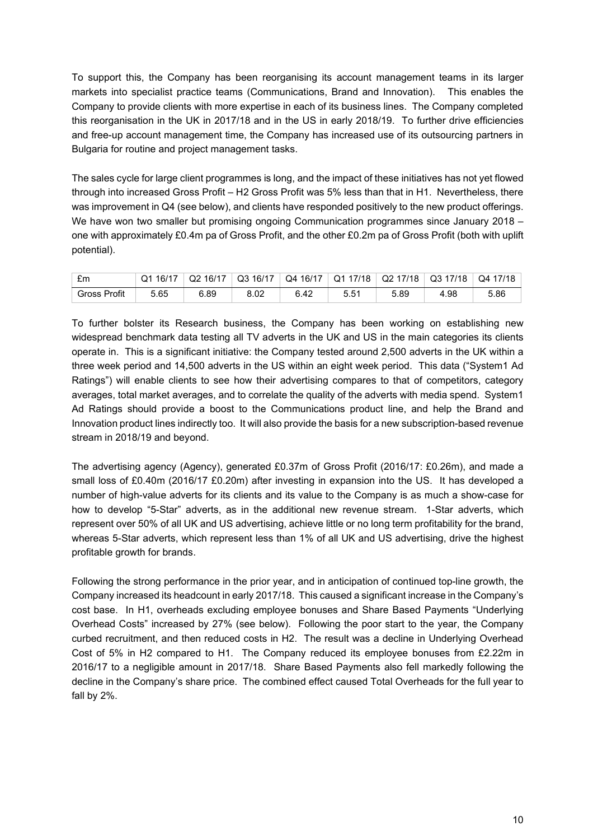To support this, the Company has been reorganising its account management teams in its larger markets into specialist practice teams (Communications, Brand and Innovation). This enables the Company to provide clients with more expertise in each of its business lines. The Company completed this reorganisation in the UK in 2017/18 and in the US in early 2018/19. To further drive efficiencies and free-up account management time, the Company has increased use of its outsourcing partners in Bulgaria for routine and project management tasks.

The sales cycle for large client programmes is long, and the impact of these initiatives has not yet flowed through into increased Gross Profit – H2 Gross Profit was 5% less than that in H1. Nevertheless, there was improvement in Q4 (see below), and clients have responded positively to the new product offerings. We have won two smaller but promising ongoing Communication programmes since January 2018 – one with approximately £0.4m pa of Gross Profit, and the other £0.2m pa of Gross Profit (both with uplift potential).

| £m                  | 16/17<br>Q1 | Q2 16/17 | Q3 16/17 | Q4 16/17  | ່ Q1 17/18 ∶ | $\sqrt{}$ Q2 17/18 | Q3 17/18 | Q4 17/18 |
|---------------------|-------------|----------|----------|-----------|--------------|--------------------|----------|----------|
| <b>Gross Profit</b> | 5.65        | 6.89     | 8.02     | 6.42<br>ຨ | ◡.◡          | 5.89               | 98       | 5.86     |

To further bolster its Research business, the Company has been working on establishing new widespread benchmark data testing all TV adverts in the UK and US in the main categories its clients operate in. This is a significant initiative: the Company tested around 2,500 adverts in the UK within a three week period and 14,500 adverts in the US within an eight week period. This data ("System1 Ad Ratings") will enable clients to see how their advertising compares to that of competitors, category averages, total market averages, and to correlate the quality of the adverts with media spend. System1 Ad Ratings should provide a boost to the Communications product line, and help the Brand and Innovation product lines indirectly too. It will also provide the basis for a new subscription-based revenue stream in 2018/19 and beyond.

The advertising agency (Agency), generated £0.37m of Gross Profit (2016/17: £0.26m), and made a small loss of £0.40m (2016/17 £0.20m) after investing in expansion into the US. It has developed a number of high-value adverts for its clients and its value to the Company is as much a show-case for how to develop "5-Star" adverts, as in the additional new revenue stream. 1-Star adverts, which represent over 50% of all UK and US advertising, achieve little or no long term profitability for the brand, whereas 5-Star adverts, which represent less than 1% of all UK and US advertising, drive the highest profitable growth for brands.

Following the strong performance in the prior year, and in anticipation of continued top-line growth, the Company increased its headcount in early 2017/18. This caused a significant increase in the Company's cost base. In H1, overheads excluding employee bonuses and Share Based Payments "Underlying Overhead Costs" increased by 27% (see below). Following the poor start to the year, the Company curbed recruitment, and then reduced costs in H2. The result was a decline in Underlying Overhead Cost of 5% in H2 compared to H1. The Company reduced its employee bonuses from £2.22m in 2016/17 to a negligible amount in 2017/18. Share Based Payments also fell markedly following the decline in the Company's share price. The combined effect caused Total Overheads for the full year to fall by 2%.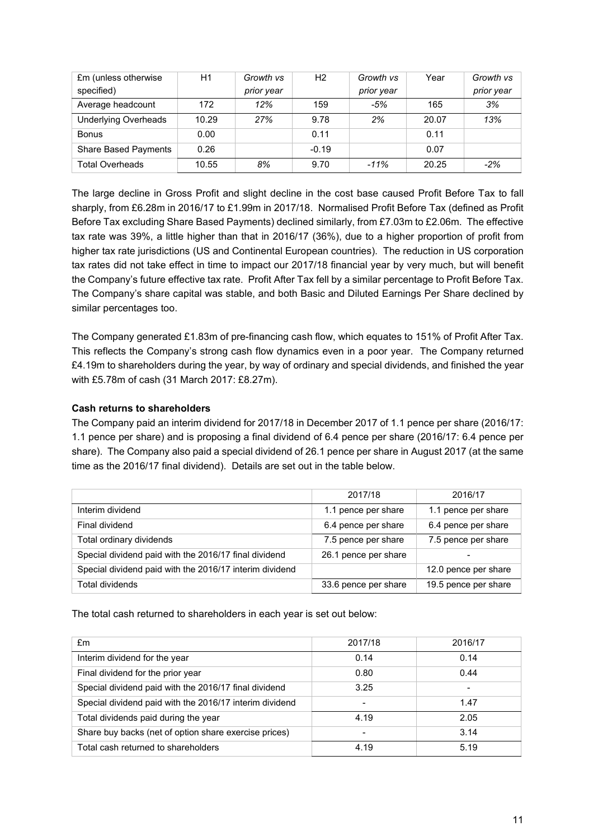| £m (unless otherwise<br>specified) | H1    | Growth vs<br>prior year | H2      | Growth vs<br>prior year | Year  | Growth vs<br>prior year |
|------------------------------------|-------|-------------------------|---------|-------------------------|-------|-------------------------|
| Average headcount                  | 172   | 12%                     | 159     | $-5%$                   | 165   | 3%                      |
| <b>Underlying Overheads</b>        | 10.29 | 27%                     | 9.78    | 2%                      | 20.07 | 13%                     |
| <b>Bonus</b>                       | 0.00  |                         | 0.11    |                         | 0.11  |                         |
| <b>Share Based Payments</b>        | 0.26  |                         | $-0.19$ |                         | 0.07  |                         |
| <b>Total Overheads</b>             | 10.55 | 8%                      | 9.70    | $-11%$                  | 20.25 | $-2%$                   |

The large decline in Gross Profit and slight decline in the cost base caused Profit Before Tax to fall sharply, from £6.28m in 2016/17 to £1.99m in 2017/18. Normalised Profit Before Tax (defined as Profit Before Tax excluding Share Based Payments) declined similarly, from £7.03m to £2.06m. The effective tax rate was 39%, a little higher than that in 2016/17 (36%), due to a higher proportion of profit from higher tax rate jurisdictions (US and Continental European countries). The reduction in US corporation tax rates did not take effect in time to impact our 2017/18 financial year by very much, but will benefit the Company's future effective tax rate. Profit After Tax fell by a similar percentage to Profit Before Tax. The Company's share capital was stable, and both Basic and Diluted Earnings Per Share declined by similar percentages too.

The Company generated £1.83m of pre-financing cash flow, which equates to 151% of Profit After Tax. This reflects the Company's strong cash flow dynamics even in a poor year. The Company returned £4.19m to shareholders during the year, by way of ordinary and special dividends, and finished the year with £5.78m of cash (31 March 2017: £8.27m).

# **Cash returns to shareholders**

The Company paid an interim dividend for 2017/18 in December 2017 of 1.1 pence per share (2016/17: 1.1 pence per share) and is proposing a final dividend of 6.4 pence per share (2016/17: 6.4 pence per share). The Company also paid a special dividend of 26.1 pence per share in August 2017 (at the same time as the 2016/17 final dividend). Details are set out in the table below.

|                                                         | 2017/18              | 2016/17              |
|---------------------------------------------------------|----------------------|----------------------|
| Interim dividend                                        | 1.1 pence per share  | 1.1 pence per share  |
| Final dividend                                          | 6.4 pence per share  | 6.4 pence per share  |
| Total ordinary dividends                                | 7.5 pence per share  | 7.5 pence per share  |
| Special dividend paid with the 2016/17 final dividend   | 26.1 pence per share |                      |
| Special dividend paid with the 2016/17 interim dividend |                      | 12.0 pence per share |
| <b>Total dividends</b>                                  | 33.6 pence per share | 19.5 pence per share |

The total cash returned to shareholders in each year is set out below:

| £m                                                      | 2017/18        | 2016/17 |
|---------------------------------------------------------|----------------|---------|
| Interim dividend for the year                           | 0.14           | 0.14    |
| Final dividend for the prior year                       | 0.80           | 0.44    |
| Special dividend paid with the 2016/17 final dividend   | 3.25           | -       |
| Special dividend paid with the 2016/17 interim dividend | $\overline{a}$ | 1.47    |
| Total dividends paid during the year                    | 4.19           | 2.05    |
| Share buy backs (net of option share exercise prices)   | $\overline{a}$ | 3.14    |
| Total cash returned to shareholders                     | 4.19           | 5.19    |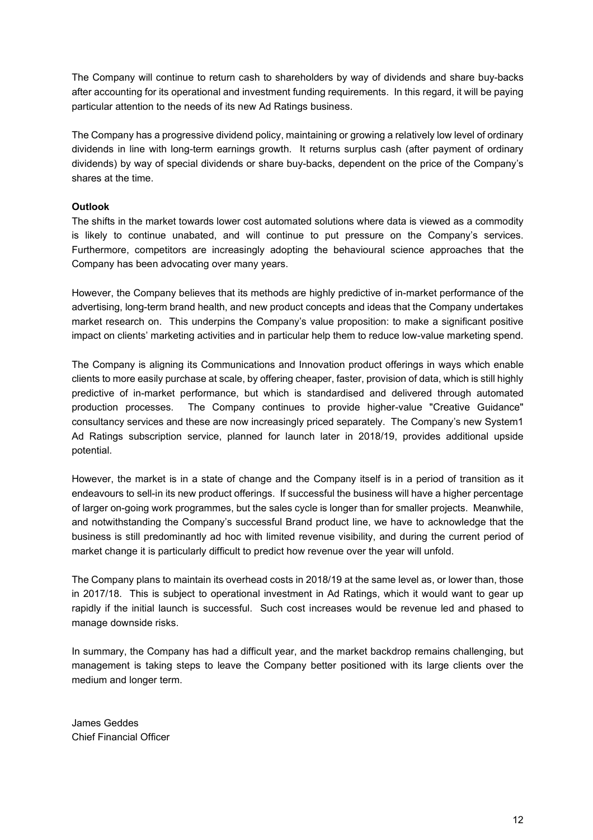The Company will continue to return cash to shareholders by way of dividends and share buy-backs after accounting for its operational and investment funding requirements. In this regard, it will be paying particular attention to the needs of its new Ad Ratings business.

The Company has a progressive dividend policy, maintaining or growing a relatively low level of ordinary dividends in line with long-term earnings growth. It returns surplus cash (after payment of ordinary dividends) by way of special dividends or share buy-backs, dependent on the price of the Company's shares at the time.

# **Outlook**

The shifts in the market towards lower cost automated solutions where data is viewed as a commodity is likely to continue unabated, and will continue to put pressure on the Company's services. Furthermore, competitors are increasingly adopting the behavioural science approaches that the Company has been advocating over many years.

However, the Company believes that its methods are highly predictive of in-market performance of the advertising, long-term brand health, and new product concepts and ideas that the Company undertakes market research on. This underpins the Company's value proposition: to make a significant positive impact on clients' marketing activities and in particular help them to reduce low-value marketing spend.

The Company is aligning its Communications and Innovation product offerings in ways which enable clients to more easily purchase at scale, by offering cheaper, faster, provision of data, which is still highly predictive of in-market performance, but which is standardised and delivered through automated production processes. The Company continues to provide higher-value "Creative Guidance" consultancy services and these are now increasingly priced separately. The Company's new System1 Ad Ratings subscription service, planned for launch later in 2018/19, provides additional upside potential.

However, the market is in a state of change and the Company itself is in a period of transition as it endeavours to sell-in its new product offerings. If successful the business will have a higher percentage of larger on-going work programmes, but the sales cycle is longer than for smaller projects. Meanwhile, and notwithstanding the Company's successful Brand product line, we have to acknowledge that the business is still predominantly ad hoc with limited revenue visibility, and during the current period of market change it is particularly difficult to predict how revenue over the year will unfold.

The Company plans to maintain its overhead costs in 2018/19 at the same level as, or lower than, those in 2017/18. This is subject to operational investment in Ad Ratings, which it would want to gear up rapidly if the initial launch is successful. Such cost increases would be revenue led and phased to manage downside risks.

In summary, the Company has had a difficult year, and the market backdrop remains challenging, but management is taking steps to leave the Company better positioned with its large clients over the medium and longer term.

James Geddes Chief Financial Officer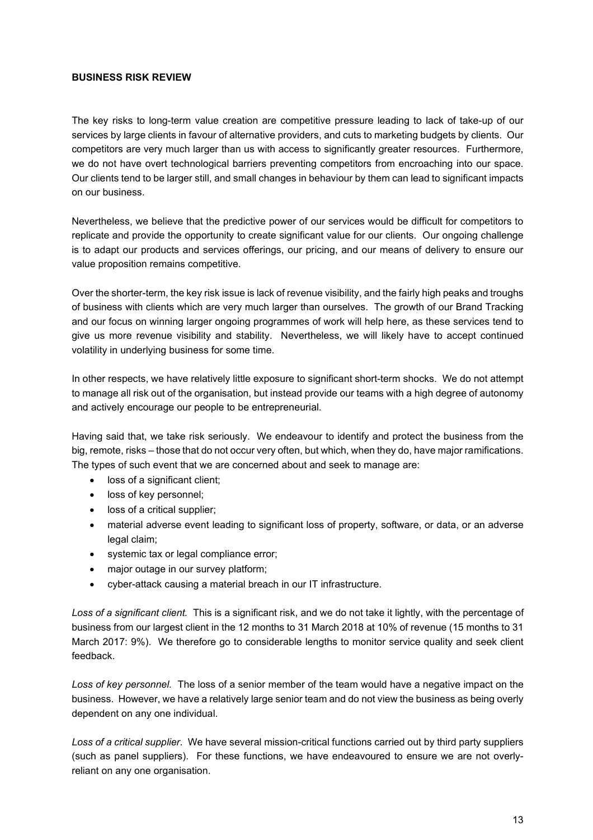#### **BUSINESS RISK REVIEW**

The key risks to long-term value creation are competitive pressure leading to lack of take-up of our services by large clients in favour of alternative providers, and cuts to marketing budgets by clients. Our competitors are very much larger than us with access to significantly greater resources. Furthermore, we do not have overt technological barriers preventing competitors from encroaching into our space. Our clients tend to be larger still, and small changes in behaviour by them can lead to significant impacts on our business.

Nevertheless, we believe that the predictive power of our services would be difficult for competitors to replicate and provide the opportunity to create significant value for our clients. Our ongoing challenge is to adapt our products and services offerings, our pricing, and our means of delivery to ensure our value proposition remains competitive.

Over the shorter-term, the key risk issue is lack of revenue visibility, and the fairly high peaks and troughs of business with clients which are very much larger than ourselves. The growth of our Brand Tracking and our focus on winning larger ongoing programmes of work will help here, as these services tend to give us more revenue visibility and stability. Nevertheless, we will likely have to accept continued volatility in underlying business for some time.

In other respects, we have relatively little exposure to significant short-term shocks. We do not attempt to manage all risk out of the organisation, but instead provide our teams with a high degree of autonomy and actively encourage our people to be entrepreneurial.

Having said that, we take risk seriously. We endeavour to identify and protect the business from the big, remote, risks – those that do not occur very often, but which, when they do, have major ramifications. The types of such event that we are concerned about and seek to manage are:

- loss of a significant client;
- loss of key personnel;
- loss of a critical supplier:
- material adverse event leading to significant loss of property, software, or data, or an adverse legal claim;
- systemic tax or legal compliance error;
- major outage in our survey platform;
- cyber-attack causing a material breach in our IT infrastructure.

*Loss of a significant client.* This is a significant risk, and we do not take it lightly, with the percentage of business from our largest client in the 12 months to 31 March 2018 at 10% of revenue (15 months to 31 March 2017: 9%). We therefore go to considerable lengths to monitor service quality and seek client feedback.

*Loss of key personnel.* The loss of a senior member of the team would have a negative impact on the business. However, we have a relatively large senior team and do not view the business as being overly dependent on any one individual.

*Loss of a critical supplier*. We have several mission-critical functions carried out by third party suppliers (such as panel suppliers). For these functions, we have endeavoured to ensure we are not overlyreliant on any one organisation.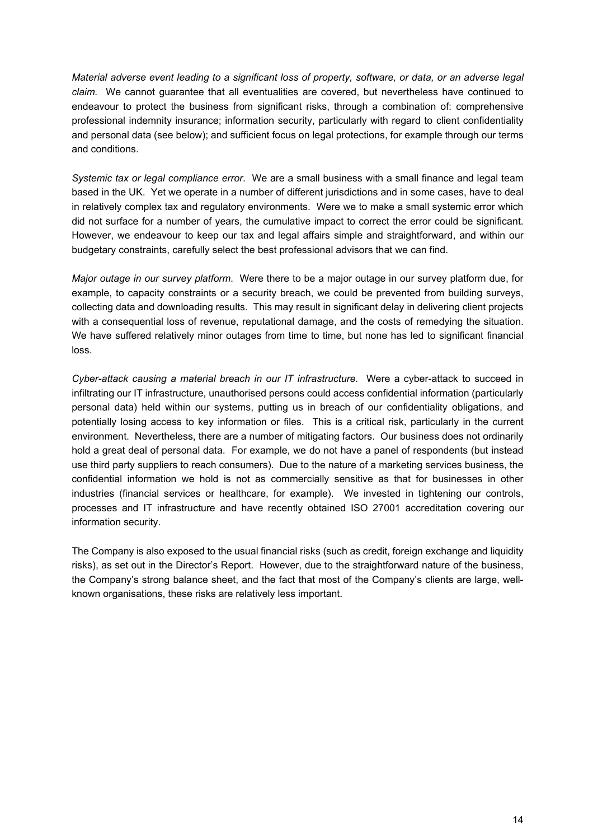*Material adverse event leading to a significant loss of property, software, or data, or an adverse legal claim.* We cannot guarantee that all eventualities are covered, but nevertheless have continued to endeavour to protect the business from significant risks, through a combination of: comprehensive professional indemnity insurance; information security, particularly with regard to client confidentiality and personal data (see below); and sufficient focus on legal protections, for example through our terms and conditions.

*Systemic tax or legal compliance error*. We are a small business with a small finance and legal team based in the UK. Yet we operate in a number of different jurisdictions and in some cases, have to deal in relatively complex tax and regulatory environments. Were we to make a small systemic error which did not surface for a number of years, the cumulative impact to correct the error could be significant. However, we endeavour to keep our tax and legal affairs simple and straightforward, and within our budgetary constraints, carefully select the best professional advisors that we can find.

*Major outage in our survey platform*. Were there to be a major outage in our survey platform due, for example, to capacity constraints or a security breach, we could be prevented from building surveys, collecting data and downloading results. This may result in significant delay in delivering client projects with a consequential loss of revenue, reputational damage, and the costs of remedying the situation. We have suffered relatively minor outages from time to time, but none has led to significant financial loss.

*Cyber-attack causing a material breach in our IT infrastructure.* Were a cyber-attack to succeed in infiltrating our IT infrastructure, unauthorised persons could access confidential information (particularly personal data) held within our systems, putting us in breach of our confidentiality obligations, and potentially losing access to key information or files. This is a critical risk, particularly in the current environment. Nevertheless, there are a number of mitigating factors. Our business does not ordinarily hold a great deal of personal data. For example, we do not have a panel of respondents (but instead use third party suppliers to reach consumers). Due to the nature of a marketing services business, the confidential information we hold is not as commercially sensitive as that for businesses in other industries (financial services or healthcare, for example). We invested in tightening our controls, processes and IT infrastructure and have recently obtained ISO 27001 accreditation covering our information security.

The Company is also exposed to the usual financial risks (such as credit, foreign exchange and liquidity risks), as set out in the Director's Report. However, due to the straightforward nature of the business, the Company's strong balance sheet, and the fact that most of the Company's clients are large, wellknown organisations, these risks are relatively less important.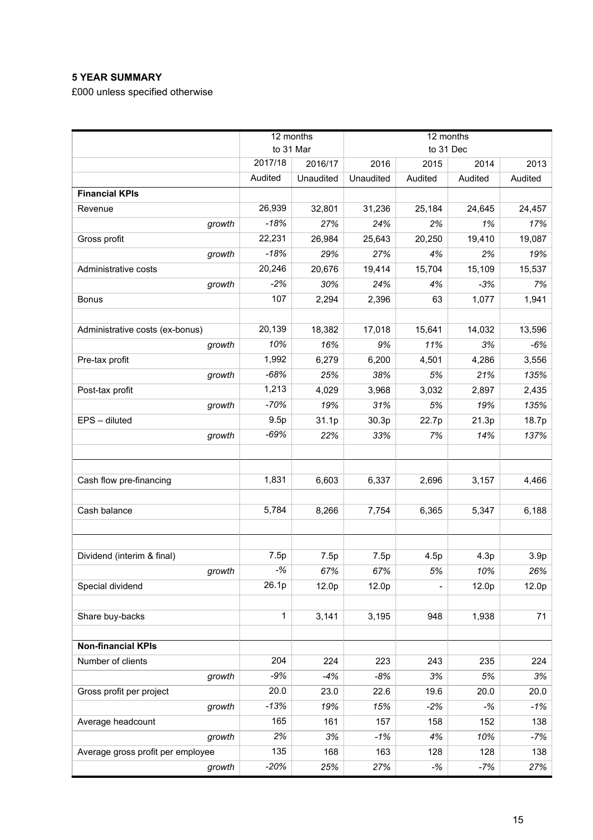# **5 YEAR SUMMARY**

£000 unless specified otherwise

|                                   | 12 months |           | 12 months |                              |         |                  |
|-----------------------------------|-----------|-----------|-----------|------------------------------|---------|------------------|
|                                   | to 31 Mar |           |           | to 31 Dec                    |         |                  |
|                                   | 2017/18   | 2016/17   | 2016      | 2015                         | 2014    | 2013             |
|                                   | Audited   | Unaudited | Unaudited | Audited                      | Audited | Audited          |
| <b>Financial KPIs</b>             |           |           |           |                              |         |                  |
| Revenue                           | 26,939    | 32,801    | 31,236    | 25,184                       | 24,645  | 24,457           |
| growth                            | $-18%$    | 27%       | 24%       | 2%                           | 1%      | 17%              |
| Gross profit                      | 22,231    | 26,984    | 25,643    | 20,250                       | 19,410  | 19,087           |
| growth                            | $-18%$    | 29%       | 27%       | 4%                           | 2%      | 19%              |
| Administrative costs              | 20,246    | 20,676    | 19,414    | 15,704                       | 15,109  | 15,537           |
| growth                            | $-2%$     | 30%       | 24%       | 4%                           | $-3%$   | 7%               |
| <b>Bonus</b>                      | 107       | 2,294     | 2,396     | 63                           | 1,077   | 1,941            |
|                                   |           |           |           |                              |         |                  |
| Administrative costs (ex-bonus)   | 20,139    | 18,382    | 17,018    | 15,641                       | 14,032  | 13,596           |
| growth                            | 10%       | 16%       | 9%        | 11%                          | 3%      | $-6%$            |
| Pre-tax profit                    | 1,992     | 6,279     | 6,200     | 4,501                        | 4,286   | 3,556            |
| growth                            | $-68%$    | 25%       | 38%       | 5%                           | 21%     | 135%             |
| Post-tax profit                   | 1,213     | 4,029     | 3,968     | 3,032                        | 2,897   | 2,435            |
| growth                            | $-70%$    | 19%       | 31%       | 5%                           | 19%     | 135%             |
| EPS - diluted                     | 9.5p      | 31.1p     | 30.3p     | 22.7p                        | 21.3p   | 18.7p            |
| growth                            | $-69%$    | 22%       | 33%       | 7%                           | 14%     | 137%             |
|                                   |           |           |           |                              |         |                  |
|                                   |           |           |           |                              |         |                  |
| Cash flow pre-financing           | 1,831     | 6,603     | 6,337     | 2,696                        | 3,157   | 4,466            |
|                                   |           |           |           |                              |         |                  |
| Cash balance                      | 5,784     | 8,266     | 7,754     | 6,365                        | 5,347   | 6,188            |
|                                   |           |           |           |                              |         |                  |
|                                   |           |           |           |                              |         |                  |
| Dividend (interim & final)        | 7.5p      | 7.5p      | 7.5p      | 4.5p                         | 4.3p    | 3.9 <sub>p</sub> |
| growth                            | $-$ %     | 67%       | 67%       | 5%                           | 10%     | 26%              |
| Special dividend                  | 26.1p     | 12.0p     | 12.0p     | $\qquad \qquad \blacksquare$ | 12.0p   | 12.0p            |
|                                   |           |           |           |                              |         |                  |
| Share buy-backs                   | 1         | 3,141     | 3,195     | 948                          | 1,938   | 71               |
|                                   |           |           |           |                              |         |                  |
| <b>Non-financial KPIs</b>         |           |           |           |                              |         |                  |
| Number of clients                 | 204       | 224       | 223       | 243                          | 235     | 224              |
| growth                            | $-9%$     | $-4%$     | $-8%$     | 3%                           | 5%      | 3%               |
| Gross profit per project          | 20.0      | 23.0      | 22.6      | 19.6                         | 20.0    | 20.0             |
| growth                            | $-13%$    | 19%       | 15%       | $-2%$                        | $-$ %   | $-1%$            |
| Average headcount                 | 165       | 161       | 157       | 158                          | 152     | 138              |
| growth                            | 2%        | 3%        | $-1%$     | 4%                           | 10%     | $-7%$            |
| Average gross profit per employee | 135       | 168       | 163       | 128                          | 128     | 138              |
| growth                            | $-20%$    | 25%       | 27%       | $-$ %                        | $-7%$   | 27%              |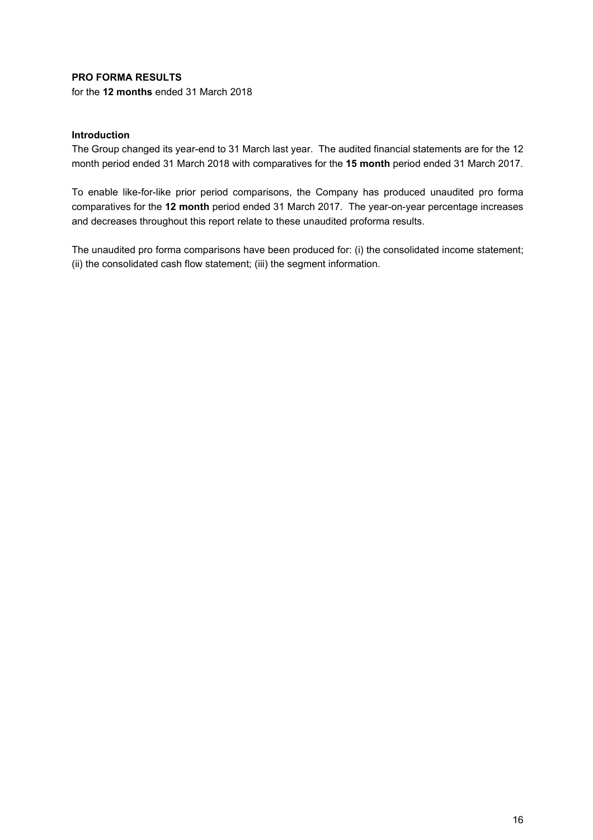# **PRO FORMA RESULTS**

for the **12 months** ended 31 March 2018

# **Introduction**

The Group changed its year-end to 31 March last year. The audited financial statements are for the 12 month period ended 31 March 2018 with comparatives for the **15 month** period ended 31 March 2017.

To enable like-for-like prior period comparisons, the Company has produced unaudited pro forma comparatives for the **12 month** period ended 31 March 2017. The year-on-year percentage increases and decreases throughout this report relate to these unaudited proforma results.

The unaudited pro forma comparisons have been produced for: (i) the consolidated income statement; (ii) the consolidated cash flow statement; (iii) the segment information.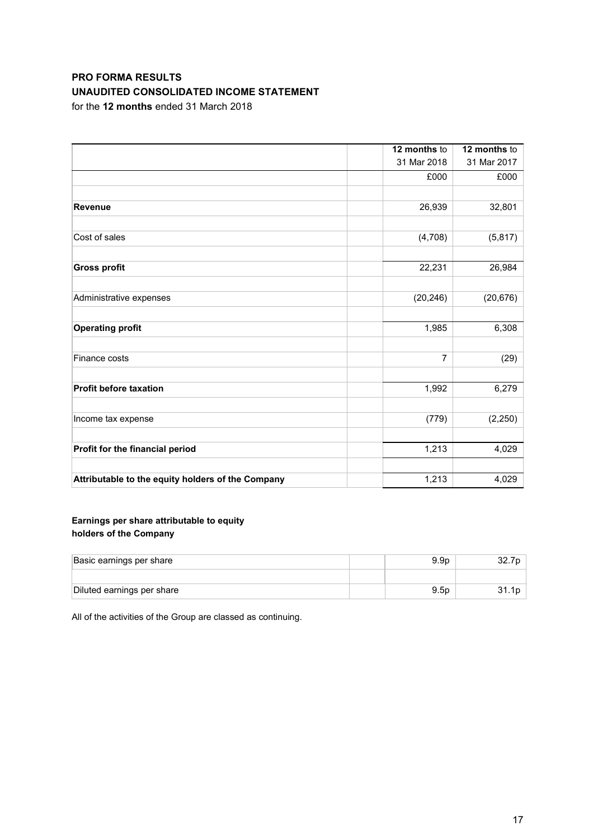# **PRO FORMA RESULTS UNAUDITED CONSOLIDATED INCOME STATEMENT**

for the **12 months** ended 31 March 2018

|                                                   | 12 months to | 12 months to |
|---------------------------------------------------|--------------|--------------|
|                                                   | 31 Mar 2018  | 31 Mar 2017  |
|                                                   | £000         | £000         |
| <b>Revenue</b>                                    | 26,939       | 32,801       |
| Cost of sales                                     | (4,708)      | (5, 817)     |
| <b>Gross profit</b>                               | 22,231       | 26,984       |
| Administrative expenses                           | (20, 246)    | (20, 676)    |
| <b>Operating profit</b>                           | 1,985        | 6,308        |
| Finance costs                                     | 7            | (29)         |
| <b>Profit before taxation</b>                     | 1,992        | 6,279        |
| Income tax expense                                | (779)        | (2, 250)     |
| Profit for the financial period                   | 1,213        | 4,029        |
| Attributable to the equity holders of the Company | 1,213        | 4,029        |

# **Earnings per share attributable to equity holders of the Company**

| Basic earnings per share   | 9.9 <sub>D</sub> |  |
|----------------------------|------------------|--|
|                            |                  |  |
| Diluted earnings per share | 9.5 <sub>D</sub> |  |

All of the activities of the Group are classed as continuing.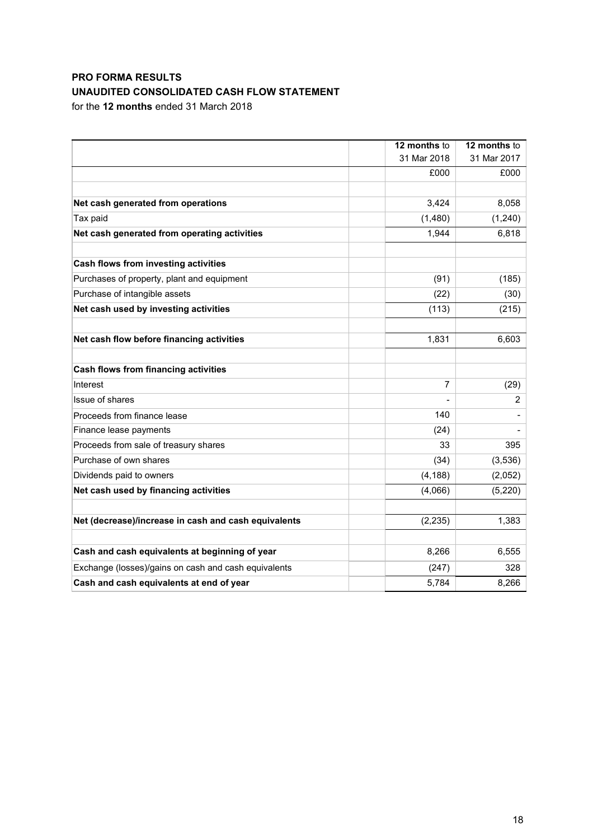# **PRO FORMA RESULTS UNAUDITED CONSOLIDATED CASH FLOW STATEMENT**

for the **12 months** ended 31 March 2018

|                                                      | 12 months to   | 12 months to |
|------------------------------------------------------|----------------|--------------|
|                                                      | 31 Mar 2018    | 31 Mar 2017  |
|                                                      | £000           | £000         |
|                                                      |                |              |
| Net cash generated from operations                   | 3,424          | 8,058        |
| Tax paid                                             | (1,480)        | (1,240)      |
| Net cash generated from operating activities         | 1,944          | 6,818        |
| Cash flows from investing activities                 |                |              |
| Purchases of property, plant and equipment           | (91)           | (185)        |
| Purchase of intangible assets                        | (22)           | (30)         |
| Net cash used by investing activities                | (113)          | (215)        |
| Net cash flow before financing activities            | 1,831          | 6,603        |
| <b>Cash flows from financing activities</b>          |                |              |
| Interest                                             | $\overline{7}$ | (29)         |
| Issue of shares                                      |                | 2            |
| Proceeds from finance lease                          | 140            |              |
| Finance lease payments                               | (24)           |              |
| Proceeds from sale of treasury shares                | 33             | 395          |
| Purchase of own shares                               | (34)           | (3,536)      |
| Dividends paid to owners                             | (4, 188)       | (2,052)      |
| Net cash used by financing activities                | (4,066)        | (5, 220)     |
| Net (decrease)/increase in cash and cash equivalents | (2, 235)       | 1,383        |
|                                                      |                |              |
| Cash and cash equivalents at beginning of year       | 8,266          | 6,555        |
| Exchange (losses)/gains on cash and cash equivalents | (247)          | 328          |
| Cash and cash equivalents at end of year             | 5,784          | 8,266        |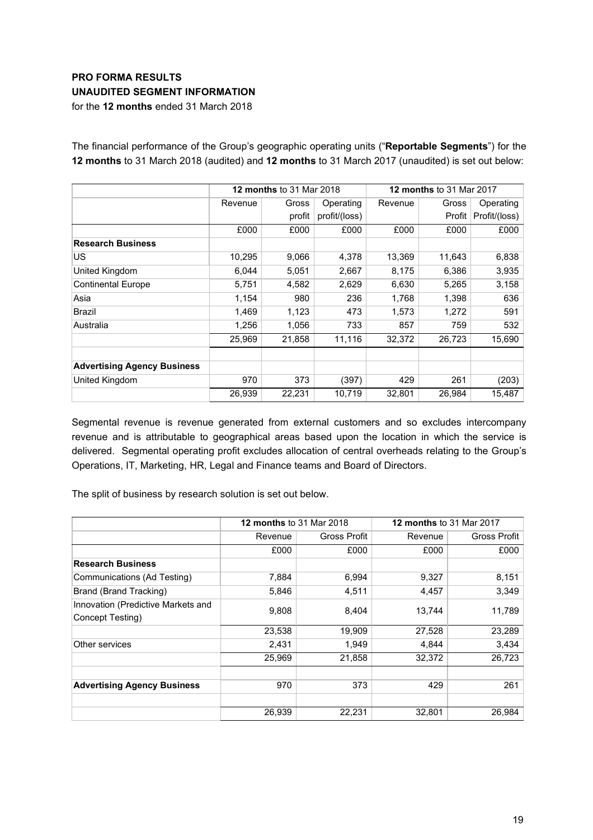# **PRO FORMA RESULTS UNAUDITED SEGMENT INFORMATION**

for the **12 months** ended 31 March 2018

|                                    |         | <b>12 months to 31 Mar 2018</b> |               | <b>12 months to 31 Mar 2017</b> |        |               |
|------------------------------------|---------|---------------------------------|---------------|---------------------------------|--------|---------------|
|                                    | Revenue | Gross                           | Operating     | Revenue                         | Gross  | Operating     |
|                                    |         | profit                          | profit/(loss) |                                 | Profit | Profit/(loss) |
|                                    | £000    | £000                            | £000          | £000                            | £000   | £000          |
| <b>Research Business</b>           |         |                                 |               |                                 |        |               |
| US                                 | 10,295  | 9,066                           | 4,378         | 13,369                          | 11,643 | 6,838         |
| United Kingdom                     | 6,044   | 5,051                           | 2,667         | 8,175                           | 6,386  | 3,935         |
| <b>Continental Europe</b>          | 5,751   | 4,582                           | 2,629         | 6,630                           | 5,265  | 3,158         |
| Asia                               | 1,154   | 980                             | 236           | 1,768                           | 1,398  | 636           |
| Brazil                             | 1,469   | 1,123                           | 473           | 1,573                           | 1,272  | 591           |
| Australia                          | 1,256   | 1,056                           | 733           | 857                             | 759    | 532           |
|                                    | 25,969  | 21,858                          | 11,116        | 32,372                          | 26,723 | 15,690        |
| <b>Advertising Agency Business</b> |         |                                 |               |                                 |        |               |
| United Kingdom                     | 970     | 373                             | (397)         | 429                             | 261    | (203)         |
|                                    | 26,939  | 22,231                          | 10,719        | 32,801                          | 26,984 | 15,487        |

The financial performance of the Group's geographic operating units ("**Reportable Segments**") for the **12 months** to 31 March 2018 (audited) and **12 months** to 31 March 2017 (unaudited) is set out below:

Segmental revenue is revenue generated from external customers and so excludes intercompany revenue and is attributable to geographical areas based upon the location in which the service is delivered. Segmental operating profit excludes allocation of central overheads relating to the Group's Operations, IT, Marketing, HR, Legal and Finance teams and Board of Directors.

The split of business by research solution is set out below.

|                                                        | <b>12 months to 31 Mar 2018</b> |              | <b>12 months to 31 Mar 2017</b> |              |
|--------------------------------------------------------|---------------------------------|--------------|---------------------------------|--------------|
|                                                        | Revenue                         | Gross Profit | Revenue                         | Gross Profit |
|                                                        | £000                            | £000         | £000                            | £000         |
| <b>Research Business</b>                               |                                 |              |                                 |              |
| Communications (Ad Testing)                            | 7,884                           | 6,994        | 9,327                           | 8,151        |
| Brand (Brand Tracking)                                 | 5,846                           | 4,511        | 4,457                           | 3,349        |
| Innovation (Predictive Markets and<br>Concept Testing) | 9,808                           | 8,404        | 13,744                          | 11,789       |
|                                                        | 23,538                          | 19,909       | 27,528                          | 23,289       |
| Other services                                         | 2,431                           | 1,949        | 4,844                           | 3,434        |
|                                                        | 25,969                          | 21,858       | 32,372                          | 26,723       |
|                                                        |                                 |              |                                 |              |
| <b>Advertising Agency Business</b>                     | 970                             | 373          | 429                             | 261          |
|                                                        | 26,939                          | 22,231       | 32,801                          | 26,984       |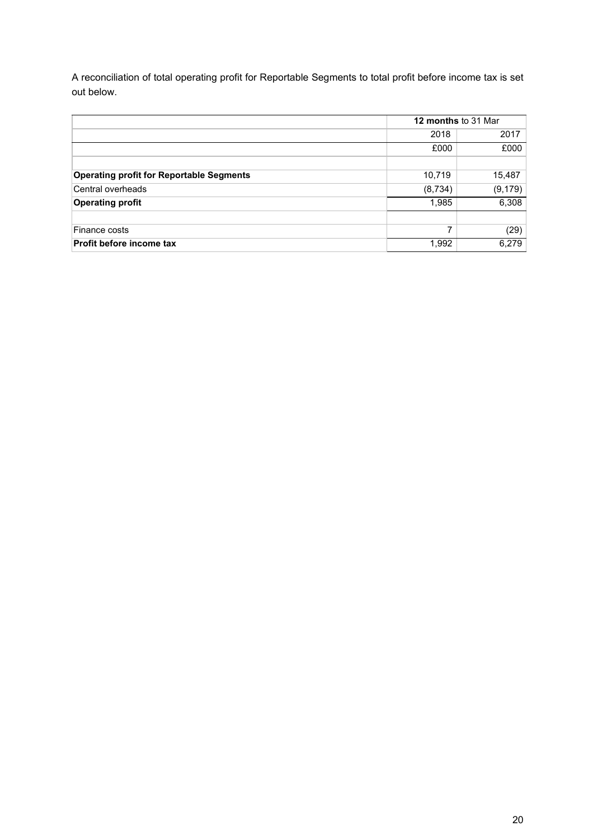A reconciliation of total operating profit for Reportable Segments to total profit before income tax is set out below.

|                                                 | <b>12 months to 31 Mar</b> |          |  |
|-------------------------------------------------|----------------------------|----------|--|
|                                                 | 2018                       | 2017     |  |
|                                                 | £000                       | £000     |  |
|                                                 |                            |          |  |
| <b>Operating profit for Reportable Segments</b> | 10,719                     | 15,487   |  |
| Central overheads                               | (8, 734)                   | (9, 179) |  |
| <b>Operating profit</b>                         | 1,985                      | 6,308    |  |
|                                                 |                            |          |  |
| Finance costs                                   | 7                          | (29)     |  |
| Profit before income tax                        | 6,279<br>1,992             |          |  |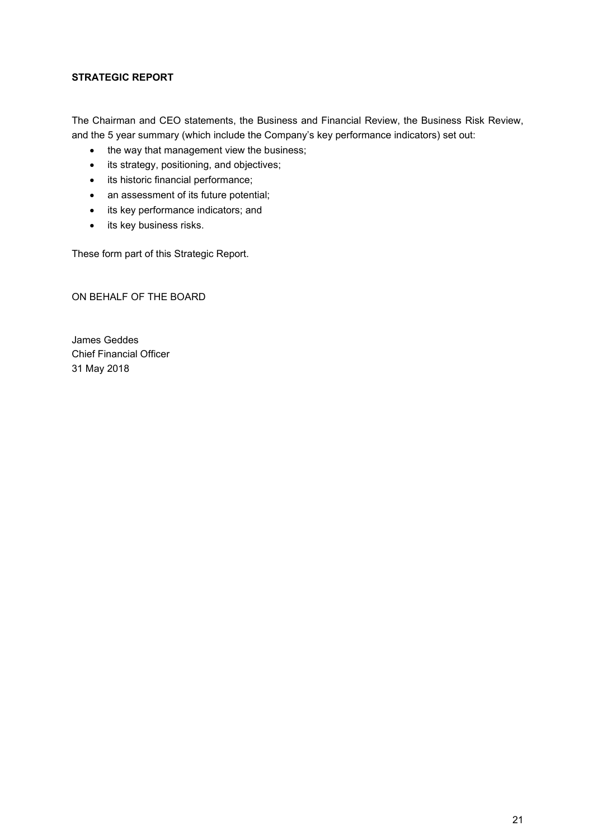# **STRATEGIC REPORT**

The Chairman and CEO statements, the Business and Financial Review, the Business Risk Review, and the 5 year summary (which include the Company's key performance indicators) set out:

- the way that management view the business;
- its strategy, positioning, and objectives;
- its historic financial performance;
- an assessment of its future potential;
- its key performance indicators; and
- its key business risks.

These form part of this Strategic Report.

ON BEHALF OF THE BOARD

James Geddes Chief Financial Officer 31 May 2018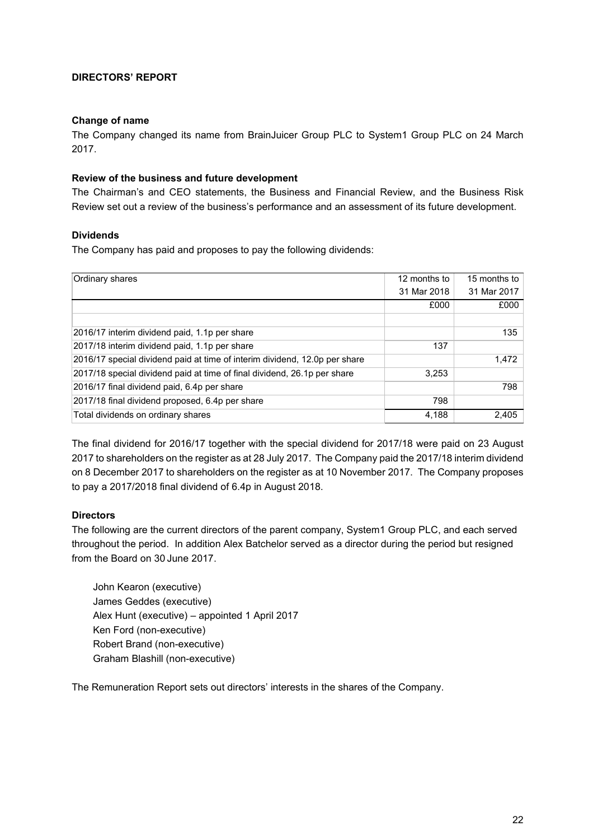# **DIRECTORS' REPORT**

#### **Change of name**

The Company changed its name from BrainJuicer Group PLC to System1 Group PLC on 24 March 2017.

#### **Review of the business and future development**

The Chairman's and CEO statements, the Business and Financial Review, and the Business Risk Review set out a review of the business's performance and an assessment of its future development.

#### **Dividends**

The Company has paid and proposes to pay the following dividends:

| Ordinary shares                                                            | 12 months to | 15 months to |
|----------------------------------------------------------------------------|--------------|--------------|
|                                                                            | 31 Mar 2018  | 31 Mar 2017  |
|                                                                            | £000         | £000         |
|                                                                            |              |              |
| 2016/17 interim dividend paid, 1.1p per share                              |              | 135          |
| 2017/18 interim dividend paid, 1.1p per share                              | 137          |              |
| 2016/17 special dividend paid at time of interim dividend, 12.0p per share |              | 1,472        |
| 2017/18 special dividend paid at time of final dividend, 26.1p per share   | 3,253        |              |
| 2016/17 final dividend paid, 6.4p per share                                |              | 798          |
| 2017/18 final dividend proposed, 6.4p per share                            | 798          |              |
| Total dividends on ordinary shares                                         | 4.188        | 2,405        |

The final dividend for 2016/17 together with the special dividend for 2017/18 were paid on 23 August 2017 to shareholders on the register as at 28 July 2017. The Company paid the 2017/18 interim dividend on 8 December 2017 to shareholders on the register as at 10 November 2017. The Company proposes to pay a 2017/2018 final dividend of 6.4p in August 2018.

#### **Directors**

The following are the current directors of the parent company, System1 Group PLC, and each served throughout the period. In addition Alex Batchelor served as a director during the period but resigned from the Board on 30 June 2017.

John Kearon (executive) James Geddes (executive) Alex Hunt (executive) – appointed 1 April 2017 Ken Ford (non-executive) Robert Brand (non-executive) Graham Blashill (non-executive)

The Remuneration Report sets out directors' interests in the shares of the Company.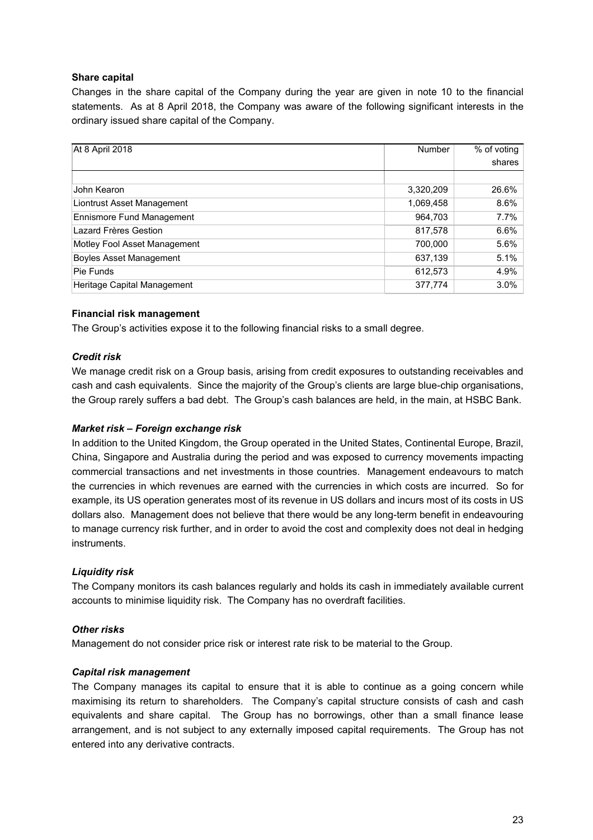# **Share capital**

Changes in the share capital of the Company during the year are given in note 10 to the financial statements. As at 8 April 2018, the Company was aware of the following significant interests in the ordinary issued share capital of the Company.

| At 8 April 2018                  | Number    | % of voting |
|----------------------------------|-----------|-------------|
|                                  |           | shares      |
|                                  |           |             |
| John Kearon                      | 3,320,209 | 26.6%       |
| Liontrust Asset Management       | 1,069,458 | 8.6%        |
| <b>Ennismore Fund Management</b> | 964.703   | $7.7\%$     |
| Lazard Frères Gestion            | 817,578   | 6.6%        |
| Motley Fool Asset Management     | 700,000   | 5.6%        |
| <b>Boyles Asset Management</b>   | 637,139   | 5.1%        |
| Pie Funds                        | 612,573   | 4.9%        |
| Heritage Capital Management      | 377,774   | 3.0%        |

# **Financial risk management**

The Group's activities expose it to the following financial risks to a small degree.

# *Credit risk*

We manage credit risk on a Group basis, arising from credit exposures to outstanding receivables and cash and cash equivalents. Since the majority of the Group's clients are large blue-chip organisations, the Group rarely suffers a bad debt. The Group's cash balances are held, in the main, at HSBC Bank.

#### *Market risk – Foreign exchange risk*

In addition to the United Kingdom, the Group operated in the United States, Continental Europe, Brazil, China, Singapore and Australia during the period and was exposed to currency movements impacting commercial transactions and net investments in those countries. Management endeavours to match the currencies in which revenues are earned with the currencies in which costs are incurred. So for example, its US operation generates most of its revenue in US dollars and incurs most of its costs in US dollars also. Management does not believe that there would be any long-term benefit in endeavouring to manage currency risk further, and in order to avoid the cost and complexity does not deal in hedging instruments.

#### *Liquidity risk*

The Company monitors its cash balances regularly and holds its cash in immediately available current accounts to minimise liquidity risk. The Company has no overdraft facilities.

#### *Other risks*

Management do not consider price risk or interest rate risk to be material to the Group.

#### *Capital risk management*

The Company manages its capital to ensure that it is able to continue as a going concern while maximising its return to shareholders. The Company's capital structure consists of cash and cash equivalents and share capital. The Group has no borrowings, other than a small finance lease arrangement, and is not subject to any externally imposed capital requirements. The Group has not entered into any derivative contracts.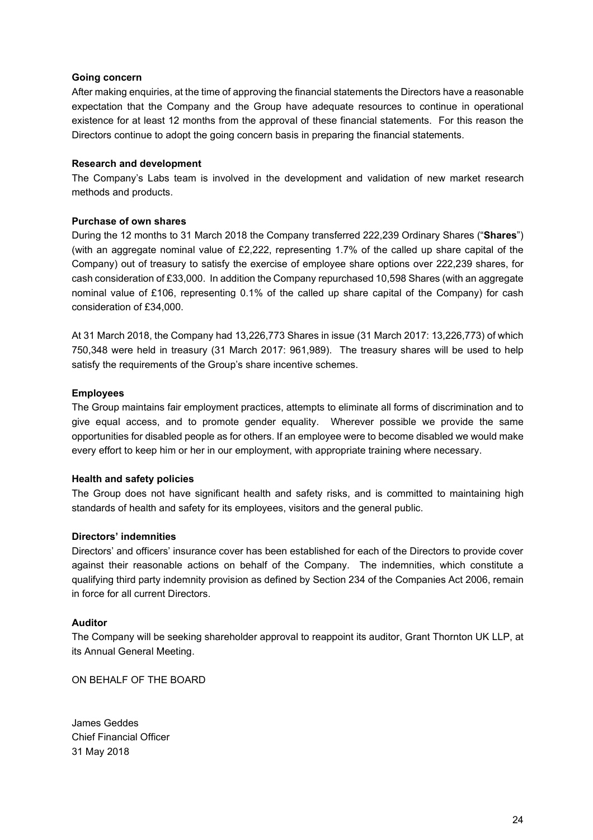### **Going concern**

After making enquiries, at the time of approving the financial statements the Directors have a reasonable expectation that the Company and the Group have adequate resources to continue in operational existence for at least 12 months from the approval of these financial statements. For this reason the Directors continue to adopt the going concern basis in preparing the financial statements.

# **Research and development**

The Company's Labs team is involved in the development and validation of new market research methods and products.

# **Purchase of own shares**

During the 12 months to 31 March 2018 the Company transferred 222,239 Ordinary Shares ("**Shares**") (with an aggregate nominal value of £2,222, representing 1.7% of the called up share capital of the Company) out of treasury to satisfy the exercise of employee share options over 222,239 shares, for cash consideration of £33,000. In addition the Company repurchased 10,598 Shares (with an aggregate nominal value of £106, representing 0.1% of the called up share capital of the Company) for cash consideration of £34,000.

At 31 March 2018, the Company had 13,226,773 Shares in issue (31 March 2017: 13,226,773) of which 750,348 were held in treasury (31 March 2017: 961,989). The treasury shares will be used to help satisfy the requirements of the Group's share incentive schemes.

# **Employees**

The Group maintains fair employment practices, attempts to eliminate all forms of discrimination and to give equal access, and to promote gender equality. Wherever possible we provide the same opportunities for disabled people as for others. If an employee were to become disabled we would make every effort to keep him or her in our employment, with appropriate training where necessary.

#### **Health and safety policies**

The Group does not have significant health and safety risks, and is committed to maintaining high standards of health and safety for its employees, visitors and the general public.

#### **Directors' indemnities**

Directors' and officers' insurance cover has been established for each of the Directors to provide cover against their reasonable actions on behalf of the Company. The indemnities, which constitute a qualifying third party indemnity provision as defined by Section 234 of the Companies Act 2006, remain in force for all current Directors.

#### **Auditor**

The Company will be seeking shareholder approval to reappoint its auditor, Grant Thornton UK LLP, at its Annual General Meeting.

ON BEHALF OF THE BOARD

James Geddes Chief Financial Officer 31 May 2018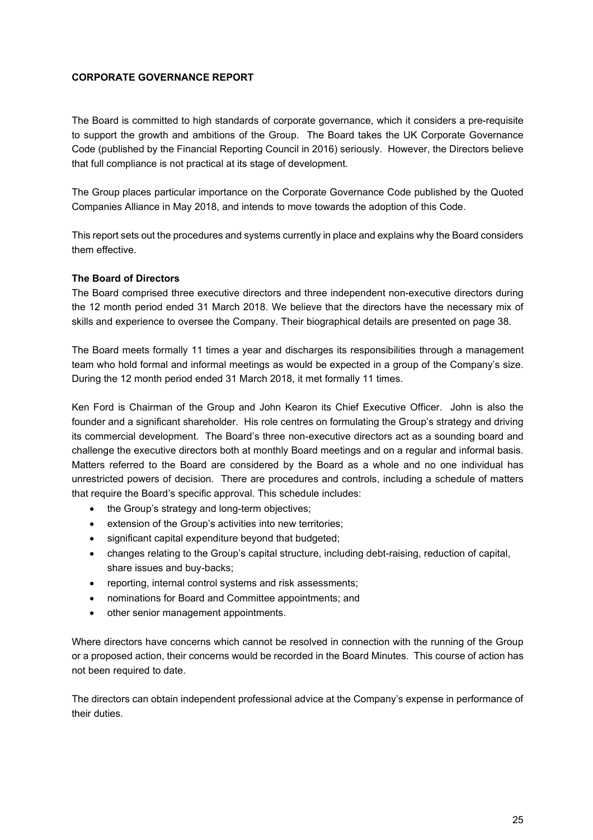# **CORPORATE GOVERNANCE REPORT**

The Board is committed to high standards of corporate governance, which it considers a pre-requisite to support the growth and ambitions of the Group. The Board takes the UK Corporate Governance Code (published by the Financial Reporting Council in 2016) seriously. However, the Directors believe that full compliance is not practical at its stage of development.

The Group places particular importance on the Corporate Governance Code published by the Quoted Companies Alliance in May 2018, and intends to move towards the adoption of this Code.

This report sets out the procedures and systems currently in place and explains why the Board considers them effective.

# **The Board of Directors**

The Board comprised three executive directors and three independent non-executive directors during the 12 month period ended 31 March 2018. We believe that the directors have the necessary mix of skills and experience to oversee the Company. Their biographical details are presented on page 38.

The Board meets formally 11 times a year and discharges its responsibilities through a management team who hold formal and informal meetings as would be expected in a group of the Company's size. During the 12 month period ended 31 March 2018, it met formally 11 times.

Ken Ford is Chairman of the Group and John Kearon its Chief Executive Officer. John is also the founder and a significant shareholder. His role centres on formulating the Group's strategy and driving its commercial development. The Board's three non-executive directors act as a sounding board and challenge the executive directors both at monthly Board meetings and on a regular and informal basis. Matters referred to the Board are considered by the Board as a whole and no one individual has unrestricted powers of decision. There are procedures and controls, including a schedule of matters that require the Board's specific approval. This schedule includes:

- the Group's strategy and long-term objectives;
- extension of the Group's activities into new territories;
- significant capital expenditure beyond that budgeted;
- changes relating to the Group's capital structure, including debt-raising, reduction of capital, share issues and buy-backs;
- reporting, internal control systems and risk assessments;
- nominations for Board and Committee appointments; and
- other senior management appointments.

Where directors have concerns which cannot be resolved in connection with the running of the Group or a proposed action, their concerns would be recorded in the Board Minutes. This course of action has not been required to date.

The directors can obtain independent professional advice at the Company's expense in performance of their duties.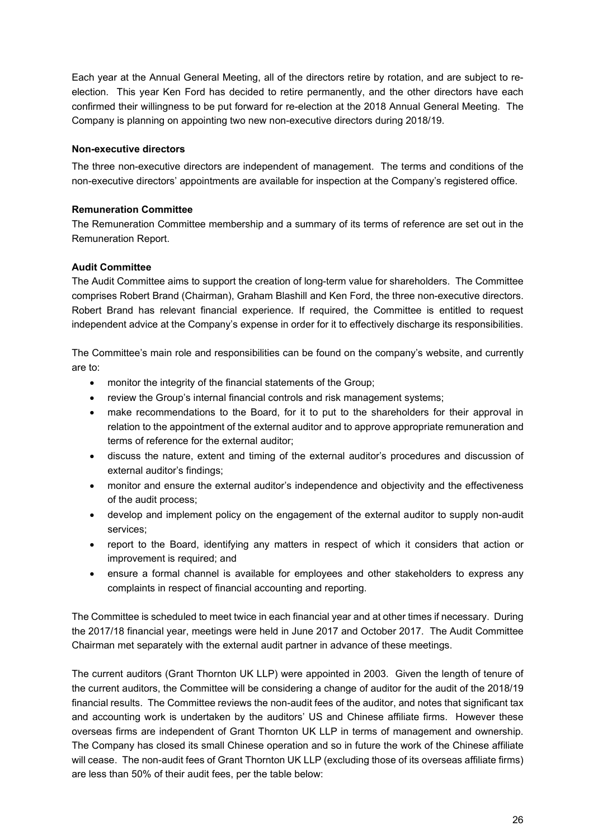Each year at the Annual General Meeting, all of the directors retire by rotation, and are subject to reelection. This year Ken Ford has decided to retire permanently, and the other directors have each confirmed their willingness to be put forward for re-election at the 2018 Annual General Meeting. The Company is planning on appointing two new non-executive directors during 2018/19.

# **Non-executive directors**

The three non-executive directors are independent of management. The terms and conditions of the non-executive directors' appointments are available for inspection at the Company's registered office.

# **Remuneration Committee**

The Remuneration Committee membership and a summary of its terms of reference are set out in the Remuneration Report.

# **Audit Committee**

The Audit Committee aims to support the creation of long-term value for shareholders. The Committee comprises Robert Brand (Chairman), Graham Blashill and Ken Ford, the three non-executive directors. Robert Brand has relevant financial experience. If required, the Committee is entitled to request independent advice at the Company's expense in order for it to effectively discharge its responsibilities.

The Committee's main role and responsibilities can be found on the company's website, and currently are to:

- monitor the integrity of the financial statements of the Group;
- review the Group's internal financial controls and risk management systems;
- make recommendations to the Board, for it to put to the shareholders for their approval in relation to the appointment of the external auditor and to approve appropriate remuneration and terms of reference for the external auditor;
- discuss the nature, extent and timing of the external auditor's procedures and discussion of external auditor's findings;
- monitor and ensure the external auditor's independence and objectivity and the effectiveness of the audit process;
- develop and implement policy on the engagement of the external auditor to supply non-audit services;
- report to the Board, identifying any matters in respect of which it considers that action or improvement is required; and
- ensure a formal channel is available for employees and other stakeholders to express any complaints in respect of financial accounting and reporting.

The Committee is scheduled to meet twice in each financial year and at other times if necessary. During the 2017/18 financial year, meetings were held in June 2017 and October 2017. The Audit Committee Chairman met separately with the external audit partner in advance of these meetings.

The current auditors (Grant Thornton UK LLP) were appointed in 2003. Given the length of tenure of the current auditors, the Committee will be considering a change of auditor for the audit of the 2018/19 financial results. The Committee reviews the non-audit fees of the auditor, and notes that significant tax and accounting work is undertaken by the auditors' US and Chinese affiliate firms. However these overseas firms are independent of Grant Thornton UK LLP in terms of management and ownership. The Company has closed its small Chinese operation and so in future the work of the Chinese affiliate will cease. The non-audit fees of Grant Thornton UK LLP (excluding those of its overseas affiliate firms) are less than 50% of their audit fees, per the table below: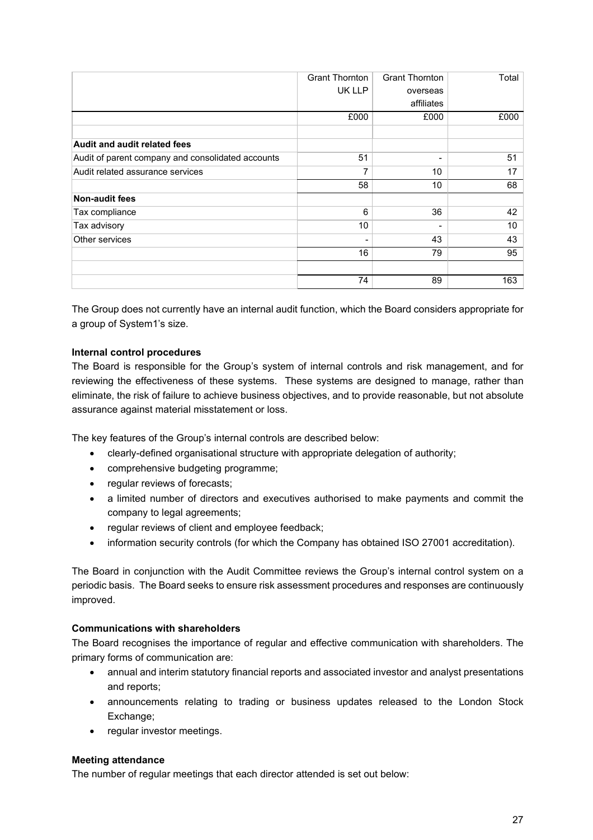|                                                   | <b>Grant Thornton</b> | <b>Grant Thornton</b> | Total |
|---------------------------------------------------|-----------------------|-----------------------|-------|
|                                                   | UK LLP                | overseas              |       |
|                                                   |                       | affiliates            |       |
|                                                   | £000                  | £000                  | £000  |
|                                                   |                       |                       |       |
| <b>Audit and audit related fees</b>               |                       |                       |       |
| Audit of parent company and consolidated accounts | 51                    |                       | 51    |
| Audit related assurance services                  | 7                     | 10                    | 17    |
|                                                   | 58                    | 10                    | 68    |
| <b>Non-audit fees</b>                             |                       |                       |       |
| Tax compliance                                    | 6                     | 36                    | 42    |
| Tax advisory                                      | 10                    |                       | 10    |
| Other services                                    |                       | 43                    | 43    |
|                                                   | 16                    | 79                    | 95    |
|                                                   |                       |                       |       |
|                                                   | 74                    | 89                    | 163   |

The Group does not currently have an internal audit function, which the Board considers appropriate for a group of System1's size.

# **Internal control procedures**

The Board is responsible for the Group's system of internal controls and risk management, and for reviewing the effectiveness of these systems. These systems are designed to manage, rather than eliminate, the risk of failure to achieve business objectives, and to provide reasonable, but not absolute assurance against material misstatement or loss.

The key features of the Group's internal controls are described below:

- clearly-defined organisational structure with appropriate delegation of authority;
- comprehensive budgeting programme;
- regular reviews of forecasts;
- a limited number of directors and executives authorised to make payments and commit the company to legal agreements;
- regular reviews of client and employee feedback;
- information security controls (for which the Company has obtained ISO 27001 accreditation).

The Board in conjunction with the Audit Committee reviews the Group's internal control system on a periodic basis. The Board seeks to ensure risk assessment procedures and responses are continuously improved.

# **Communications with shareholders**

The Board recognises the importance of regular and effective communication with shareholders. The primary forms of communication are:

- annual and interim statutory financial reports and associated investor and analyst presentations and reports;
- announcements relating to trading or business updates released to the London Stock Exchange;
- regular investor meetings.

#### **Meeting attendance**

The number of regular meetings that each director attended is set out below: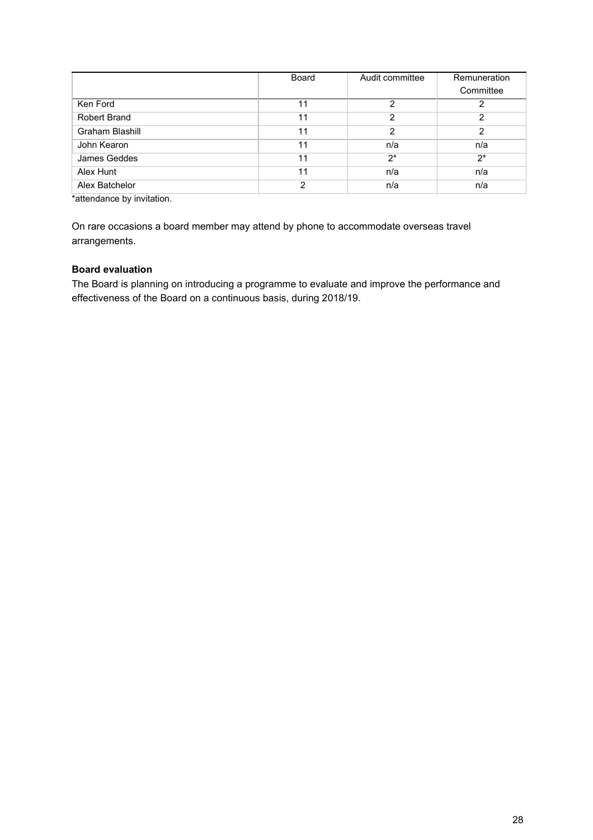|                 | <b>Board</b> | Audit committee | Remuneration |
|-----------------|--------------|-----------------|--------------|
|                 |              |                 | Committee    |
| Ken Ford        | 11           | 2               |              |
| Robert Brand    | 11           | 2               | 2            |
| Graham Blashill | 11           | 2               | 2            |
| John Kearon     | 11           | n/a             | n/a          |
| James Geddes    | 11           | $2^*$           | $2^*$        |
| Alex Hunt       | 11           | n/a             | n/a          |
| Alex Batchelor  | 2            | n/a             | n/a          |

\*attendance by invitation.

On rare occasions a board member may attend by phone to accommodate overseas travel arrangements.

# **Board evaluation**

The Board is planning on introducing a programme to evaluate and improve the performance and effectiveness of the Board on a continuous basis, during 2018/19.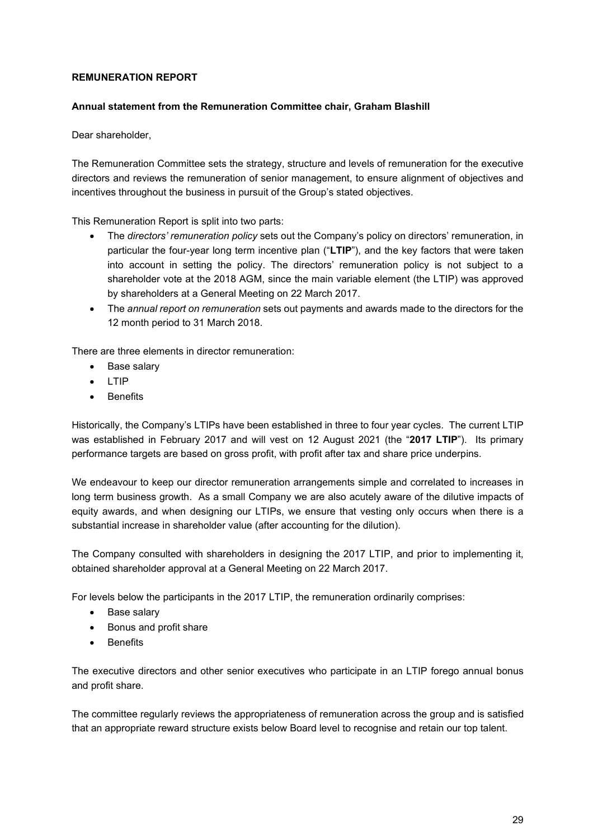# **REMUNERATION REPORT**

#### **Annual statement from the Remuneration Committee chair, Graham Blashill**

Dear shareholder,

The Remuneration Committee sets the strategy, structure and levels of remuneration for the executive directors and reviews the remuneration of senior management, to ensure alignment of objectives and incentives throughout the business in pursuit of the Group's stated objectives.

This Remuneration Report is split into two parts:

- The *directors' remuneration policy* sets out the Company's policy on directors' remuneration, in particular the four-year long term incentive plan ("**LTIP**"), and the key factors that were taken into account in setting the policy. The directors' remuneration policy is not subject to a shareholder vote at the 2018 AGM, since the main variable element (the LTIP) was approved by shareholders at a General Meeting on 22 March 2017.
- The *annual report on remuneration* sets out payments and awards made to the directors for the 12 month period to 31 March 2018.

There are three elements in director remuneration:

- Base salary
- LTIP
- Benefits

Historically, the Company's LTIPs have been established in three to four year cycles. The current LTIP was established in February 2017 and will vest on 12 August 2021 (the "**2017 LTIP**"). Its primary performance targets are based on gross profit, with profit after tax and share price underpins.

We endeavour to keep our director remuneration arrangements simple and correlated to increases in long term business growth. As a small Company we are also acutely aware of the dilutive impacts of equity awards, and when designing our LTIPs, we ensure that vesting only occurs when there is a substantial increase in shareholder value (after accounting for the dilution).

The Company consulted with shareholders in designing the 2017 LTIP, and prior to implementing it, obtained shareholder approval at a General Meeting on 22 March 2017.

For levels below the participants in the 2017 LTIP, the remuneration ordinarily comprises:

- Base salary
- Bonus and profit share
- Benefits

The executive directors and other senior executives who participate in an LTIP forego annual bonus and profit share.

The committee regularly reviews the appropriateness of remuneration across the group and is satisfied that an appropriate reward structure exists below Board level to recognise and retain our top talent.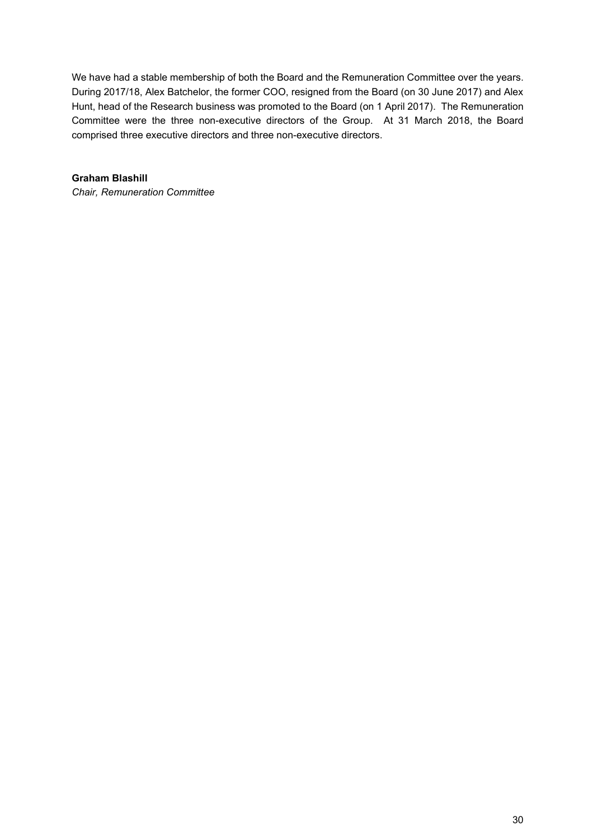We have had a stable membership of both the Board and the Remuneration Committee over the years. During 2017/18, Alex Batchelor, the former COO, resigned from the Board (on 30 June 2017) and Alex Hunt, head of the Research business was promoted to the Board (on 1 April 2017). The Remuneration Committee were the three non-executive directors of the Group. At 31 March 2018, the Board comprised three executive directors and three non-executive directors.

# **Graham Blashill**

*Chair, Remuneration Committee*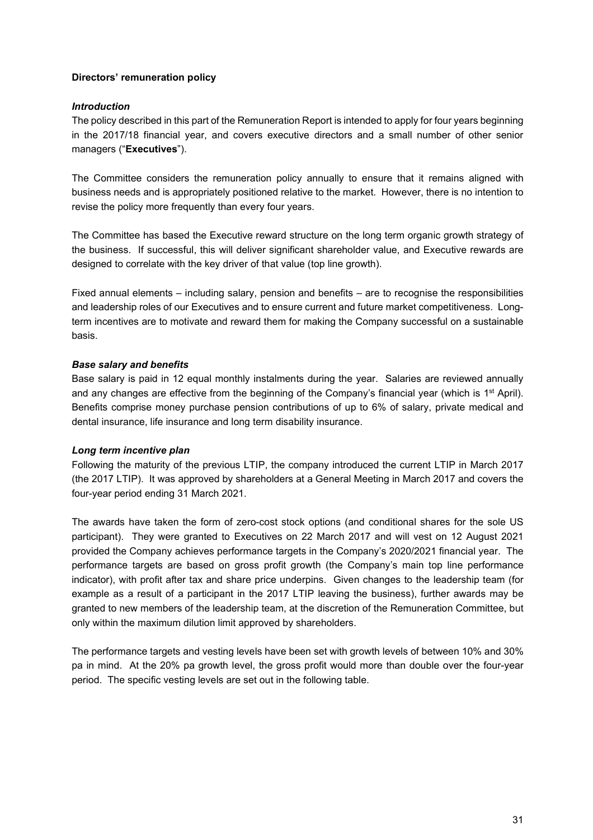# **Directors' remuneration policy**

# *Introduction*

The policy described in this part of the Remuneration Report is intended to apply for four years beginning in the 2017/18 financial year, and covers executive directors and a small number of other senior managers ("**Executives**").

The Committee considers the remuneration policy annually to ensure that it remains aligned with business needs and is appropriately positioned relative to the market. However, there is no intention to revise the policy more frequently than every four years.

The Committee has based the Executive reward structure on the long term organic growth strategy of the business. If successful, this will deliver significant shareholder value, and Executive rewards are designed to correlate with the key driver of that value (top line growth).

Fixed annual elements – including salary, pension and benefits – are to recognise the responsibilities and leadership roles of our Executives and to ensure current and future market competitiveness. Longterm incentives are to motivate and reward them for making the Company successful on a sustainable basis.

# *Base salary and benefits*

Base salary is paid in 12 equal monthly instalments during the year. Salaries are reviewed annually and any changes are effective from the beginning of the Company's financial year (which is 1<sup>st</sup> April). Benefits comprise money purchase pension contributions of up to 6% of salary, private medical and dental insurance, life insurance and long term disability insurance.

#### *Long term incentive plan*

Following the maturity of the previous LTIP, the company introduced the current LTIP in March 2017 (the 2017 LTIP). It was approved by shareholders at a General Meeting in March 2017 and covers the four-year period ending 31 March 2021.

The awards have taken the form of zero-cost stock options (and conditional shares for the sole US participant). They were granted to Executives on 22 March 2017 and will vest on 12 August 2021 provided the Company achieves performance targets in the Company's 2020/2021 financial year. The performance targets are based on gross profit growth (the Company's main top line performance indicator), with profit after tax and share price underpins. Given changes to the leadership team (for example as a result of a participant in the 2017 LTIP leaving the business), further awards may be granted to new members of the leadership team, at the discretion of the Remuneration Committee, but only within the maximum dilution limit approved by shareholders.

The performance targets and vesting levels have been set with growth levels of between 10% and 30% pa in mind. At the 20% pa growth level, the gross profit would more than double over the four-year period. The specific vesting levels are set out in the following table.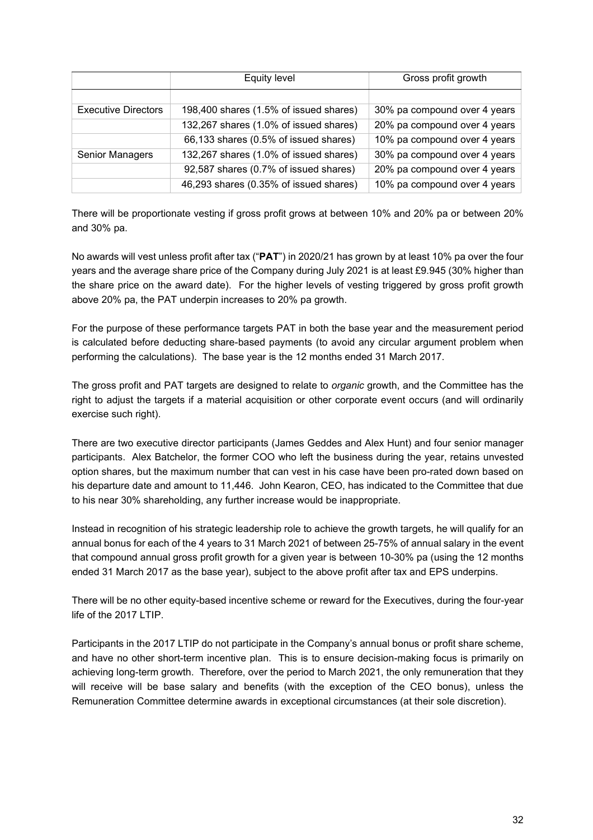|                            | Equity level                           | Gross profit growth          |
|----------------------------|----------------------------------------|------------------------------|
|                            |                                        |                              |
| <b>Executive Directors</b> | 198,400 shares (1.5% of issued shares) | 30% pa compound over 4 years |
|                            | 132,267 shares (1.0% of issued shares) | 20% pa compound over 4 years |
|                            | 66,133 shares (0.5% of issued shares)  | 10% pa compound over 4 years |
| Senior Managers            | 132,267 shares (1.0% of issued shares) | 30% pa compound over 4 years |
|                            | 92,587 shares (0.7% of issued shares)  | 20% pa compound over 4 years |
|                            | 46,293 shares (0.35% of issued shares) | 10% pa compound over 4 years |

There will be proportionate vesting if gross profit grows at between 10% and 20% pa or between 20% and 30% pa.

No awards will vest unless profit after tax ("**PAT**") in 2020/21 has grown by at least 10% pa over the four years and the average share price of the Company during July 2021 is at least £9.945 (30% higher than the share price on the award date). For the higher levels of vesting triggered by gross profit growth above 20% pa, the PAT underpin increases to 20% pa growth.

For the purpose of these performance targets PAT in both the base year and the measurement period is calculated before deducting share-based payments (to avoid any circular argument problem when performing the calculations). The base year is the 12 months ended 31 March 2017.

The gross profit and PAT targets are designed to relate to *organic* growth, and the Committee has the right to adjust the targets if a material acquisition or other corporate event occurs (and will ordinarily exercise such right).

There are two executive director participants (James Geddes and Alex Hunt) and four senior manager participants. Alex Batchelor, the former COO who left the business during the year, retains unvested option shares, but the maximum number that can vest in his case have been pro-rated down based on his departure date and amount to 11,446. John Kearon, CEO, has indicated to the Committee that due to his near 30% shareholding, any further increase would be inappropriate.

Instead in recognition of his strategic leadership role to achieve the growth targets, he will qualify for an annual bonus for each of the 4 years to 31 March 2021 of between 25-75% of annual salary in the event that compound annual gross profit growth for a given year is between 10-30% pa (using the 12 months ended 31 March 2017 as the base year), subject to the above profit after tax and EPS underpins.

There will be no other equity-based incentive scheme or reward for the Executives, during the four-year life of the 2017 LTIP.

Participants in the 2017 LTIP do not participate in the Company's annual bonus or profit share scheme, and have no other short-term incentive plan. This is to ensure decision-making focus is primarily on achieving long-term growth. Therefore, over the period to March 2021, the only remuneration that they will receive will be base salary and benefits (with the exception of the CEO bonus), unless the Remuneration Committee determine awards in exceptional circumstances (at their sole discretion).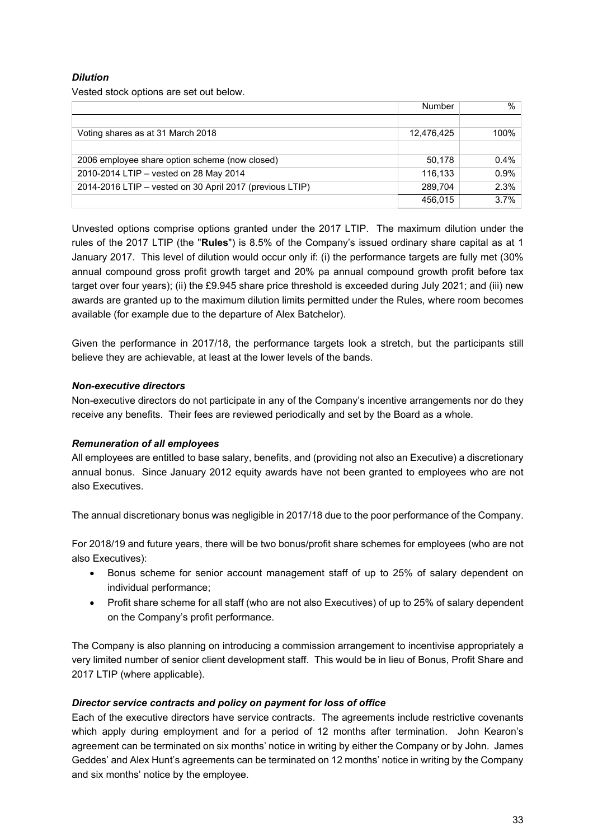# *Dilution*

Vested stock options are set out below.

|                                                          | Number     | $\frac{0}{0}$ |
|----------------------------------------------------------|------------|---------------|
|                                                          |            |               |
| Voting shares as at 31 March 2018                        | 12,476,425 | 100%          |
|                                                          |            |               |
| 2006 employee share option scheme (now closed)           | 50,178     | 0.4%          |
| 2010-2014 LTIP - vested on 28 May 2014                   | 116,133    | 0.9%          |
| 2014-2016 LTIP – vested on 30 April 2017 (previous LTIP) | 289.704    | 2.3%          |
|                                                          | 456.015    | 3.7%          |

Unvested options comprise options granted under the 2017 LTIP. The maximum dilution under the rules of the 2017 LTIP (the "**Rules**") is 8.5% of the Company's issued ordinary share capital as at 1 January 2017. This level of dilution would occur only if: (i) the performance targets are fully met (30% annual compound gross profit growth target and 20% pa annual compound growth profit before tax target over four years); (ii) the £9.945 share price threshold is exceeded during July 2021; and (iii) new awards are granted up to the maximum dilution limits permitted under the Rules, where room becomes available (for example due to the departure of Alex Batchelor).

Given the performance in 2017/18, the performance targets look a stretch, but the participants still believe they are achievable, at least at the lower levels of the bands.

#### *Non-executive directors*

Non-executive directors do not participate in any of the Company's incentive arrangements nor do they receive any benefits. Their fees are reviewed periodically and set by the Board as a whole.

#### *Remuneration of all employees*

All employees are entitled to base salary, benefits, and (providing not also an Executive) a discretionary annual bonus. Since January 2012 equity awards have not been granted to employees who are not also Executives.

The annual discretionary bonus was negligible in 2017/18 due to the poor performance of the Company.

For 2018/19 and future years, there will be two bonus/profit share schemes for employees (who are not also Executives):

- Bonus scheme for senior account management staff of up to 25% of salary dependent on individual performance;
- Profit share scheme for all staff (who are not also Executives) of up to 25% of salary dependent on the Company's profit performance.

The Company is also planning on introducing a commission arrangement to incentivise appropriately a very limited number of senior client development staff. This would be in lieu of Bonus, Profit Share and 2017 LTIP (where applicable).

#### *Director service contracts and policy on payment for loss of office*

Each of the executive directors have service contracts. The agreements include restrictive covenants which apply during employment and for a period of 12 months after termination. John Kearon's agreement can be terminated on six months' notice in writing by either the Company or by John. James Geddes' and Alex Hunt's agreements can be terminated on 12 months' notice in writing by the Company and six months' notice by the employee.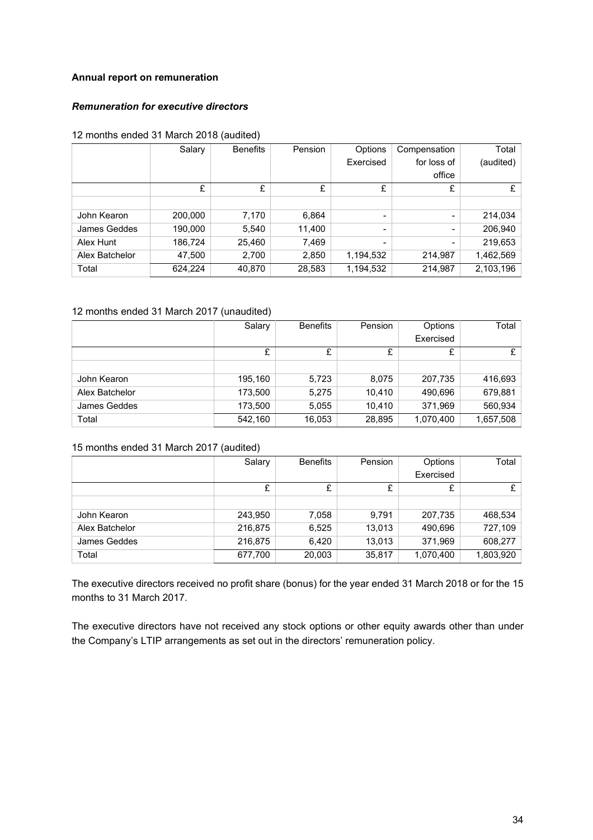# **Annual report on remuneration**

# *Remuneration for executive directors*

#### 12 months ended 31 March 2018 (audited)

|                | Salary  | <b>Benefits</b> | Pension | Options                  | Compensation | Total     |
|----------------|---------|-----------------|---------|--------------------------|--------------|-----------|
|                |         |                 |         | Exercised                | for loss of  | (audited) |
|                |         |                 |         |                          | office       |           |
|                | £       | £               | £       | £                        | £            | £         |
|                |         |                 |         |                          |              |           |
| John Kearon    | 200,000 | 7,170           | 6,864   | $\overline{\phantom{0}}$ | Ξ.           | 214,034   |
| James Geddes   | 190,000 | 5,540           | 11,400  | -                        | -            | 206,940   |
| Alex Hunt      | 186,724 | 25,460          | 7,469   | -                        | ۰.           | 219,653   |
| Alex Batchelor | 47,500  | 2,700           | 2,850   | 1,194,532                | 214,987      | 1,462,569 |
| Total          | 624,224 | 40,870          | 28,583  | 1,194,532                | 214,987      | 2,103,196 |

### 12 months ended 31 March 2017 (unaudited)

|                | Salary  | <b>Benefits</b> | Pension | Options   | Total     |
|----------------|---------|-----------------|---------|-----------|-----------|
|                |         |                 |         | Exercised |           |
|                | £       |                 |         |           | £         |
|                |         |                 |         |           |           |
| John Kearon    | 195,160 | 5,723           | 8,075   | 207,735   | 416,693   |
| Alex Batchelor | 173,500 | 5,275           | 10.410  | 490,696   | 679,881   |
| James Geddes   | 173,500 | 5,055           | 10.410  | 371,969   | 560,934   |
| Total          | 542,160 | 16,053          | 28,895  | 1,070,400 | 1,657,508 |

#### 15 months ended 31 March 2017 (audited)

|                | Salary  | <b>Benefits</b> | Pension | Options   | Total     |
|----------------|---------|-----------------|---------|-----------|-----------|
|                |         |                 |         | Exercised |           |
|                | £       | £               |         | £         | £         |
|                |         |                 |         |           |           |
| John Kearon    | 243,950 | 7,058           | 9.791   | 207,735   | 468,534   |
| Alex Batchelor | 216,875 | 6,525           | 13,013  | 490,696   | 727,109   |
| James Geddes   | 216,875 | 6,420           | 13,013  | 371,969   | 608,277   |
| Total          | 677,700 | 20,003          | 35,817  | 1,070,400 | 1,803,920 |

The executive directors received no profit share (bonus) for the year ended 31 March 2018 or for the 15 months to 31 March 2017.

The executive directors have not received any stock options or other equity awards other than under the Company's LTIP arrangements as set out in the directors' remuneration policy.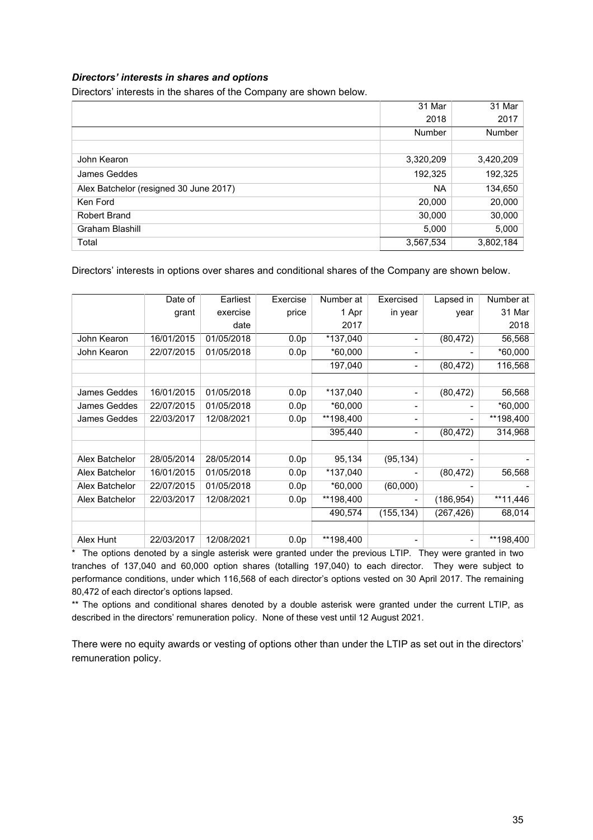#### *Directors' interests in shares and options*

Directors' interests in the shares of the Company are shown below.

|                                        | 31 Mar    | 31 Mar    |
|----------------------------------------|-----------|-----------|
|                                        | 2018      | 2017      |
|                                        | Number    | Number    |
|                                        |           |           |
| John Kearon                            | 3,320,209 | 3,420,209 |
| James Geddes                           | 192,325   | 192,325   |
| Alex Batchelor (resigned 30 June 2017) | <b>NA</b> | 134,650   |
| Ken Ford                               | 20,000    | 20,000    |
| Robert Brand                           | 30,000    | 30,000    |
| Graham Blashill                        | 5,000     | 5,000     |
| Total                                  | 3,567,534 | 3,802,184 |

Directors' interests in options over shares and conditional shares of the Company are shown below.

|                | Date of    | Earliest   | Exercise         | Number at | Exercised  | Lapsed in  | Number at |
|----------------|------------|------------|------------------|-----------|------------|------------|-----------|
|                | grant      | exercise   | price            | 1 Apr     | in year    | year       | 31 Mar    |
|                |            | date       |                  | 2017      |            |            | 2018      |
| John Kearon    | 16/01/2015 | 01/05/2018 | 0.0 <sub>p</sub> | *137,040  |            | (80, 472)  | 56,568    |
| John Kearon    | 22/07/2015 | 01/05/2018 | 0.0 <sub>p</sub> | *60,000   |            |            | *60,000   |
|                |            |            |                  | 197,040   |            | (80, 472)  | 116,568   |
|                |            |            |                  |           |            |            |           |
| James Geddes   | 16/01/2015 | 01/05/2018 | 0.0 <sub>p</sub> | *137,040  | -          | (80, 472)  | 56,568    |
| James Geddes   | 22/07/2015 | 01/05/2018 | 0.0 <sub>p</sub> | *60,000   |            |            | *60,000   |
| James Geddes   | 22/03/2017 | 12/08/2021 | 0.0 <sub>p</sub> | **198,400 | Ξ.         |            | **198,400 |
|                |            |            |                  | 395,440   |            | (80, 472)  | 314,968   |
|                |            |            |                  |           |            |            |           |
| Alex Batchelor | 28/05/2014 | 28/05/2014 | 0.0 <sub>p</sub> | 95,134    | (95, 134)  |            |           |
| Alex Batchelor | 16/01/2015 | 01/05/2018 | 0.0 <sub>p</sub> | *137,040  |            | (80, 472)  | 56,568    |
| Alex Batchelor | 22/07/2015 | 01/05/2018 | 0.0 <sub>p</sub> | *60,000   | (60,000)   |            |           |
| Alex Batchelor | 22/03/2017 | 12/08/2021 | 0.0 <sub>p</sub> | **198,400 |            | (186, 954) | **11,446  |
|                |            |            |                  | 490,574   | (155, 134) | (267,426)  | 68,014    |
|                |            |            |                  |           |            |            |           |
| Alex Hunt      | 22/03/2017 | 12/08/2021 | 0.0 <sub>p</sub> | **198,400 |            |            | **198,400 |

\* The options denoted by a single asterisk were granted under the previous LTIP. They were granted in two tranches of 137,040 and 60,000 option shares (totalling 197,040) to each director. They were subject to performance conditions, under which 116,568 of each director's options vested on 30 April 2017. The remaining 80,472 of each director's options lapsed.

\*\* The options and conditional shares denoted by a double asterisk were granted under the current LTIP, as described in the directors' remuneration policy. None of these vest until 12 August 2021.

There were no equity awards or vesting of options other than under the LTIP as set out in the directors' remuneration policy.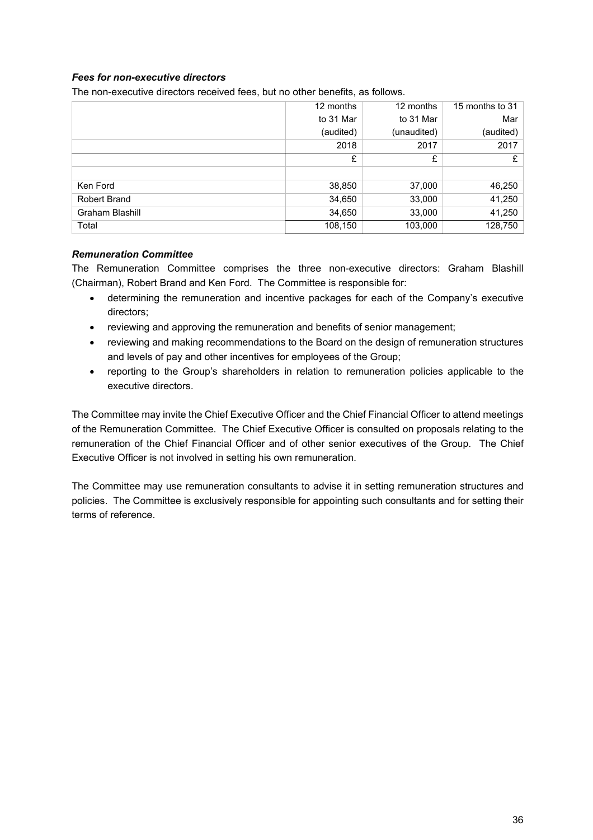# *Fees for non-executive directors*

The non-executive directors received fees, but no other benefits, as follows.

|                     | 12 months | 12 months   | 15 months to 31 |
|---------------------|-----------|-------------|-----------------|
|                     | to 31 Mar | to 31 Mar   | Mar             |
|                     | (audited) | (unaudited) | (audited)       |
|                     | 2018      | 2017        | 2017            |
|                     | £         | £           | £               |
|                     |           |             |                 |
| Ken Ford            | 38,850    | 37,000      | 46,250          |
| <b>Robert Brand</b> | 34,650    | 33,000      | 41,250          |
| Graham Blashill     | 34,650    | 33,000      | 41,250          |
| Total               | 108,150   | 103,000     | 128,750         |

#### *Remuneration Committee*

The Remuneration Committee comprises the three non-executive directors: Graham Blashill (Chairman), Robert Brand and Ken Ford. The Committee is responsible for:

- determining the remuneration and incentive packages for each of the Company's executive directors;
- reviewing and approving the remuneration and benefits of senior management;
- reviewing and making recommendations to the Board on the design of remuneration structures and levels of pay and other incentives for employees of the Group;
- reporting to the Group's shareholders in relation to remuneration policies applicable to the executive directors.

The Committee may invite the Chief Executive Officer and the Chief Financial Officer to attend meetings of the Remuneration Committee. The Chief Executive Officer is consulted on proposals relating to the remuneration of the Chief Financial Officer and of other senior executives of the Group. The Chief Executive Officer is not involved in setting his own remuneration.

The Committee may use remuneration consultants to advise it in setting remuneration structures and policies. The Committee is exclusively responsible for appointing such consultants and for setting their terms of reference.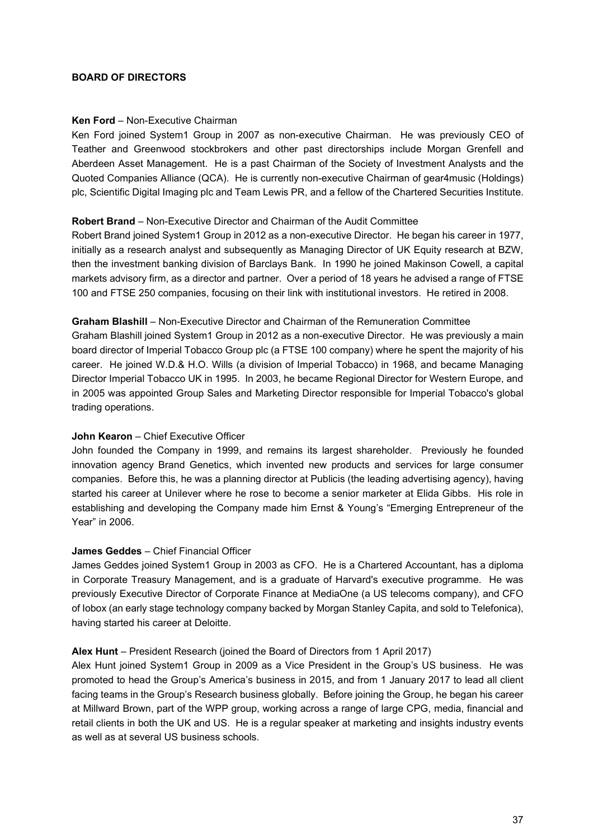### **BOARD OF DIRECTORS**

### **Ken Ford** – Non-Executive Chairman

Ken Ford joined System1 Group in 2007 as non-executive Chairman. He was previously CEO of Teather and Greenwood stockbrokers and other past directorships include Morgan Grenfell and Aberdeen Asset Management. He is a past Chairman of the Society of Investment Analysts and the Quoted Companies Alliance (QCA). He is currently non-executive Chairman of gear4music (Holdings) plc, Scientific Digital Imaging plc and Team Lewis PR, and a fellow of the Chartered Securities Institute.

### **Robert Brand** – Non-Executive Director and Chairman of the Audit Committee

Robert Brand joined System1 Group in 2012 as a non-executive Director. He began his career in 1977, initially as a research analyst and subsequently as Managing Director of UK Equity research at BZW, then the investment banking division of Barclays Bank. In 1990 he joined Makinson Cowell, a capital markets advisory firm, as a director and partner. Over a period of 18 years he advised a range of FTSE 100 and FTSE 250 companies, focusing on their link with institutional investors. He retired in 2008.

### **Graham Blashill** – Non-Executive Director and Chairman of the Remuneration Committee

Graham Blashill joined System1 Group in 2012 as a non-executive Director. He was previously a main board director of Imperial Tobacco Group plc (a FTSE 100 company) where he spent the majority of his career. He joined W.D.& H.O. Wills (a division of Imperial Tobacco) in 1968, and became Managing Director Imperial Tobacco UK in 1995. In 2003, he became Regional Director for Western Europe, and in 2005 was appointed Group Sales and Marketing Director responsible for Imperial Tobacco's global trading operations.

### **John Kearon** – Chief Executive Officer

John founded the Company in 1999, and remains its largest shareholder. Previously he founded innovation agency Brand Genetics, which invented new products and services for large consumer companies. Before this, he was a planning director at Publicis (the leading advertising agency), having started his career at Unilever where he rose to become a senior marketer at Elida Gibbs. His role in establishing and developing the Company made him Ernst & Young's "Emerging Entrepreneur of the Year" in 2006.

### **James Geddes** – Chief Financial Officer

James Geddes joined System1 Group in 2003 as CFO. He is a Chartered Accountant, has a diploma in Corporate Treasury Management, and is a graduate of Harvard's executive programme. He was previously Executive Director of Corporate Finance at MediaOne (a US telecoms company), and CFO of Iobox (an early stage technology company backed by Morgan Stanley Capita, and sold to Telefonica), having started his career at Deloitte.

### **Alex Hunt** – President Research (joined the Board of Directors from 1 April 2017)

Alex Hunt joined System1 Group in 2009 as a Vice President in the Group's US business. He was promoted to head the Group's America's business in 2015, and from 1 January 2017 to lead all client facing teams in the Group's Research business globally. Before joining the Group, he began his career at Millward Brown, part of the WPP group, working across a range of large CPG, media, financial and retail clients in both the UK and US. He is a regular speaker at marketing and insights industry events as well as at several US business schools.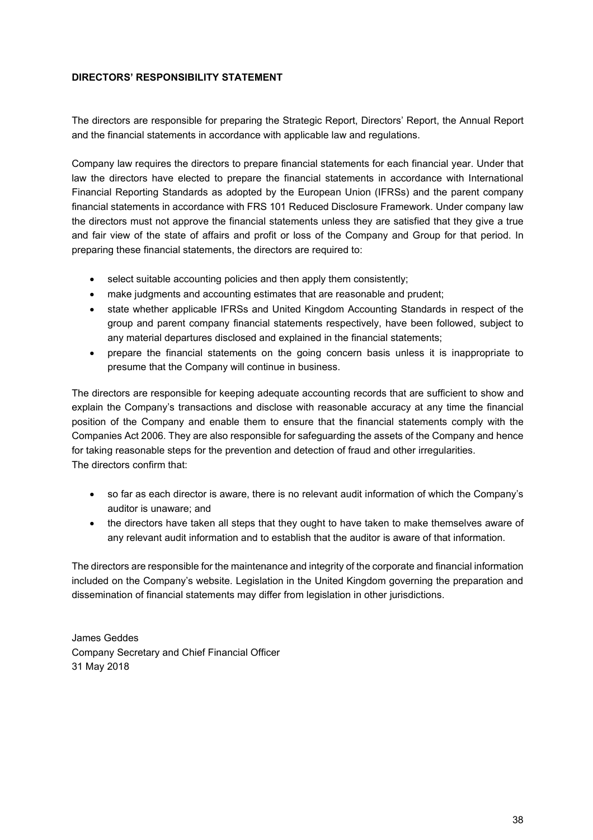### **DIRECTORS' RESPONSIBILITY STATEMENT**

The directors are responsible for preparing the Strategic Report, Directors' Report, the Annual Report and the financial statements in accordance with applicable law and regulations.

Company law requires the directors to prepare financial statements for each financial year. Under that law the directors have elected to prepare the financial statements in accordance with International Financial Reporting Standards as adopted by the European Union (IFRSs) and the parent company financial statements in accordance with FRS 101 Reduced Disclosure Framework. Under company law the directors must not approve the financial statements unless they are satisfied that they give a true and fair view of the state of affairs and profit or loss of the Company and Group for that period. In preparing these financial statements, the directors are required to:

- select suitable accounting policies and then apply them consistently;
- make judgments and accounting estimates that are reasonable and prudent;
- state whether applicable IFRSs and United Kingdom Accounting Standards in respect of the group and parent company financial statements respectively, have been followed, subject to any material departures disclosed and explained in the financial statements;
- prepare the financial statements on the going concern basis unless it is inappropriate to presume that the Company will continue in business.

The directors are responsible for keeping adequate accounting records that are sufficient to show and explain the Company's transactions and disclose with reasonable accuracy at any time the financial position of the Company and enable them to ensure that the financial statements comply with the Companies Act 2006. They are also responsible for safeguarding the assets of the Company and hence for taking reasonable steps for the prevention and detection of fraud and other irregularities. The directors confirm that:

- so far as each director is aware, there is no relevant audit information of which the Company's auditor is unaware; and
- the directors have taken all steps that they ought to have taken to make themselves aware of any relevant audit information and to establish that the auditor is aware of that information.

The directors are responsible for the maintenance and integrity of the corporate and financial information included on the Company's website. Legislation in the United Kingdom governing the preparation and dissemination of financial statements may differ from legislation in other jurisdictions.

James Geddes Company Secretary and Chief Financial Officer 31 May 2018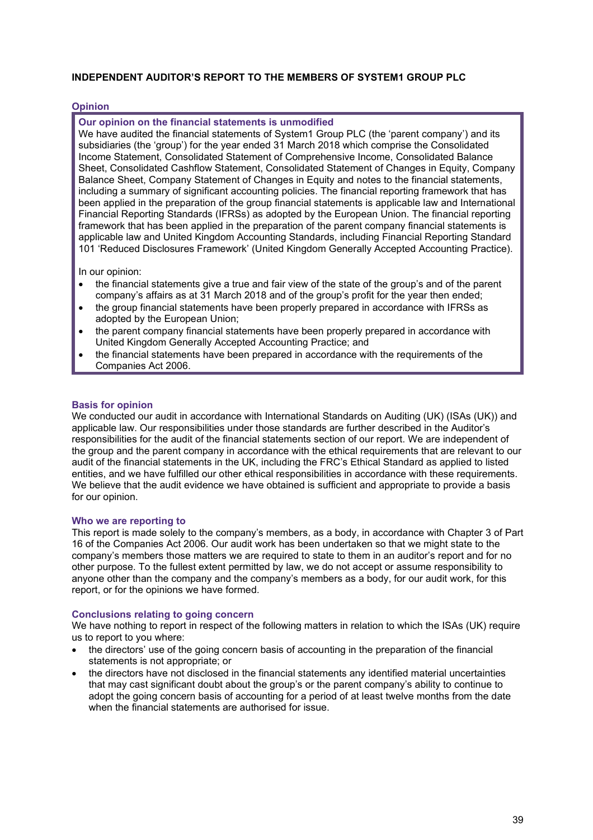### **INDEPENDENT AUDITOR'S REPORT TO THE MEMBERS OF SYSTEM1 GROUP PLC**

### **Opinion**

#### **Our opinion on the financial statements is unmodified**

We have audited the financial statements of System1 Group PLC (the 'parent company') and its subsidiaries (the 'group') for the year ended 31 March 2018 which comprise the Consolidated Income Statement, Consolidated Statement of Comprehensive Income, Consolidated Balance Sheet, Consolidated Cashflow Statement, Consolidated Statement of Changes in Equity, Company Balance Sheet, Company Statement of Changes in Equity and notes to the financial statements, including a summary of significant accounting policies. The financial reporting framework that has been applied in the preparation of the group financial statements is applicable law and International Financial Reporting Standards (IFRSs) as adopted by the European Union. The financial reporting framework that has been applied in the preparation of the parent company financial statements is applicable law and United Kingdom Accounting Standards, including Financial Reporting Standard 101 'Reduced Disclosures Framework' (United Kingdom Generally Accepted Accounting Practice).

In our opinion:

- the financial statements give a true and fair view of the state of the group's and of the parent company's affairs as at 31 March 2018 and of the group's profit for the year then ended;
- the group financial statements have been properly prepared in accordance with IFRSs as adopted by the European Union;
- the parent company financial statements have been properly prepared in accordance with United Kingdom Generally Accepted Accounting Practice; and
- the financial statements have been prepared in accordance with the requirements of the Companies Act 2006.

#### **Basis for opinion**

We conducted our audit in accordance with International Standards on Auditing (UK) (ISAs (UK)) and applicable law. Our responsibilities under those standards are further described in the Auditor's responsibilities for the audit of the financial statements section of our report. We are independent of the group and the parent company in accordance with the ethical requirements that are relevant to our audit of the financial statements in the UK, including the FRC's Ethical Standard as applied to listed entities, and we have fulfilled our other ethical responsibilities in accordance with these requirements. We believe that the audit evidence we have obtained is sufficient and appropriate to provide a basis for our opinion.

#### **Who we are reporting to**

This report is made solely to the company's members, as a body, in accordance with Chapter 3 of Part 16 of the Companies Act 2006. Our audit work has been undertaken so that we might state to the company's members those matters we are required to state to them in an auditor's report and for no other purpose. To the fullest extent permitted by law, we do not accept or assume responsibility to anyone other than the company and the company's members as a body, for our audit work, for this report, or for the opinions we have formed.

#### **Conclusions relating to going concern**

We have nothing to report in respect of the following matters in relation to which the ISAs (UK) require us to report to you where:

- the directors' use of the going concern basis of accounting in the preparation of the financial statements is not appropriate; or
- the directors have not disclosed in the financial statements any identified material uncertainties that may cast significant doubt about the group's or the parent company's ability to continue to adopt the going concern basis of accounting for a period of at least twelve months from the date when the financial statements are authorised for issue.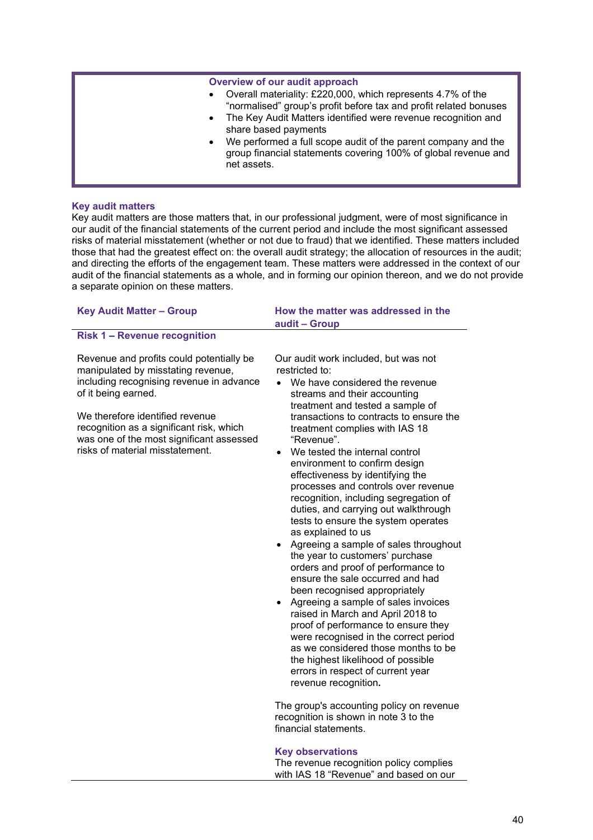#### **Overview of our audit approach**

- Overall materiality: £220,000, which represents 4.7% of the "normalised" group's profit before tax and profit related bonuses
- The Key Audit Matters identified were revenue recognition and share based payments
- We performed a full scope audit of the parent company and the group financial statements covering 100% of global revenue and net assets.

#### **Key audit matters**

Key audit matters are those matters that, in our professional judgment, were of most significance in our audit of the financial statements of the current period and include the most significant assessed risks of material misstatement (whether or not due to fraud) that we identified. These matters included those that had the greatest effect on: the overall audit strategy; the allocation of resources in the audit; and directing the efforts of the engagement team. These matters were addressed in the context of our audit of the financial statements as a whole, and in forming our opinion thereon, and we do not provide a separate opinion on these matters.

| <b>Key Audit Matter - Group</b>                                                                                                                                                                                                                                                                                 | How the matter was addressed in the<br>audit - Group                                                                                                                                                                                                                                                                                                                                                                                                                                                                                                                                                                                                                                                                                                                                                                                                                                                                                                                                                                                                                                                      |  |  |  |
|-----------------------------------------------------------------------------------------------------------------------------------------------------------------------------------------------------------------------------------------------------------------------------------------------------------------|-----------------------------------------------------------------------------------------------------------------------------------------------------------------------------------------------------------------------------------------------------------------------------------------------------------------------------------------------------------------------------------------------------------------------------------------------------------------------------------------------------------------------------------------------------------------------------------------------------------------------------------------------------------------------------------------------------------------------------------------------------------------------------------------------------------------------------------------------------------------------------------------------------------------------------------------------------------------------------------------------------------------------------------------------------------------------------------------------------------|--|--|--|
| <b>Risk 1 - Revenue recognition</b>                                                                                                                                                                                                                                                                             |                                                                                                                                                                                                                                                                                                                                                                                                                                                                                                                                                                                                                                                                                                                                                                                                                                                                                                                                                                                                                                                                                                           |  |  |  |
| Revenue and profits could potentially be<br>manipulated by misstating revenue,<br>including recognising revenue in advance<br>of it being earned.<br>We therefore identified revenue<br>recognition as a significant risk, which<br>was one of the most significant assessed<br>risks of material misstatement. | Our audit work included, but was not<br>restricted to:<br>We have considered the revenue<br>streams and their accounting<br>treatment and tested a sample of<br>transactions to contracts to ensure the<br>treatment complies with IAS 18<br>"Revenue".<br>We tested the internal control<br>$\bullet$<br>environment to confirm design<br>effectiveness by identifying the<br>processes and controls over revenue<br>recognition, including segregation of<br>duties, and carrying out walkthrough<br>tests to ensure the system operates<br>as explained to us<br>Agreeing a sample of sales throughout<br>the year to customers' purchase<br>orders and proof of performance to<br>ensure the sale occurred and had<br>been recognised appropriately<br>Agreeing a sample of sales invoices<br>raised in March and April 2018 to<br>proof of performance to ensure they<br>were recognised in the correct period<br>as we considered those months to be<br>the highest likelihood of possible<br>errors in respect of current year<br>revenue recognition.<br>The group's accounting policy on revenue |  |  |  |

recognition is shown in note 3 to the financial statements.

#### **Key observations**

The revenue recognition policy complies with IAS 18 "Revenue" and based on our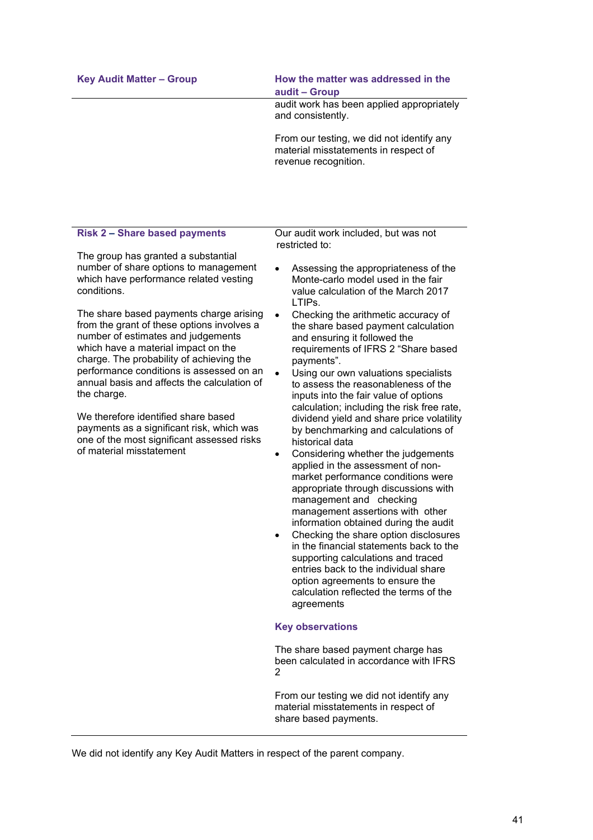### Key Audit Matter – Group **How the matter was addressed in the audit – Group**

audit work has been applied appropriately and consistently.

From our testing, we did not identify any material misstatements in respect of revenue recognition.

### **Risk 2 – Share based payments**

The group has granted a substantial number of share options to management which have performance related vesting conditions.

The share based payments charge arising from the grant of these options involves a number of estimates and judgements which have a material impact on the charge. The probability of achieving the performance conditions is assessed on an annual basis and affects the calculation of the charge.

We therefore identified share based payments as a significant risk, which was one of the most significant assessed risks of material misstatement

Our audit work included, but was not restricted to:

- Assessing the appropriateness of the Monte-carlo model used in the fair value calculation of the March 2017 LTIPs.
- Checking the arithmetic accuracy of the share based payment calculation and ensuring it followed the requirements of IFRS 2 "Share based payments".
- Using our own valuations specialists to assess the reasonableness of the inputs into the fair value of options calculation; including the risk free rate, dividend yield and share price volatility by benchmarking and calculations of historical data
- Considering whether the judgements applied in the assessment of nonmarket performance conditions were appropriate through discussions with management and checking management assertions with other information obtained during the audit
- Checking the share option disclosures in the financial statements back to the supporting calculations and traced entries back to the individual share option agreements to ensure the calculation reflected the terms of the agreements

#### **Key observations**

The share based payment charge has been calculated in accordance with IFRS 2

From our testing we did not identify any material misstatements in respect of share based payments.

We did not identify any Key Audit Matters in respect of the parent company.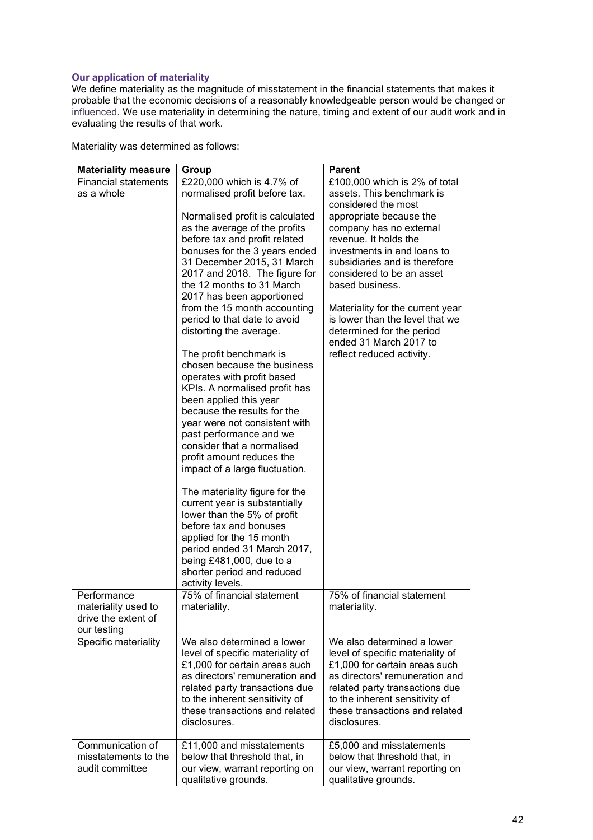### **Our application of materiality**

We define materiality as the magnitude of misstatement in the financial statements that makes it probable that the economic decisions of a reasonably knowledgeable person would be changed or influenced. We use materiality in determining the nature, timing and extent of our audit work and in evaluating the results of that work.

Materiality was determined as follows:

| <b>Materiality measure</b>  | Group                                                 | <b>Parent</b>                    |
|-----------------------------|-------------------------------------------------------|----------------------------------|
| <b>Financial statements</b> | £220,000 which is 4.7% of                             | £100,000 which is 2% of total    |
| as a whole                  | normalised profit before tax.                         | assets. This benchmark is        |
|                             |                                                       | considered the most              |
|                             | Normalised profit is calculated                       | appropriate because the          |
|                             | as the average of the profits                         | company has no external          |
|                             | before tax and profit related                         | revenue. It holds the            |
|                             | bonuses for the 3 years ended                         | investments in and loans to      |
|                             | 31 December 2015, 31 March                            | subsidiaries and is therefore    |
|                             | 2017 and 2018. The figure for                         | considered to be an asset        |
|                             | the 12 months to 31 March                             | based business.                  |
|                             | 2017 has been apportioned                             |                                  |
|                             | from the 15 month accounting                          | Materiality for the current year |
|                             | period to that date to avoid                          | is lower than the level that we  |
|                             | distorting the average.                               | determined for the period        |
|                             |                                                       | ended 31 March 2017 to           |
|                             | The profit benchmark is                               | reflect reduced activity.        |
|                             | chosen because the business                           |                                  |
|                             | operates with profit based                            |                                  |
|                             | KPIs. A normalised profit has                         |                                  |
|                             | been applied this year                                |                                  |
|                             | because the results for the                           |                                  |
|                             |                                                       |                                  |
|                             | year were not consistent with                         |                                  |
|                             | past performance and we<br>consider that a normalised |                                  |
|                             |                                                       |                                  |
|                             | profit amount reduces the                             |                                  |
|                             | impact of a large fluctuation.                        |                                  |
|                             |                                                       |                                  |
|                             | The materiality figure for the                        |                                  |
|                             | current year is substantially                         |                                  |
|                             | lower than the 5% of profit                           |                                  |
|                             | before tax and bonuses                                |                                  |
|                             | applied for the 15 month                              |                                  |
|                             | period ended 31 March 2017,                           |                                  |
|                             | being $£481,000$ , due to a                           |                                  |
|                             | shorter period and reduced                            |                                  |
|                             | activity levels.                                      |                                  |
| Performance                 | 75% of financial statement                            | 75% of financial statement       |
| materiality used to         | materiality.                                          | materiality.                     |
| drive the extent of         |                                                       |                                  |
| our testing                 |                                                       |                                  |
| Specific materiality        | We also determined a lower                            | We also determined a lower       |
|                             | level of specific materiality of                      | level of specific materiality of |
|                             | £1,000 for certain areas such                         | £1,000 for certain areas such    |
|                             | as directors' remuneration and                        | as directors' remuneration and   |
|                             | related party transactions due                        | related party transactions due   |
|                             | to the inherent sensitivity of                        | to the inherent sensitivity of   |
|                             | these transactions and related                        | these transactions and related   |
|                             | disclosures.                                          | disclosures.                     |
|                             |                                                       |                                  |
| Communication of            | £11,000 and misstatements                             | £5,000 and misstatements         |
| misstatements to the        | below that threshold that, in                         | below that threshold that, in    |
| audit committee             | our view, warrant reporting on                        | our view, warrant reporting on   |
|                             | qualitative grounds.                                  | qualitative grounds.             |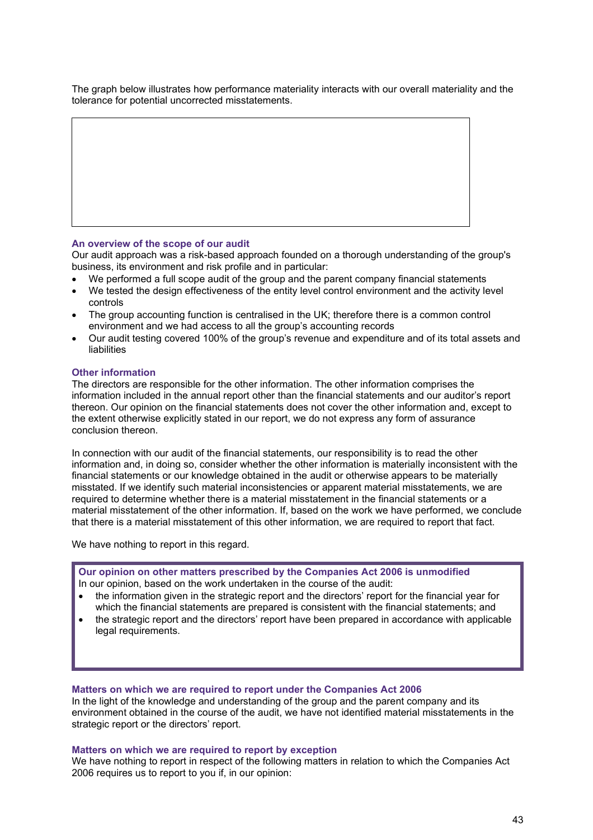The graph below illustrates how performance materiality interacts with our overall materiality and the tolerance for potential uncorrected misstatements.

#### **An overview of the scope of our audit**

Our audit approach was a risk-based approach founded on a thorough understanding of the group's business, its environment and risk profile and in particular:

- We performed a full scope audit of the group and the parent company financial statements
- We tested the design effectiveness of the entity level control environment and the activity level controls
- The group accounting function is centralised in the UK; therefore there is a common control environment and we had access to all the group's accounting records
- Our audit testing covered 100% of the group's revenue and expenditure and of its total assets and liabilities

#### **Other information**

The directors are responsible for the other information. The other information comprises the information included in the annual report other than the financial statements and our auditor's report thereon. Our opinion on the financial statements does not cover the other information and, except to the extent otherwise explicitly stated in our report, we do not express any form of assurance conclusion thereon.

In connection with our audit of the financial statements, our responsibility is to read the other information and, in doing so, consider whether the other information is materially inconsistent with the financial statements or our knowledge obtained in the audit or otherwise appears to be materially misstated. If we identify such material inconsistencies or apparent material misstatements, we are required to determine whether there is a material misstatement in the financial statements or a material misstatement of the other information. If, based on the work we have performed, we conclude that there is a material misstatement of this other information, we are required to report that fact.

We have nothing to report in this regard.

**Our opinion on other matters prescribed by the Companies Act 2006 is unmodified** In our opinion, based on the work undertaken in the course of the audit:

- the information given in the strategic report and the directors' report for the financial year for which the financial statements are prepared is consistent with the financial statements; and
- the strategic report and the directors' report have been prepared in accordance with applicable legal requirements.

#### **Matters on which we are required to report under the Companies Act 2006**

In the light of the knowledge and understanding of the group and the parent company and its environment obtained in the course of the audit, we have not identified material misstatements in the strategic report or the directors' report.

#### **Matters on which we are required to report by exception**

We have nothing to report in respect of the following matters in relation to which the Companies Act 2006 requires us to report to you if, in our opinion: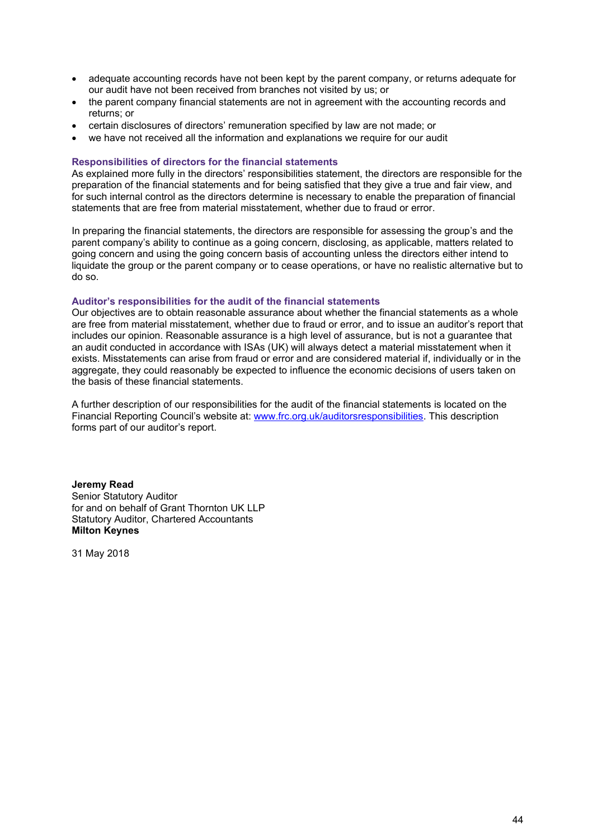- adequate accounting records have not been kept by the parent company, or returns adequate for our audit have not been received from branches not visited by us; or
- the parent company financial statements are not in agreement with the accounting records and returns; or
- certain disclosures of directors' remuneration specified by law are not made; or
- we have not received all the information and explanations we require for our audit

#### **Responsibilities of directors for the financial statements**

As explained more fully in the directors' responsibilities statement, the directors are responsible for the preparation of the financial statements and for being satisfied that they give a true and fair view, and for such internal control as the directors determine is necessary to enable the preparation of financial statements that are free from material misstatement, whether due to fraud or error.

In preparing the financial statements, the directors are responsible for assessing the group's and the parent company's ability to continue as a going concern, disclosing, as applicable, matters related to going concern and using the going concern basis of accounting unless the directors either intend to liquidate the group or the parent company or to cease operations, or have no realistic alternative but to do so.

#### **Auditor's responsibilities for the audit of the financial statements**

Our objectives are to obtain reasonable assurance about whether the financial statements as a whole are free from material misstatement, whether due to fraud or error, and to issue an auditor's report that includes our opinion. Reasonable assurance is a high level of assurance, but is not a guarantee that an audit conducted in accordance with ISAs (UK) will always detect a material misstatement when it exists. Misstatements can arise from fraud or error and are considered material if, individually or in the aggregate, they could reasonably be expected to influence the economic decisions of users taken on the basis of these financial statements.

A further description of our responsibilities for the audit of the financial statements is located on the Financial Reporting Council's website at: www.frc.org.uk/auditorsresponsibilities. This description forms part of our auditor's report.

**Jeremy Read** Senior Statutory Auditor for and on behalf of Grant Thornton UK LLP Statutory Auditor, Chartered Accountants **Milton Keynes**

31 May 2018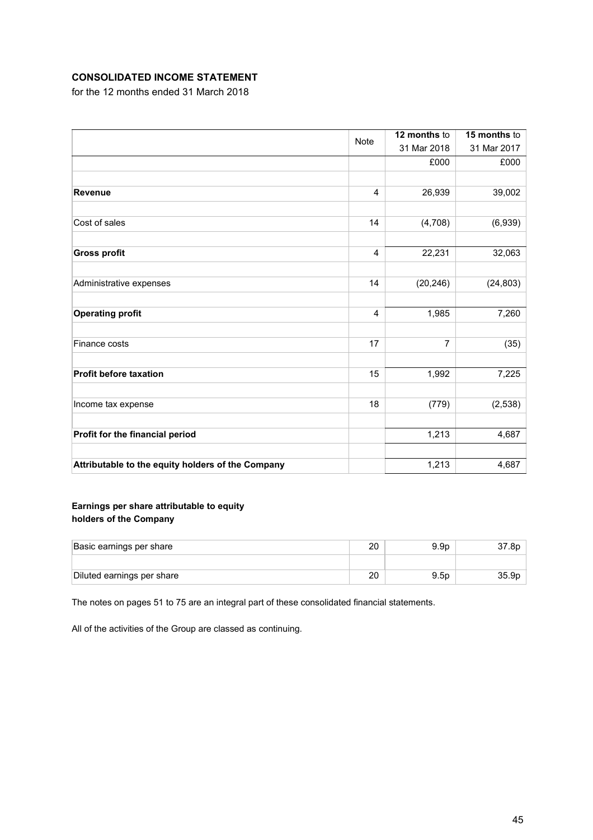# **CONSOLIDATED INCOME STATEMENT**

for the 12 months ended 31 March 2018

|                                                   | <b>Note</b>    | 12 months to   | 15 months to |  |
|---------------------------------------------------|----------------|----------------|--------------|--|
|                                                   |                | 31 Mar 2018    | 31 Mar 2017  |  |
|                                                   |                | £000           | £000         |  |
|                                                   |                |                |              |  |
| <b>Revenue</b>                                    | $\overline{4}$ | 26,939         | 39,002       |  |
|                                                   |                |                |              |  |
| Cost of sales                                     | 14             | (4,708)        | (6,939)      |  |
|                                                   |                |                |              |  |
| <b>Gross profit</b>                               | 4              | 22,231         | 32,063       |  |
|                                                   |                |                |              |  |
| Administrative expenses                           | 14             | (20, 246)      | (24, 803)    |  |
|                                                   |                |                |              |  |
| <b>Operating profit</b>                           | $\overline{4}$ | 1,985          | 7,260        |  |
|                                                   |                |                |              |  |
| Finance costs                                     | 17             | $\overline{7}$ | (35)         |  |
|                                                   |                |                |              |  |
| <b>Profit before taxation</b>                     | 15             | 1,992          | 7,225        |  |
|                                                   |                |                |              |  |
| Income tax expense                                | 18             | (779)          | (2,538)      |  |
|                                                   |                |                |              |  |
| Profit for the financial period                   |                | 1,213          | 4,687        |  |
|                                                   |                |                |              |  |
| Attributable to the equity holders of the Company |                | 1,213          | 4,687        |  |

### **Earnings per share attributable to equity holders of the Company**

| Basic earnings per share   | 20 | 9.9 <sub>D</sub> |    |
|----------------------------|----|------------------|----|
|                            |    |                  |    |
| Diluted earnings per share | 20 | 9.5 <sub>D</sub> | 35 |

The notes on pages 51 to 75 are an integral part of these consolidated financial statements.

All of the activities of the Group are classed as continuing.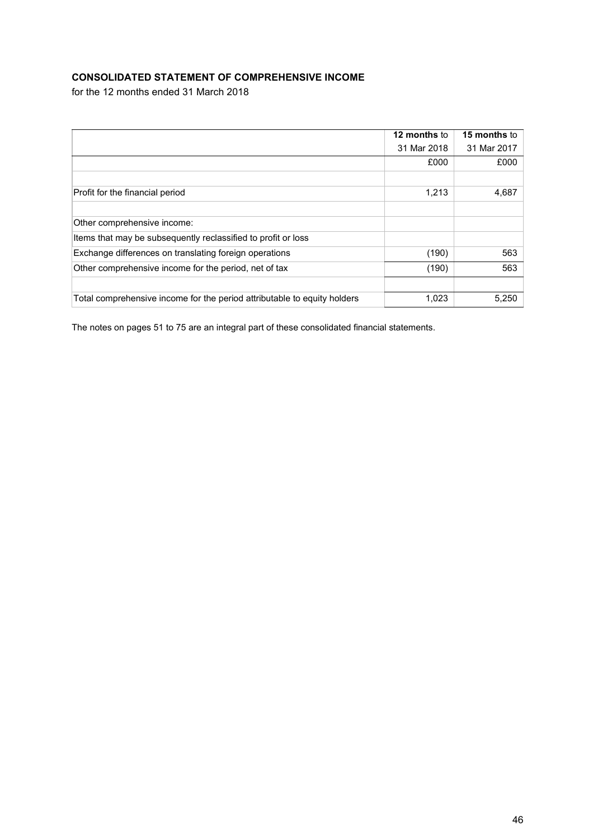# **CONSOLIDATED STATEMENT OF COMPREHENSIVE INCOME**

for the 12 months ended 31 March 2018

|                                                                          | 12 months to | 15 months to |
|--------------------------------------------------------------------------|--------------|--------------|
|                                                                          | 31 Mar 2018  | 31 Mar 2017  |
|                                                                          | £000         | £000         |
|                                                                          |              |              |
| Profit for the financial period                                          | 1,213        | 4,687        |
|                                                                          |              |              |
| Other comprehensive income:                                              |              |              |
| Items that may be subsequently reclassified to profit or loss            |              |              |
| Exchange differences on translating foreign operations                   | (190)        | 563          |
| Other comprehensive income for the period, net of tax                    | (190)        | 563          |
|                                                                          |              |              |
| Total comprehensive income for the period attributable to equity holders | 1,023        | 5,250        |

The notes on pages 51 to 75 are an integral part of these consolidated financial statements.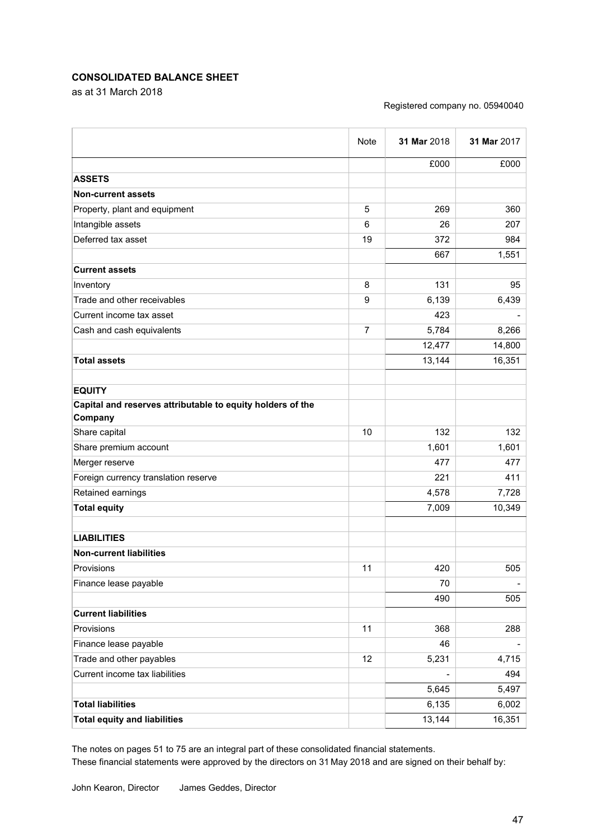### **CONSOLIDATED BALANCE SHEET**

as at 31 March 2018

#### Registered company no. 05940040

|                                                            | Note           | 31 Mar 2018              | 31 Mar 2017 |
|------------------------------------------------------------|----------------|--------------------------|-------------|
|                                                            |                | £000                     | £000        |
| <b>ASSETS</b>                                              |                |                          |             |
| <b>Non-current assets</b>                                  |                |                          |             |
| Property, plant and equipment                              | 5              | 269                      | 360         |
| Intangible assets                                          | 6              | 26                       | 207         |
| Deferred tax asset                                         | 19             | 372                      | 984         |
|                                                            |                | 667                      | 1,551       |
| <b>Current assets</b>                                      |                |                          |             |
| Inventory                                                  | 8              | 131                      | 95          |
| Trade and other receivables                                | 9              | 6,139                    | 6,439       |
| Current income tax asset                                   |                | 423                      |             |
| Cash and cash equivalents                                  | $\overline{7}$ | 5,784                    | 8,266       |
|                                                            |                | 12,477                   | 14,800      |
| <b>Total assets</b>                                        |                | 13,144                   | 16,351      |
|                                                            |                |                          |             |
| <b>EQUITY</b>                                              |                |                          |             |
| Capital and reserves attributable to equity holders of the |                |                          |             |
| Company                                                    |                |                          |             |
| Share capital                                              | 10             | 132                      | 132         |
| Share premium account                                      |                | 1,601                    | 1,601       |
| Merger reserve                                             |                | 477                      | 477         |
| Foreign currency translation reserve                       |                | 221                      | 411         |
| Retained earnings                                          |                | 4,578                    | 7,728       |
| <b>Total equity</b>                                        |                | 7,009                    | 10,349      |
| <b>LIABILITIES</b>                                         |                |                          |             |
| <b>Non-current liabilities</b>                             |                |                          |             |
| Provisions                                                 | 11             | 420                      | 505         |
| Finance lease payable                                      |                | 70                       | -           |
|                                                            |                | 490                      | 505         |
| <b>Current liabilities</b>                                 |                |                          |             |
| Provisions                                                 | 11             | 368                      | 288         |
| Finance lease payable                                      |                | 46                       |             |
| Trade and other payables                                   | 12             | 5,231                    | 4,715       |
| Current income tax liabilities                             |                | $\overline{\phantom{0}}$ | 494         |
|                                                            |                | 5,645                    | 5,497       |
| <b>Total liabilities</b>                                   |                | 6,135                    | 6,002       |
| <b>Total equity and liabilities</b>                        |                | 13,144                   | 16,351      |

The notes on pages 51 to 75 are an integral part of these consolidated financial statements. These financial statements were approved by the directors on 31 May 2018 and are signed on their behalf by: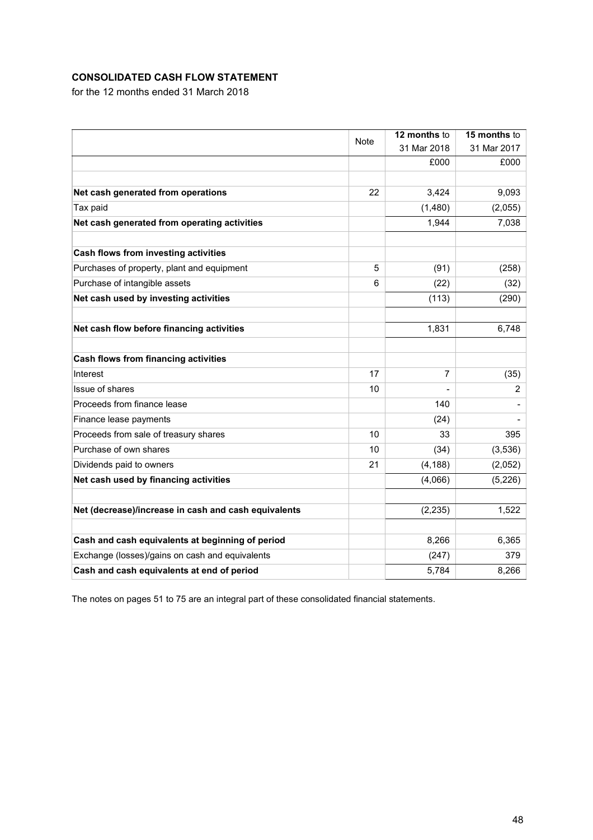# **CONSOLIDATED CASH FLOW STATEMENT**

for the 12 months ended 31 March 2018

|                                                      |      | 12 months to | 15 months to |
|------------------------------------------------------|------|--------------|--------------|
|                                                      | Note | 31 Mar 2018  | 31 Mar 2017  |
|                                                      |      | £000         | £000         |
|                                                      |      |              |              |
| Net cash generated from operations                   | 22   | 3,424        | 9,093        |
| Tax paid                                             |      | (1,480)      | (2,055)      |
| Net cash generated from operating activities         |      | 1,944        | 7,038        |
| <b>Cash flows from investing activities</b>          |      |              |              |
| Purchases of property, plant and equipment           | 5    | (91)         | (258)        |
| Purchase of intangible assets                        | 6    | (22)         | (32)         |
| Net cash used by investing activities                |      | (113)        | (290)        |
|                                                      |      |              |              |
| Net cash flow before financing activities            |      | 1,831        | 6,748        |
| <b>Cash flows from financing activities</b>          |      |              |              |
| Interest                                             | 17   | 7            | (35)         |
| Issue of shares                                      | 10   |              | 2            |
| Proceeds from finance lease                          |      | 140          |              |
| Finance lease payments                               |      | (24)         |              |
| Proceeds from sale of treasury shares                | 10   | 33           | 395          |
| Purchase of own shares                               | 10   | (34)         | (3,536)      |
| Dividends paid to owners                             | 21   | (4, 188)     | (2,052)      |
| Net cash used by financing activities                |      | (4,066)      | (5, 226)     |
|                                                      |      |              |              |
| Net (decrease)/increase in cash and cash equivalents |      | (2, 235)     | 1,522        |
| Cash and cash equivalents at beginning of period     |      | 8,266        | 6,365        |
|                                                      |      |              | 379          |
| Exchange (losses)/gains on cash and equivalents      |      | (247)        |              |
| Cash and cash equivalents at end of period           |      | 5,784        | 8,266        |

The notes on pages 51 to 75 are an integral part of these consolidated financial statements.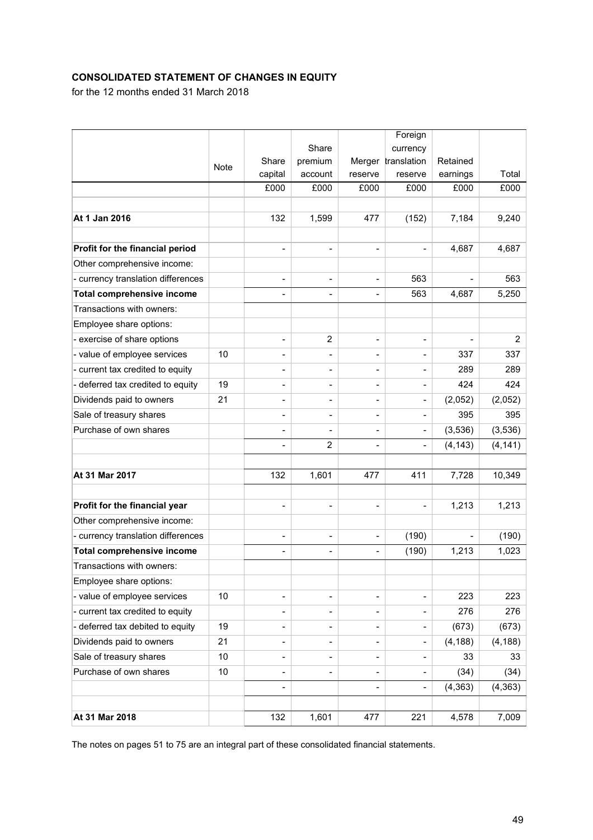# **CONSOLIDATED STATEMENT OF CHANGES IN EQUITY**

for the 12 months ended 31 March 2018

|                                    |             |                          |                |                              | Foreign                  |          |                |
|------------------------------------|-------------|--------------------------|----------------|------------------------------|--------------------------|----------|----------------|
|                                    |             |                          | Share          |                              | currency                 |          |                |
|                                    | <b>Note</b> | Share                    | premium        |                              | Merger translation       | Retained |                |
|                                    |             | capital                  | account        | reserve                      | reserve                  | earnings | Total          |
|                                    |             | £000                     | £000           | £000                         | £000                     | £000     | £000           |
|                                    |             |                          |                |                              |                          |          |                |
| At 1 Jan 2016                      |             | 132                      | 1,599          | 477                          | (152)                    | 7,184    | 9,240          |
|                                    |             |                          |                |                              |                          |          |                |
| Profit for the financial period    |             |                          | ÷              | $\qquad \qquad \blacksquare$ | $\overline{\phantom{0}}$ | 4,687    | 4,687          |
| Other comprehensive income:        |             |                          |                |                              |                          |          |                |
| - currency translation differences |             | $\overline{\phantom{a}}$ | ÷              | $\qquad \qquad \blacksquare$ | 563                      |          | 563            |
| <b>Total comprehensive income</b>  |             | $\overline{\phantom{0}}$ | ÷              | $\overline{\phantom{0}}$     | 563                      | 4,687    | 5,250          |
| Transactions with owners:          |             |                          |                |                              |                          |          |                |
| Employee share options:            |             |                          |                |                              |                          |          |                |
| - exercise of share options        |             | $\overline{\phantom{0}}$ | $\overline{2}$ | $\qquad \qquad \blacksquare$ | -                        |          | $\overline{2}$ |
| - value of employee services       | 10          |                          |                |                              |                          | 337      | 337            |
| - current tax credited to equity   |             |                          | ÷              | $\overline{\phantom{0}}$     | -                        | 289      | 289            |
| - deferred tax credited to equity  | 19          |                          |                |                              |                          | 424      | 424            |
| Dividends paid to owners           | 21          |                          | L,             | -                            | -                        | (2,052)  | (2,052)        |
| Sale of treasury shares            |             | $\overline{\phantom{0}}$ | L,             | -                            | $\overline{a}$           | 395      | 395            |
| Purchase of own shares             |             | $\overline{\phantom{a}}$ | L,             | $\overline{\phantom{0}}$     | $\overline{\phantom{0}}$ | (3,536)  | (3,536)        |
|                                    |             | $\overline{\phantom{0}}$ | 2              | $\blacksquare$               | $\overline{\phantom{0}}$ | (4, 143) | (4, 141)       |
|                                    |             |                          |                |                              |                          |          |                |
| At 31 Mar 2017                     |             | 132                      | 1,601          | 477                          | 411                      | 7,728    | 10,349         |
|                                    |             |                          |                |                              |                          |          |                |
| Profit for the financial year      |             | $\overline{\phantom{0}}$ | ÷              | $\qquad \qquad \blacksquare$ | -                        | 1,213    | 1,213          |
| Other comprehensive income:        |             |                          |                |                              |                          |          |                |
| - currency translation differences |             |                          | L,             | $\qquad \qquad \blacksquare$ | (190)                    |          | (190)          |
| <b>Total comprehensive income</b>  |             | $\overline{\phantom{0}}$ | L,             | $\overline{\phantom{0}}$     | (190)                    | 1,213    | 1,023          |
| Transactions with owners:          |             |                          |                |                              |                          |          |                |
| Employee share options:            |             |                          |                |                              |                          |          |                |
| - value of employee services       | 10          | $\overline{\phantom{a}}$ | -              | -                            | -                        | 223      | 223            |
| - current tax credited to equity   |             |                          | L,             | $\overline{\phantom{0}}$     |                          | 276      | 276            |
| - deferred tax debited to equity   | 19          | $\overline{\phantom{0}}$ | -              | $\qquad \qquad \blacksquare$ | -                        | (673)    | (673)          |
| Dividends paid to owners           | 21          | $\overline{\phantom{0}}$ | ÷              | $\overline{\phantom{0}}$     | $\overline{\phantom{0}}$ | (4, 188) | (4, 188)       |
| Sale of treasury shares            | 10          | $\overline{\phantom{0}}$ | -              | $\overline{\phantom{0}}$     | -                        | 33       | 33             |
| Purchase of own shares             | 10          | $\overline{\phantom{0}}$ |                | $\overline{\phantom{0}}$     |                          | (34)     | (34)           |
|                                    |             | $\overline{\phantom{a}}$ |                | $\overline{\phantom{0}}$     | $\overline{\phantom{0}}$ | (4, 363) | (4, 363)       |
|                                    |             |                          |                |                              |                          |          |                |
| At 31 Mar 2018                     |             | 132                      | 1,601          | 477                          | 221                      | 4,578    | 7,009          |

The notes on pages 51 to 75 are an integral part of these consolidated financial statements.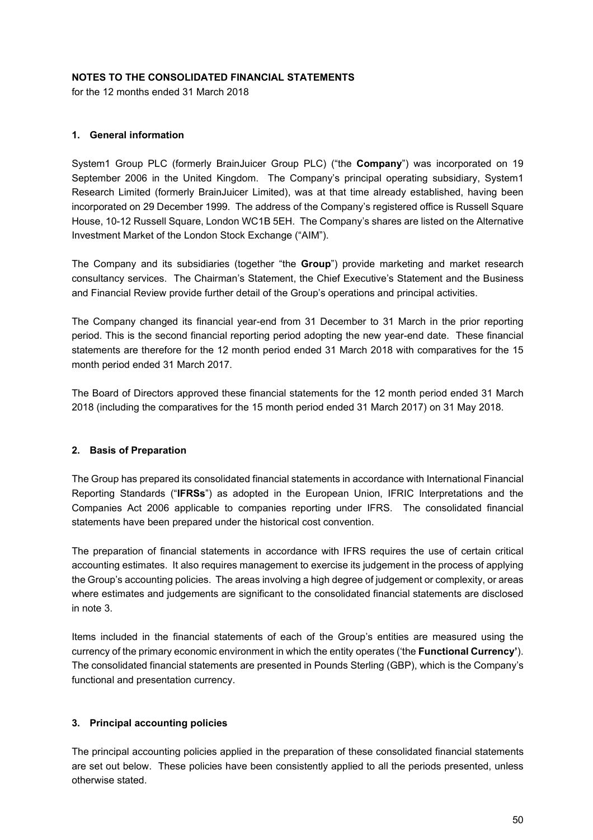### **NOTES TO THE CONSOLIDATED FINANCIAL STATEMENTS**

for the 12 months ended 31 March 2018

### **1. General information**

System1 Group PLC (formerly BrainJuicer Group PLC) ("the **Company**") was incorporated on 19 September 2006 in the United Kingdom. The Company's principal operating subsidiary, System1 Research Limited (formerly BrainJuicer Limited), was at that time already established, having been incorporated on 29 December 1999. The address of the Company's registered office is Russell Square House, 10-12 Russell Square, London WC1B 5EH. The Company's shares are listed on the Alternative Investment Market of the London Stock Exchange ("AIM").

The Company and its subsidiaries (together "the **Group**") provide marketing and market research consultancy services. The Chairman's Statement, the Chief Executive's Statement and the Business and Financial Review provide further detail of the Group's operations and principal activities.

The Company changed its financial year-end from 31 December to 31 March in the prior reporting period. This is the second financial reporting period adopting the new year-end date. These financial statements are therefore for the 12 month period ended 31 March 2018 with comparatives for the 15 month period ended 31 March 2017.

The Board of Directors approved these financial statements for the 12 month period ended 31 March 2018 (including the comparatives for the 15 month period ended 31 March 2017) on 31 May 2018.

### **2. Basis of Preparation**

The Group has prepared its consolidated financial statements in accordance with International Financial Reporting Standards ("**IFRSs**") as adopted in the European Union, IFRIC Interpretations and the Companies Act 2006 applicable to companies reporting under IFRS. The consolidated financial statements have been prepared under the historical cost convention.

The preparation of financial statements in accordance with IFRS requires the use of certain critical accounting estimates. It also requires management to exercise its judgement in the process of applying the Group's accounting policies. The areas involving a high degree of judgement or complexity, or areas where estimates and judgements are significant to the consolidated financial statements are disclosed in note 3.

Items included in the financial statements of each of the Group's entities are measured using the currency of the primary economic environment in which the entity operates ('the **Functional Currency'**). The consolidated financial statements are presented in Pounds Sterling (GBP), which is the Company's functional and presentation currency.

### **3. Principal accounting policies**

The principal accounting policies applied in the preparation of these consolidated financial statements are set out below. These policies have been consistently applied to all the periods presented, unless otherwise stated.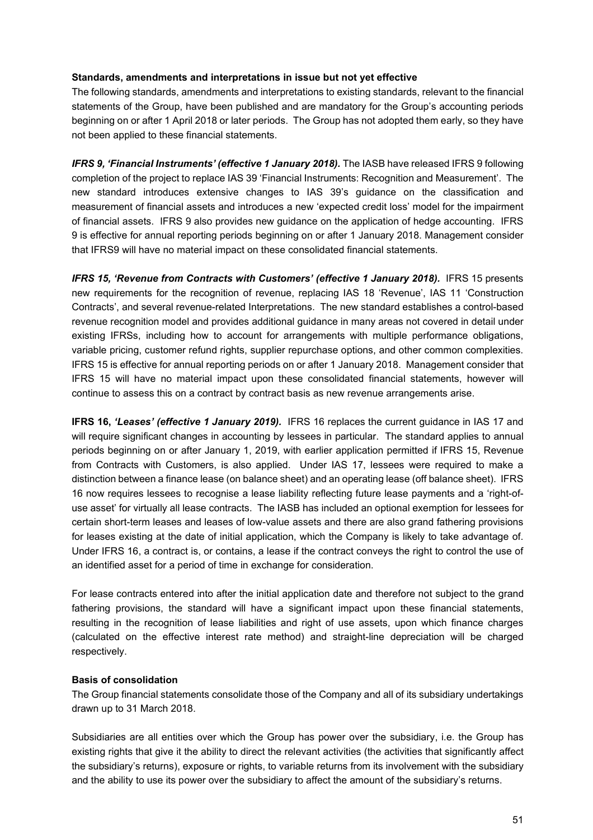### **Standards, amendments and interpretations in issue but not yet effective**

The following standards, amendments and interpretations to existing standards, relevant to the financial statements of the Group, have been published and are mandatory for the Group's accounting periods beginning on or after 1 April 2018 or later periods. The Group has not adopted them early, so they have not been applied to these financial statements.

IFRS 9, 'Financial Instruments' (effective 1 January 2018). The IASB have released IFRS 9 following completion of the project to replace IAS 39 'Financial Instruments: Recognition and Measurement'. The new standard introduces extensive changes to IAS 39's guidance on the classification and measurement of financial assets and introduces a new 'expected credit loss' model for the impairment of financial assets. IFRS 9 also provides new guidance on the application of hedge accounting. IFRS 9 is effective for annual reporting periods beginning on or after 1 January 2018. Management consider that IFRS9 will have no material impact on these consolidated financial statements.

*IFRS 15, 'Revenue from Contracts with Customers' (effective 1 January 2018).* IFRS 15 presents new requirements for the recognition of revenue, replacing IAS 18 'Revenue', IAS 11 'Construction Contracts', and several revenue-related Interpretations. The new standard establishes a control-based revenue recognition model and provides additional guidance in many areas not covered in detail under existing IFRSs, including how to account for arrangements with multiple performance obligations, variable pricing, customer refund rights, supplier repurchase options, and other common complexities. IFRS 15 is effective for annual reporting periods on or after 1 January 2018. Management consider that IFRS 15 will have no material impact upon these consolidated financial statements, however will continue to assess this on a contract by contract basis as new revenue arrangements arise.

**IFRS 16,** *'Leases' (effective 1 January 2019).* IFRS 16 replaces the current guidance in IAS 17 and will require significant changes in accounting by lessees in particular. The standard applies to annual periods beginning on or after January 1, 2019, with earlier application permitted if IFRS 15, Revenue from Contracts with Customers, is also applied. Under IAS 17, lessees were required to make a distinction between a finance lease (on balance sheet) and an operating lease (off balance sheet). IFRS 16 now requires lessees to recognise a lease liability reflecting future lease payments and a 'right-ofuse asset' for virtually all lease contracts. The IASB has included an optional exemption for lessees for certain short-term leases and leases of low-value assets and there are also grand fathering provisions for leases existing at the date of initial application, which the Company is likely to take advantage of. Under IFRS 16, a contract is, or contains, a lease if the contract conveys the right to control the use of an identified asset for a period of time in exchange for consideration.

For lease contracts entered into after the initial application date and therefore not subject to the grand fathering provisions, the standard will have a significant impact upon these financial statements, resulting in the recognition of lease liabilities and right of use assets, upon which finance charges (calculated on the effective interest rate method) and straight-line depreciation will be charged respectively.

### **Basis of consolidation**

The Group financial statements consolidate those of the Company and all of its subsidiary undertakings drawn up to 31 March 2018.

Subsidiaries are all entities over which the Group has power over the subsidiary, i.e. the Group has existing rights that give it the ability to direct the relevant activities (the activities that significantly affect the subsidiary's returns), exposure or rights, to variable returns from its involvement with the subsidiary and the ability to use its power over the subsidiary to affect the amount of the subsidiary's returns.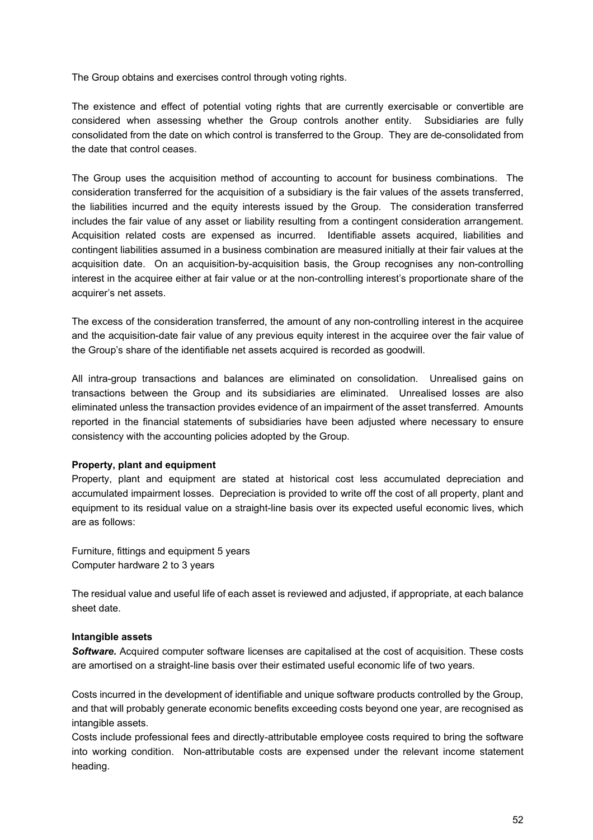The Group obtains and exercises control through voting rights.

The existence and effect of potential voting rights that are currently exercisable or convertible are considered when assessing whether the Group controls another entity. Subsidiaries are fully consolidated from the date on which control is transferred to the Group. They are de-consolidated from the date that control ceases.

The Group uses the acquisition method of accounting to account for business combinations. The consideration transferred for the acquisition of a subsidiary is the fair values of the assets transferred, the liabilities incurred and the equity interests issued by the Group. The consideration transferred includes the fair value of any asset or liability resulting from a contingent consideration arrangement. Acquisition related costs are expensed as incurred. Identifiable assets acquired, liabilities and contingent liabilities assumed in a business combination are measured initially at their fair values at the acquisition date. On an acquisition-by-acquisition basis, the Group recognises any non-controlling interest in the acquiree either at fair value or at the non-controlling interest's proportionate share of the acquirer's net assets.

The excess of the consideration transferred, the amount of any non-controlling interest in the acquiree and the acquisition-date fair value of any previous equity interest in the acquiree over the fair value of the Group's share of the identifiable net assets acquired is recorded as goodwill.

All intra-group transactions and balances are eliminated on consolidation. Unrealised gains on transactions between the Group and its subsidiaries are eliminated. Unrealised losses are also eliminated unless the transaction provides evidence of an impairment of the asset transferred. Amounts reported in the financial statements of subsidiaries have been adjusted where necessary to ensure consistency with the accounting policies adopted by the Group.

#### **Property, plant and equipment**

Property, plant and equipment are stated at historical cost less accumulated depreciation and accumulated impairment losses. Depreciation is provided to write off the cost of all property, plant and equipment to its residual value on a straight-line basis over its expected useful economic lives, which are as follows:

Furniture, fittings and equipment 5 years Computer hardware 2 to 3 years

The residual value and useful life of each asset is reviewed and adjusted, if appropriate, at each balance sheet date.

#### **Intangible assets**

*Software.* Acquired computer software licenses are capitalised at the cost of acquisition. These costs are amortised on a straight-line basis over their estimated useful economic life of two years.

Costs incurred in the development of identifiable and unique software products controlled by the Group, and that will probably generate economic benefits exceeding costs beyond one year, are recognised as intangible assets.

Costs include professional fees and directly-attributable employee costs required to bring the software into working condition. Non-attributable costs are expensed under the relevant income statement heading.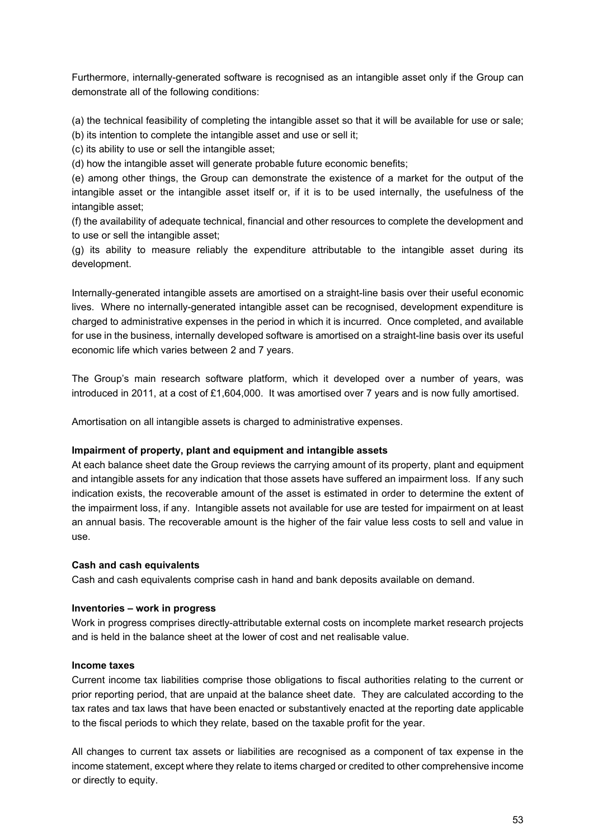Furthermore, internally-generated software is recognised as an intangible asset only if the Group can demonstrate all of the following conditions:

(a) the technical feasibility of completing the intangible asset so that it will be available for use or sale;

(b) its intention to complete the intangible asset and use or sell it;

(c) its ability to use or sell the intangible asset;

(d) how the intangible asset will generate probable future economic benefits;

(e) among other things, the Group can demonstrate the existence of a market for the output of the intangible asset or the intangible asset itself or, if it is to be used internally, the usefulness of the intangible asset;

(f) the availability of adequate technical, financial and other resources to complete the development and to use or sell the intangible asset;

(g) its ability to measure reliably the expenditure attributable to the intangible asset during its development.

Internally-generated intangible assets are amortised on a straight-line basis over their useful economic lives. Where no internally-generated intangible asset can be recognised, development expenditure is charged to administrative expenses in the period in which it is incurred. Once completed, and available for use in the business, internally developed software is amortised on a straight-line basis over its useful economic life which varies between 2 and 7 years.

The Group's main research software platform, which it developed over a number of years, was introduced in 2011, at a cost of £1,604,000. It was amortised over 7 years and is now fully amortised.

Amortisation on all intangible assets is charged to administrative expenses.

### **Impairment of property, plant and equipment and intangible assets**

At each balance sheet date the Group reviews the carrying amount of its property, plant and equipment and intangible assets for any indication that those assets have suffered an impairment loss. If any such indication exists, the recoverable amount of the asset is estimated in order to determine the extent of the impairment loss, if any. Intangible assets not available for use are tested for impairment on at least an annual basis. The recoverable amount is the higher of the fair value less costs to sell and value in use.

### **Cash and cash equivalents**

Cash and cash equivalents comprise cash in hand and bank deposits available on demand.

### **Inventories – work in progress**

Work in progress comprises directly-attributable external costs on incomplete market research projects and is held in the balance sheet at the lower of cost and net realisable value.

#### **Income taxes**

Current income tax liabilities comprise those obligations to fiscal authorities relating to the current or prior reporting period, that are unpaid at the balance sheet date. They are calculated according to the tax rates and tax laws that have been enacted or substantively enacted at the reporting date applicable to the fiscal periods to which they relate, based on the taxable profit for the year.

All changes to current tax assets or liabilities are recognised as a component of tax expense in the income statement, except where they relate to items charged or credited to other comprehensive income or directly to equity.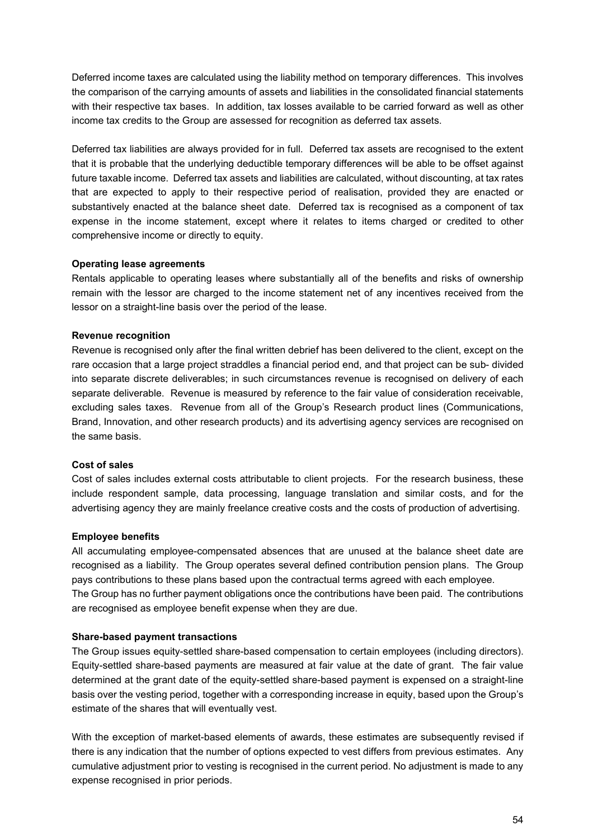Deferred income taxes are calculated using the liability method on temporary differences. This involves the comparison of the carrying amounts of assets and liabilities in the consolidated financial statements with their respective tax bases. In addition, tax losses available to be carried forward as well as other income tax credits to the Group are assessed for recognition as deferred tax assets.

Deferred tax liabilities are always provided for in full. Deferred tax assets are recognised to the extent that it is probable that the underlying deductible temporary differences will be able to be offset against future taxable income. Deferred tax assets and liabilities are calculated, without discounting, at tax rates that are expected to apply to their respective period of realisation, provided they are enacted or substantively enacted at the balance sheet date. Deferred tax is recognised as a component of tax expense in the income statement, except where it relates to items charged or credited to other comprehensive income or directly to equity.

### **Operating lease agreements**

Rentals applicable to operating leases where substantially all of the benefits and risks of ownership remain with the lessor are charged to the income statement net of any incentives received from the lessor on a straight-line basis over the period of the lease.

### **Revenue recognition**

Revenue is recognised only after the final written debrief has been delivered to the client, except on the rare occasion that a large project straddles a financial period end, and that project can be sub- divided into separate discrete deliverables; in such circumstances revenue is recognised on delivery of each separate deliverable. Revenue is measured by reference to the fair value of consideration receivable, excluding sales taxes. Revenue from all of the Group's Research product lines (Communications, Brand, Innovation, and other research products) and its advertising agency services are recognised on the same basis.

### **Cost of sales**

Cost of sales includes external costs attributable to client projects. For the research business, these include respondent sample, data processing, language translation and similar costs, and for the advertising agency they are mainly freelance creative costs and the costs of production of advertising.

### **Employee benefits**

All accumulating employee-compensated absences that are unused at the balance sheet date are recognised as a liability. The Group operates several defined contribution pension plans. The Group pays contributions to these plans based upon the contractual terms agreed with each employee. The Group has no further payment obligations once the contributions have been paid. The contributions are recognised as employee benefit expense when they are due.

### **Share-based payment transactions**

The Group issues equity-settled share-based compensation to certain employees (including directors). Equity-settled share-based payments are measured at fair value at the date of grant. The fair value determined at the grant date of the equity-settled share-based payment is expensed on a straight-line basis over the vesting period, together with a corresponding increase in equity, based upon the Group's estimate of the shares that will eventually vest.

With the exception of market-based elements of awards, these estimates are subsequently revised if there is any indication that the number of options expected to vest differs from previous estimates. Any cumulative adjustment prior to vesting is recognised in the current period. No adjustment is made to any expense recognised in prior periods.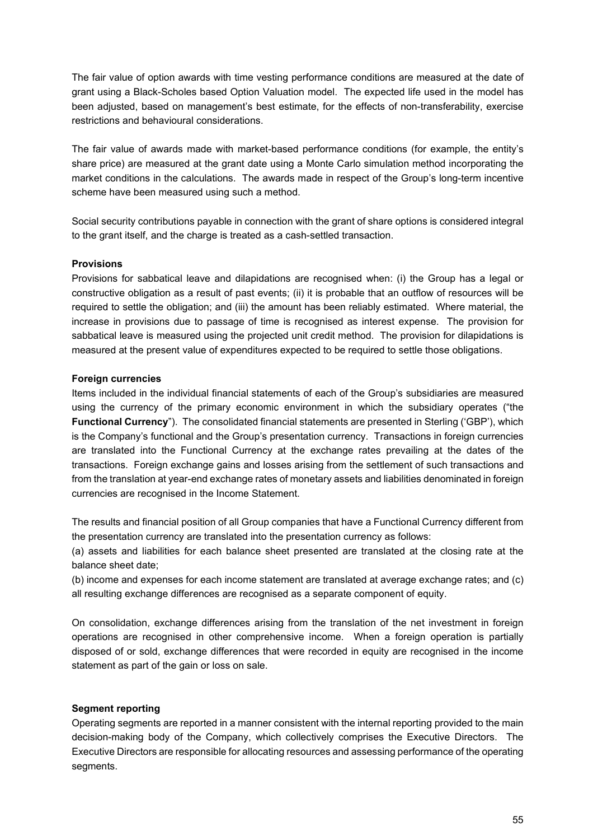The fair value of option awards with time vesting performance conditions are measured at the date of grant using a Black-Scholes based Option Valuation model. The expected life used in the model has been adjusted, based on management's best estimate, for the effects of non-transferability, exercise restrictions and behavioural considerations.

The fair value of awards made with market-based performance conditions (for example, the entity's share price) are measured at the grant date using a Monte Carlo simulation method incorporating the market conditions in the calculations. The awards made in respect of the Group's long-term incentive scheme have been measured using such a method.

Social security contributions payable in connection with the grant of share options is considered integral to the grant itself, and the charge is treated as a cash-settled transaction.

### **Provisions**

Provisions for sabbatical leave and dilapidations are recognised when: (i) the Group has a legal or constructive obligation as a result of past events; (ii) it is probable that an outflow of resources will be required to settle the obligation; and (iii) the amount has been reliably estimated. Where material, the increase in provisions due to passage of time is recognised as interest expense. The provision for sabbatical leave is measured using the projected unit credit method. The provision for dilapidations is measured at the present value of expenditures expected to be required to settle those obligations.

### **Foreign currencies**

Items included in the individual financial statements of each of the Group's subsidiaries are measured using the currency of the primary economic environment in which the subsidiary operates ("the **Functional Currency**"). The consolidated financial statements are presented in Sterling ('GBP'), which is the Company's functional and the Group's presentation currency. Transactions in foreign currencies are translated into the Functional Currency at the exchange rates prevailing at the dates of the transactions. Foreign exchange gains and losses arising from the settlement of such transactions and from the translation at year-end exchange rates of monetary assets and liabilities denominated in foreign currencies are recognised in the Income Statement.

The results and financial position of all Group companies that have a Functional Currency different from the presentation currency are translated into the presentation currency as follows:

(a) assets and liabilities for each balance sheet presented are translated at the closing rate at the balance sheet date;

(b) income and expenses for each income statement are translated at average exchange rates; and (c) all resulting exchange differences are recognised as a separate component of equity.

On consolidation, exchange differences arising from the translation of the net investment in foreign operations are recognised in other comprehensive income. When a foreign operation is partially disposed of or sold, exchange differences that were recorded in equity are recognised in the income statement as part of the gain or loss on sale.

### **Segment reporting**

Operating segments are reported in a manner consistent with the internal reporting provided to the main decision-making body of the Company, which collectively comprises the Executive Directors. The Executive Directors are responsible for allocating resources and assessing performance of the operating segments.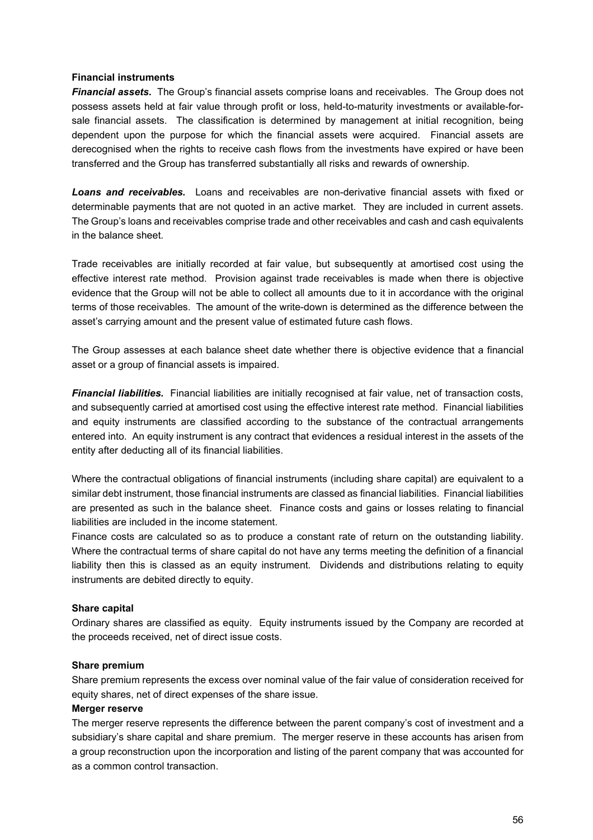### **Financial instruments**

*Financial assets***.** The Group's financial assets comprise loans and receivables. The Group does not possess assets held at fair value through profit or loss, held-to-maturity investments or available-forsale financial assets. The classification is determined by management at initial recognition, being dependent upon the purpose for which the financial assets were acquired. Financial assets are derecognised when the rights to receive cash flows from the investments have expired or have been transferred and the Group has transferred substantially all risks and rewards of ownership.

*Loans and receivables.* Loans and receivables are non-derivative financial assets with fixed or determinable payments that are not quoted in an active market. They are included in current assets. The Group's loans and receivables comprise trade and other receivables and cash and cash equivalents in the balance sheet.

Trade receivables are initially recorded at fair value, but subsequently at amortised cost using the effective interest rate method. Provision against trade receivables is made when there is objective evidence that the Group will not be able to collect all amounts due to it in accordance with the original terms of those receivables. The amount of the write-down is determined as the difference between the asset's carrying amount and the present value of estimated future cash flows.

The Group assesses at each balance sheet date whether there is objective evidence that a financial asset or a group of financial assets is impaired.

*Financial liabilities.* Financial liabilities are initially recognised at fair value, net of transaction costs, and subsequently carried at amortised cost using the effective interest rate method. Financial liabilities and equity instruments are classified according to the substance of the contractual arrangements entered into. An equity instrument is any contract that evidences a residual interest in the assets of the entity after deducting all of its financial liabilities.

Where the contractual obligations of financial instruments (including share capital) are equivalent to a similar debt instrument, those financial instruments are classed as financial liabilities. Financial liabilities are presented as such in the balance sheet. Finance costs and gains or losses relating to financial liabilities are included in the income statement.

Finance costs are calculated so as to produce a constant rate of return on the outstanding liability. Where the contractual terms of share capital do not have any terms meeting the definition of a financial liability then this is classed as an equity instrument. Dividends and distributions relating to equity instruments are debited directly to equity.

### **Share capital**

Ordinary shares are classified as equity. Equity instruments issued by the Company are recorded at the proceeds received, net of direct issue costs.

#### **Share premium**

Share premium represents the excess over nominal value of the fair value of consideration received for equity shares, net of direct expenses of the share issue.

#### **Merger reserve**

The merger reserve represents the difference between the parent company's cost of investment and a subsidiary's share capital and share premium. The merger reserve in these accounts has arisen from a group reconstruction upon the incorporation and listing of the parent company that was accounted for as a common control transaction.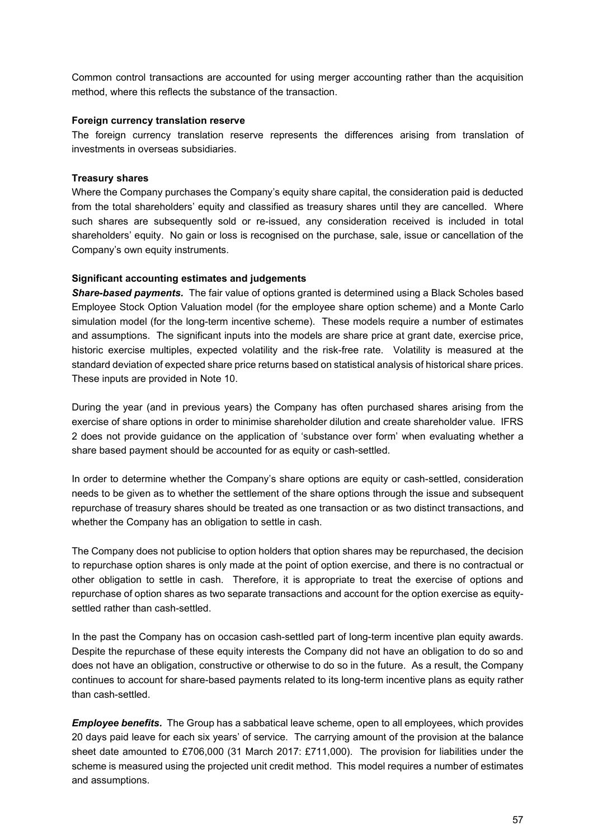Common control transactions are accounted for using merger accounting rather than the acquisition method, where this reflects the substance of the transaction.

### **Foreign currency translation reserve**

The foreign currency translation reserve represents the differences arising from translation of investments in overseas subsidiaries.

### **Treasury shares**

Where the Company purchases the Company's equity share capital, the consideration paid is deducted from the total shareholders' equity and classified as treasury shares until they are cancelled. Where such shares are subsequently sold or re-issued, any consideration received is included in total shareholders' equity. No gain or loss is recognised on the purchase, sale, issue or cancellation of the Company's own equity instruments.

#### **Significant accounting estimates and judgements**

*Share-based payments.* The fair value of options granted is determined using a Black Scholes based Employee Stock Option Valuation model (for the employee share option scheme) and a Monte Carlo simulation model (for the long-term incentive scheme). These models require a number of estimates and assumptions. The significant inputs into the models are share price at grant date, exercise price, historic exercise multiples, expected volatility and the risk-free rate. Volatility is measured at the standard deviation of expected share price returns based on statistical analysis of historical share prices. These inputs are provided in Note 10.

During the year (and in previous years) the Company has often purchased shares arising from the exercise of share options in order to minimise shareholder dilution and create shareholder value. IFRS 2 does not provide guidance on the application of 'substance over form' when evaluating whether a share based payment should be accounted for as equity or cash-settled.

In order to determine whether the Company's share options are equity or cash-settled, consideration needs to be given as to whether the settlement of the share options through the issue and subsequent repurchase of treasury shares should be treated as one transaction or as two distinct transactions, and whether the Company has an obligation to settle in cash.

The Company does not publicise to option holders that option shares may be repurchased, the decision to repurchase option shares is only made at the point of option exercise, and there is no contractual or other obligation to settle in cash. Therefore, it is appropriate to treat the exercise of options and repurchase of option shares as two separate transactions and account for the option exercise as equitysettled rather than cash-settled

In the past the Company has on occasion cash-settled part of long-term incentive plan equity awards. Despite the repurchase of these equity interests the Company did not have an obligation to do so and does not have an obligation, constructive or otherwise to do so in the future. As a result, the Company continues to account for share-based payments related to its long-term incentive plans as equity rather than cash-settled.

*Employee benefits.* The Group has a sabbatical leave scheme, open to all employees, which provides 20 days paid leave for each six years' of service. The carrying amount of the provision at the balance sheet date amounted to £706,000 (31 March 2017: £711,000). The provision for liabilities under the scheme is measured using the projected unit credit method. This model requires a number of estimates and assumptions.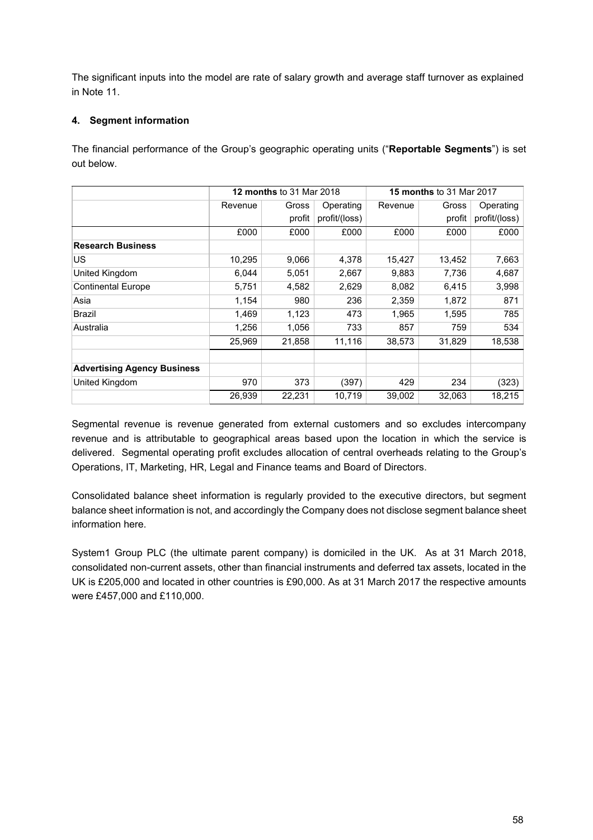The significant inputs into the model are rate of salary growth and average staff turnover as explained in Note 11.

## **4. Segment information**

The financial performance of the Group's geographic operating units ("**Reportable Segments**") is set out below.

|                                    | <b>12 months to 31 Mar 2018</b> |        |               | <b>15 months to 31 Mar 2017</b> |        |               |
|------------------------------------|---------------------------------|--------|---------------|---------------------------------|--------|---------------|
|                                    | Revenue                         | Gross  | Operating     | Revenue                         | Gross  | Operating     |
|                                    |                                 | profit | profit/(loss) |                                 | profit | profit/(loss) |
|                                    | £000                            | £000   | £000          | £000                            | £000   | £000          |
| <b>Research Business</b>           |                                 |        |               |                                 |        |               |
| US                                 | 10,295                          | 9,066  | 4,378         | 15,427                          | 13,452 | 7,663         |
| United Kingdom                     | 6,044                           | 5,051  | 2,667         | 9,883                           | 7,736  | 4,687         |
| <b>Continental Europe</b>          | 5,751                           | 4,582  | 2,629         | 8,082                           | 6,415  | 3,998         |
| Asia                               | 1,154                           | 980    | 236           | 2,359                           | 1,872  | 871           |
| <b>Brazil</b>                      | 1,469                           | 1,123  | 473           | 1,965                           | 1,595  | 785           |
| Australia                          | 1,256                           | 1,056  | 733           | 857                             | 759    | 534           |
|                                    | 25,969                          | 21,858 | 11,116        | 38,573                          | 31,829 | 18,538        |
|                                    |                                 |        |               |                                 |        |               |
| <b>Advertising Agency Business</b> |                                 |        |               |                                 |        |               |
| <b>United Kingdom</b>              | 970                             | 373    | (397)         | 429                             | 234    | (323)         |
|                                    | 26,939                          | 22,231 | 10,719        | 39,002                          | 32,063 | 18,215        |

Segmental revenue is revenue generated from external customers and so excludes intercompany revenue and is attributable to geographical areas based upon the location in which the service is delivered. Segmental operating profit excludes allocation of central overheads relating to the Group's Operations, IT, Marketing, HR, Legal and Finance teams and Board of Directors.

Consolidated balance sheet information is regularly provided to the executive directors, but segment balance sheet information is not, and accordingly the Company does not disclose segment balance sheet information here.

System1 Group PLC (the ultimate parent company) is domiciled in the UK. As at 31 March 2018, consolidated non-current assets, other than financial instruments and deferred tax assets, located in the UK is £205,000 and located in other countries is £90,000. As at 31 March 2017 the respective amounts were £457,000 and £110,000.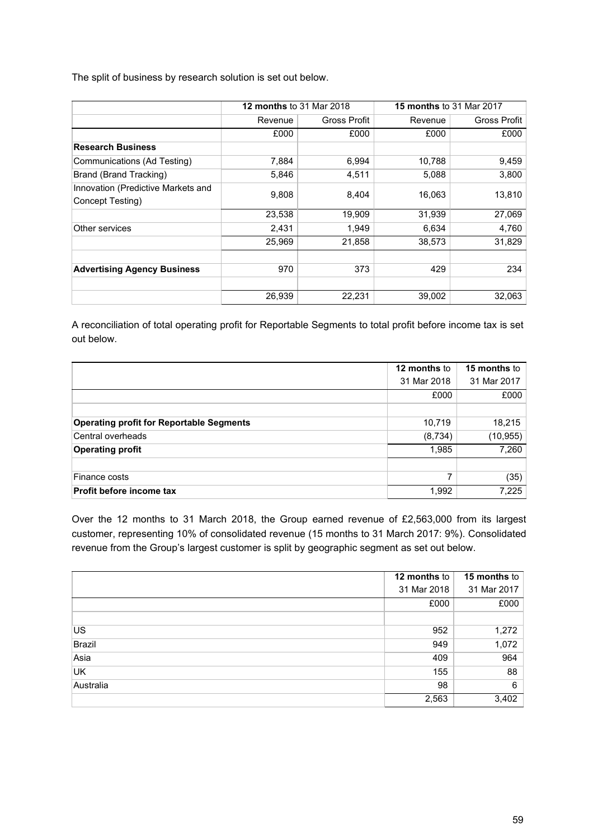The split of business by research solution is set out below.

|                                                        | <b>12 months to 31 Mar 2018</b> |                     | <b>15 months to 31 Mar 2017</b> |              |  |
|--------------------------------------------------------|---------------------------------|---------------------|---------------------------------|--------------|--|
|                                                        | Revenue                         | <b>Gross Profit</b> |                                 | Gross Profit |  |
|                                                        | £000                            | £000                | £000                            | £000         |  |
| <b>Research Business</b>                               |                                 |                     |                                 |              |  |
| Communications (Ad Testing)                            | 7,884                           | 6,994               | 10,788                          | 9,459        |  |
| Brand (Brand Tracking)                                 | 5,846                           | 4,511               | 5,088                           | 3,800        |  |
| Innovation (Predictive Markets and<br>Concept Testing) | 9,808                           | 8,404               | 16,063                          | 13,810       |  |
|                                                        | 23,538                          | 19,909              | 31,939                          | 27,069       |  |
| Other services                                         | 2,431                           | 1,949               | 6,634                           | 4,760        |  |
|                                                        | 25,969                          | 21,858              | 38,573                          | 31,829       |  |
|                                                        |                                 |                     |                                 |              |  |
| <b>Advertising Agency Business</b>                     | 970                             | 373                 | 429                             | 234          |  |
|                                                        |                                 |                     |                                 |              |  |
|                                                        | 26,939                          | 22,231              | 39,002                          | 32,063       |  |

A reconciliation of total operating profit for Reportable Segments to total profit before income tax is set out below.

|                                                 | 12 months to | <b>15 months to</b> |
|-------------------------------------------------|--------------|---------------------|
|                                                 | 31 Mar 2018  | 31 Mar 2017         |
|                                                 | £000         | £000                |
|                                                 |              |                     |
| <b>Operating profit for Reportable Segments</b> | 10,719       | 18,215              |
| Central overheads                               | (8,734)      | (10, 955)           |
| <b>Operating profit</b>                         | 1,985        | 7,260               |
|                                                 |              |                     |
| Finance costs                                   | 7            | (35)                |
| <b>Profit before income tax</b>                 | 1,992        | 7,225               |

Over the 12 months to 31 March 2018, the Group earned revenue of £2,563,000 from its largest customer, representing 10% of consolidated revenue (15 months to 31 March 2017: 9%). Consolidated revenue from the Group's largest customer is split by geographic segment as set out below.

|           | 12 months to | 15 months to |
|-----------|--------------|--------------|
|           | 31 Mar 2018  | 31 Mar 2017  |
|           | £000         | £000         |
|           |              |              |
| US        | 952          | 1,272        |
| Brazil    | 949          | 1,072        |
| Asia      | 409          | 964          |
| <b>UK</b> | 155          | 88           |
| Australia | 98           | 6            |
|           | 2,563        | 3,402        |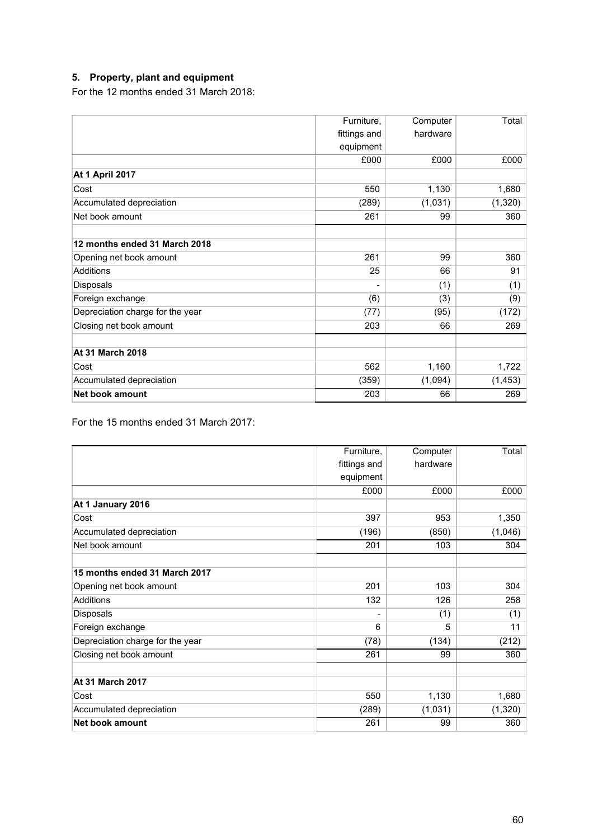# **5. Property, plant and equipment**

For the 12 months ended 31 March 2018:

|                                  | Furniture,   | Computer | Total    |
|----------------------------------|--------------|----------|----------|
|                                  | fittings and | hardware |          |
|                                  | equipment    |          |          |
|                                  | £000         | £000     | £000     |
| <b>At 1 April 2017</b>           |              |          |          |
| Cost                             | 550          | 1,130    | 1,680    |
| Accumulated depreciation         | (289)        | (1,031)  | (1, 320) |
| Net book amount                  | 261          | 99       | 360      |
| 12 months ended 31 March 2018    |              |          |          |
| Opening net book amount          | 261          | 99       | 360      |
| <b>Additions</b>                 | 25           | 66       | 91       |
| <b>Disposals</b>                 |              | (1)      | (1)      |
| Foreign exchange                 | (6)          | (3)      | (9)      |
| Depreciation charge for the year | (77)         | (95)     | (172)    |
| Closing net book amount          | 203          | 66       | 269      |
| <b>At 31 March 2018</b>          |              |          |          |
| Cost                             | 562          | 1,160    | 1,722    |
| Accumulated depreciation         | (359)        | (1,094)  | (1, 453) |
| Net book amount                  | 203          | 66       | 269      |

For the 15 months ended 31 March 2017:

|                                  | Furniture,   | Computer | Total    |
|----------------------------------|--------------|----------|----------|
|                                  | fittings and | hardware |          |
|                                  | equipment    |          |          |
|                                  | £000         | £000     | £000     |
| At 1 January 2016                |              |          |          |
| Cost                             | 397          | 953      | 1,350    |
| Accumulated depreciation         | (196)        | (850)    | (1,046)  |
| Net book amount                  | 201          | 103      | 304      |
| 15 months ended 31 March 2017    |              |          |          |
| Opening net book amount          | 201          | 103      | 304      |
| <b>Additions</b>                 | 132          | 126      | 258      |
| Disposals                        |              | (1)      | (1)      |
| Foreign exchange                 | 6            | 5        | 11       |
| Depreciation charge for the year | (78)         | (134)    | (212)    |
| Closing net book amount          | 261          | 99       | 360      |
| <b>At 31 March 2017</b>          |              |          |          |
| Cost                             | 550          | 1,130    | 1,680    |
| Accumulated depreciation         | (289)        | (1,031)  | (1, 320) |
| <b>Net book amount</b>           | 261          | 99       | 360      |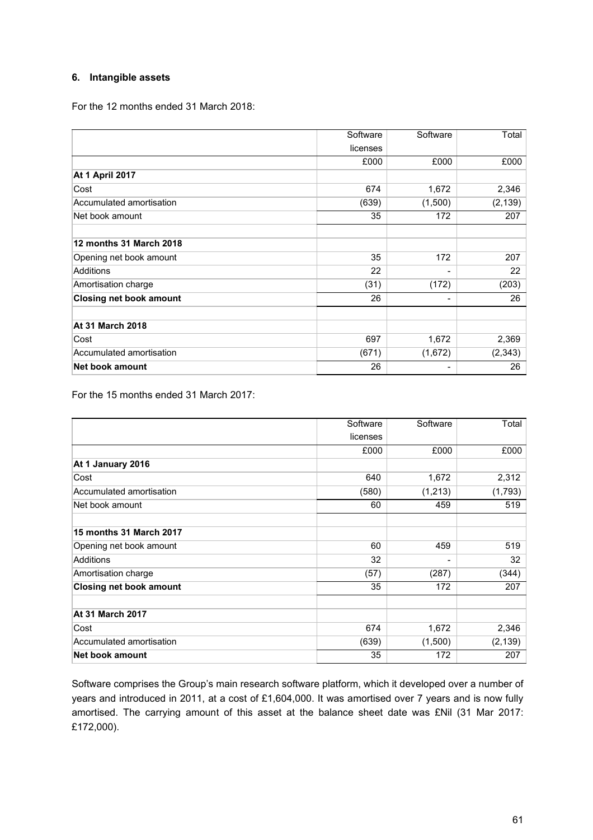### **6. Intangible assets**

For the 12 months ended 31 March 2018:

|                                | Software | Software | Total    |
|--------------------------------|----------|----------|----------|
|                                | licenses |          |          |
|                                | £000     | £000     | £000     |
| <b>At 1 April 2017</b>         |          |          |          |
| Cost                           | 674      | 1,672    | 2,346    |
| Accumulated amortisation       | (639)    | (1,500)  | (2, 139) |
| Net book amount                | 35       | 172      | 207      |
| 12 months 31 March 2018        |          |          |          |
| Opening net book amount        | 35       | 172      | 207      |
| Additions                      | 22       | -        | 22       |
| Amortisation charge            | (31)     | (172)    | (203)    |
| <b>Closing net book amount</b> | 26       | -        | 26       |
| <b>At 31 March 2018</b>        |          |          |          |
| Cost                           | 697      | 1,672    | 2,369    |
| Accumulated amortisation       | (671)    | (1,672)  | (2, 343) |
| Net book amount                | 26       | -        | 26       |

For the 15 months ended 31 March 2017:

|                                | Software | Software | Total    |
|--------------------------------|----------|----------|----------|
|                                | licenses |          |          |
|                                | £000     | £000     | £000     |
| At 1 January 2016              |          |          |          |
| Cost                           | 640      | 1,672    | 2,312    |
| Accumulated amortisation       | (580)    | (1, 213) | (1,793)  |
| Net book amount                | 60       | 459      | 519      |
| <b>15 months 31 March 2017</b> |          |          |          |
| Opening net book amount        | 60       | 459      | 519      |
| Additions                      | 32       |          | 32       |
| Amortisation charge            | (57)     | (287)    | (344)    |
| <b>Closing net book amount</b> | 35       | 172      | 207      |
| <b>At 31 March 2017</b>        |          |          |          |
| Cost                           | 674      | 1,672    | 2,346    |
| Accumulated amortisation       | (639)    | (1,500)  | (2, 139) |
| <b>Net book amount</b>         | 35       | 172      | 207      |

Software comprises the Group's main research software platform, which it developed over a number of years and introduced in 2011, at a cost of £1,604,000. It was amortised over 7 years and is now fully amortised. The carrying amount of this asset at the balance sheet date was £Nil (31 Mar 2017: £172,000).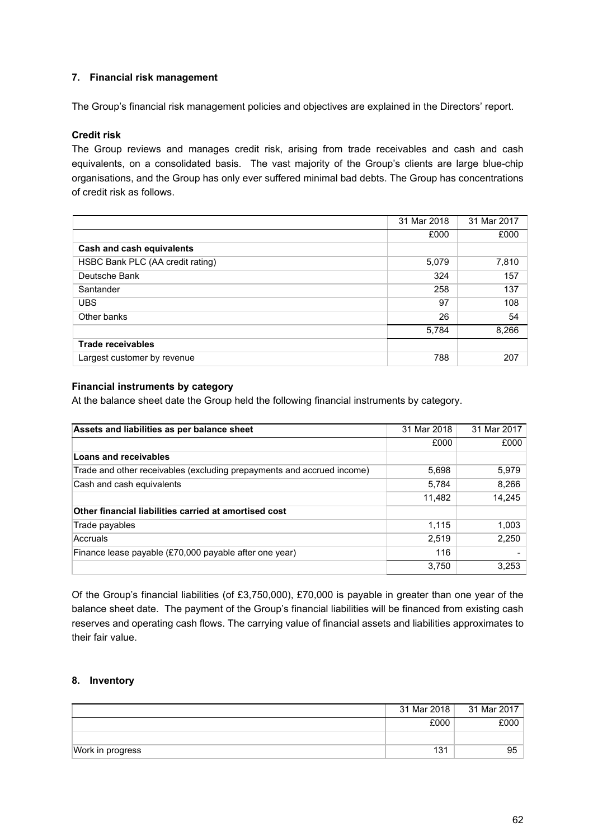### **7. Financial risk management**

The Group's financial risk management policies and objectives are explained in the Directors' report.

### **Credit risk**

The Group reviews and manages credit risk, arising from trade receivables and cash and cash equivalents, on a consolidated basis. The vast majority of the Group's clients are large blue-chip organisations, and the Group has only ever suffered minimal bad debts. The Group has concentrations of credit risk as follows.

|                                  | 31 Mar 2018 | 31 Mar 2017 |
|----------------------------------|-------------|-------------|
|                                  | £000        | £000        |
| Cash and cash equivalents        |             |             |
| HSBC Bank PLC (AA credit rating) | 5,079       | 7,810       |
| Deutsche Bank                    | 324         | 157         |
| Santander                        | 258         | 137         |
| <b>UBS</b>                       | 97          | 108         |
| Other banks                      | 26          | 54          |
|                                  | 5,784       | 8,266       |
| <b>Trade receivables</b>         |             |             |
| Largest customer by revenue      | 788         | 207         |

### **Financial instruments by category**

At the balance sheet date the Group held the following financial instruments by category.

| Assets and liabilities as per balance sheet                            | 31 Mar 2018 | 31 Mar 2017 |
|------------------------------------------------------------------------|-------------|-------------|
|                                                                        | £000        | £000        |
| Loans and receivables                                                  |             |             |
| Trade and other receivables (excluding prepayments and accrued income) | 5,698       | 5,979       |
| Cash and cash equivalents                                              | 5,784       | 8,266       |
|                                                                        | 11,482      | 14,245      |
| Other financial liabilities carried at amortised cost                  |             |             |
| Trade payables                                                         | 1.115       | 1,003       |
| Accruals                                                               | 2,519       | 2,250       |
| Finance lease payable (£70,000 payable after one year)                 | 116         |             |
|                                                                        | 3.750       | 3,253       |

Of the Group's financial liabilities (of £3,750,000), £70,000 is payable in greater than one year of the balance sheet date. The payment of the Group's financial liabilities will be financed from existing cash reserves and operating cash flows. The carrying value of financial assets and liabilities approximates to their fair value.

### **8. Inventory**

|                  | 31 Mar 2018 | 31 Mar 2017 |
|------------------|-------------|-------------|
|                  | £000        | £000        |
|                  |             |             |
| Work in progress | 131         | 95          |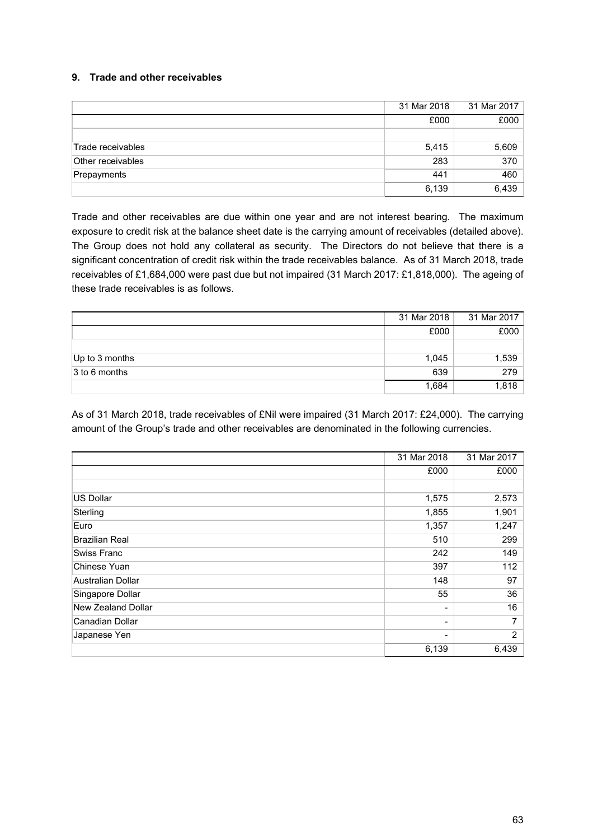### **9. Trade and other receivables**

|                   | 31 Mar 2018 | 31 Mar 2017 |
|-------------------|-------------|-------------|
|                   | £000        | £000        |
|                   |             |             |
| Trade receivables | 5,415       | 5,609       |
| Other receivables | 283         | 370         |
| Prepayments       | 441         | 460         |
|                   | 6,139       | 6,439       |

Trade and other receivables are due within one year and are not interest bearing. The maximum exposure to credit risk at the balance sheet date is the carrying amount of receivables (detailed above). The Group does not hold any collateral as security. The Directors do not believe that there is a significant concentration of credit risk within the trade receivables balance. As of 31 March 2018, trade receivables of £1,684,000 were past due but not impaired (31 March 2017: £1,818,000). The ageing of these trade receivables is as follows.

|                   | 31 Mar 2018 | 31 Mar 2017 |
|-------------------|-------------|-------------|
|                   | £000        | £000        |
|                   |             |             |
| $ Up$ to 3 months | 1,045       | 1,539       |
| 3 to 6 months     | 639         | 279         |
|                   | 1,684       | 1,818       |

As of 31 March 2018, trade receivables of £Nil were impaired (31 March 2017: £24,000). The carrying amount of the Group's trade and other receivables are denominated in the following currencies.

|                       | 31 Mar 2018 | 31 Mar 2017    |
|-----------------------|-------------|----------------|
|                       | £000        | £000           |
|                       |             |                |
| <b>US Dollar</b>      | 1,575       | 2,573          |
| Sterling              | 1,855       | 1,901          |
| Euro                  | 1,357       | 1,247          |
| <b>Brazilian Real</b> | 510         | 299            |
| Swiss Franc           | 242         | 149            |
| Chinese Yuan          | 397         | 112            |
| Australian Dollar     | 148         | 97             |
| Singapore Dollar      | 55          | 36             |
| New Zealand Dollar    |             | 16             |
| Canadian Dollar       | ۰.          | 7              |
| Japanese Yen          |             | $\overline{2}$ |
|                       | 6,139       | 6,439          |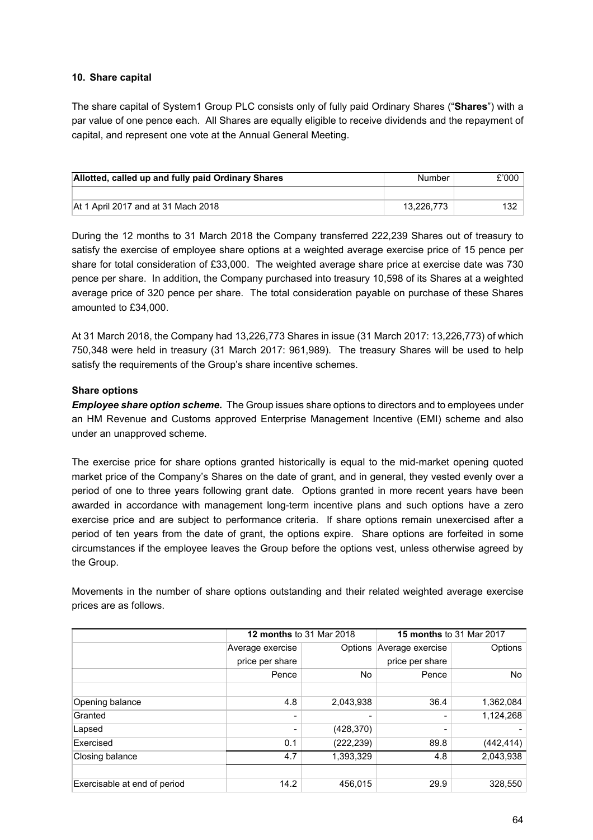### **10. Share capital**

The share capital of System1 Group PLC consists only of fully paid Ordinary Shares ("**Shares**") with a par value of one pence each. All Shares are equally eligible to receive dividends and the repayment of capital, and represent one vote at the Annual General Meeting.

| Allotted, called up and fully paid Ordinary Shares | Number     | £'000 |
|----------------------------------------------------|------------|-------|
|                                                    |            |       |
| At 1 April 2017 and at 31 Mach 2018                | 13.226.773 | 132   |

During the 12 months to 31 March 2018 the Company transferred 222,239 Shares out of treasury to satisfy the exercise of employee share options at a weighted average exercise price of 15 pence per share for total consideration of £33,000. The weighted average share price at exercise date was 730 pence per share. In addition, the Company purchased into treasury 10,598 of its Shares at a weighted average price of 320 pence per share. The total consideration payable on purchase of these Shares amounted to £34,000.

At 31 March 2018, the Company had 13,226,773 Shares in issue (31 March 2017: 13,226,773) of which 750,348 were held in treasury (31 March 2017: 961,989). The treasury Shares will be used to help satisfy the requirements of the Group's share incentive schemes.

#### **Share options**

*Employee share option scheme.* The Group issues share options to directors and to employees under an HM Revenue and Customs approved Enterprise Management Incentive (EMI) scheme and also under an unapproved scheme.

The exercise price for share options granted historically is equal to the mid-market opening quoted market price of the Company's Shares on the date of grant, and in general, they vested evenly over a period of one to three years following grant date. Options granted in more recent years have been awarded in accordance with management long-term incentive plans and such options have a zero exercise price and are subject to performance criteria. If share options remain unexercised after a period of ten years from the date of grant, the options expire. Share options are forfeited in some circumstances if the employee leaves the Group before the options vest, unless otherwise agreed by the Group.

Movements in the number of share options outstanding and their related weighted average exercise prices are as follows.

|                              | <b>12 months to 31 Mar 2018</b> |            |                          | <b>15 months to 31 Mar 2017</b> |
|------------------------------|---------------------------------|------------|--------------------------|---------------------------------|
|                              | Average exercise                | Options    | Average exercise         | Options                         |
|                              | price per share                 |            | price per share          |                                 |
|                              | Pence                           | No.        | Pence                    | No                              |
|                              |                                 |            |                          |                                 |
| Opening balance              | 4.8                             | 2,043,938  | 36.4                     | 1,362,084                       |
| Granted                      |                                 | ۰          | $\overline{\phantom{0}}$ | 1,124,268                       |
| Lapsed                       |                                 | (428, 370) | -                        |                                 |
| Exercised                    | 0.1                             | (222, 239) | 89.8                     | (442, 414)                      |
| Closing balance              | 4.7                             | 1,393,329  | 4.8                      | 2,043,938                       |
|                              |                                 |            |                          |                                 |
| Exercisable at end of period | 14.2                            | 456.015    | 29.9                     | 328,550                         |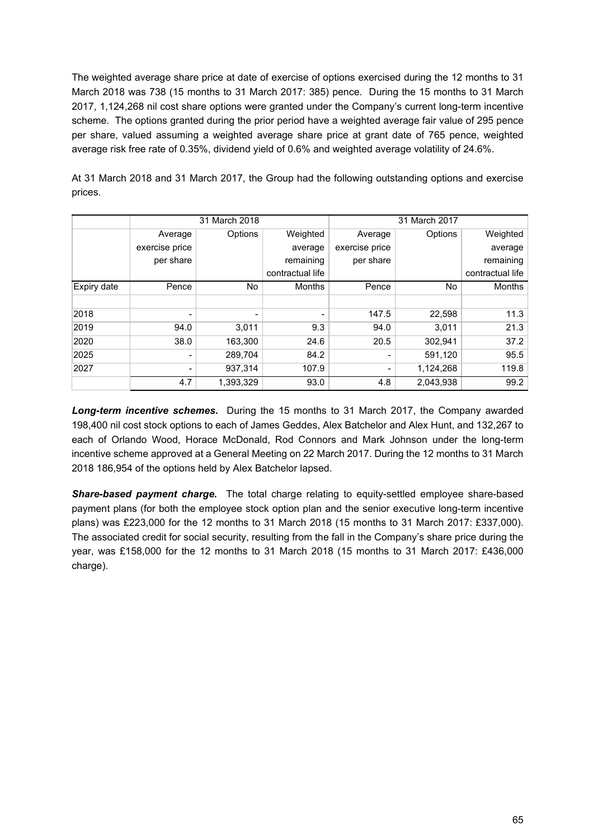The weighted average share price at date of exercise of options exercised during the 12 months to 31 March 2018 was 738 (15 months to 31 March 2017: 385) pence. During the 15 months to 31 March 2017, 1,124,268 nil cost share options were granted under the Company's current long-term incentive scheme. The options granted during the prior period have a weighted average fair value of 295 pence per share, valued assuming a weighted average share price at grant date of 765 pence, weighted average risk free rate of 0.35%, dividend yield of 0.6% and weighted average volatility of 24.6%.

At 31 March 2018 and 31 March 2017, the Group had the following outstanding options and exercise prices.

|             | 31 March 2018            |           |                          | 31 March 2017  |           |                  |
|-------------|--------------------------|-----------|--------------------------|----------------|-----------|------------------|
|             | Average                  | Options   | Weighted                 | Average        | Options   | Weighted         |
|             | exercise price           |           | average                  | exercise price |           | average          |
|             | per share                |           | remaining                | per share      |           | remaining        |
|             |                          |           | contractual life         |                |           | contractual life |
| Expiry date | Pence                    | No.       | <b>Months</b>            | Pence          | No.       | <b>Months</b>    |
|             |                          |           |                          |                |           |                  |
| 2018        | $\overline{\phantom{0}}$ | -         | $\overline{\phantom{0}}$ | 147.5          | 22,598    | 11.3             |
| 2019        | 94.0                     | 3,011     | 9.3                      | 94.0           | 3,011     | 21.3             |
| 2020        | 38.0                     | 163,300   | 24.6                     | 20.5           | 302,941   | 37.2             |
| 2025        | $\overline{\phantom{0}}$ | 289,704   | 84.2                     | Ξ.             | 591,120   | 95.5             |
| 2027        | $\overline{\phantom{0}}$ | 937,314   | 107.9                    | -              | 1,124,268 | 119.8            |
|             | 4.7                      | 1,393,329 | 93.0                     | 4.8            | 2,043,938 | 99.2             |

*Long-term incentive schemes.* During the 15 months to 31 March 2017, the Company awarded 198,400 nil cost stock options to each of James Geddes, Alex Batchelor and Alex Hunt, and 132,267 to each of Orlando Wood, Horace McDonald, Rod Connors and Mark Johnson under the long-term incentive scheme approved at a General Meeting on 22 March 2017. During the 12 months to 31 March 2018 186,954 of the options held by Alex Batchelor lapsed.

*Share-based payment charge.* The total charge relating to equity-settled employee share-based payment plans (for both the employee stock option plan and the senior executive long-term incentive plans) was £223,000 for the 12 months to 31 March 2018 (15 months to 31 March 2017: £337,000). The associated credit for social security, resulting from the fall in the Company's share price during the year, was £158,000 for the 12 months to 31 March 2018 (15 months to 31 March 2017: £436,000 charge).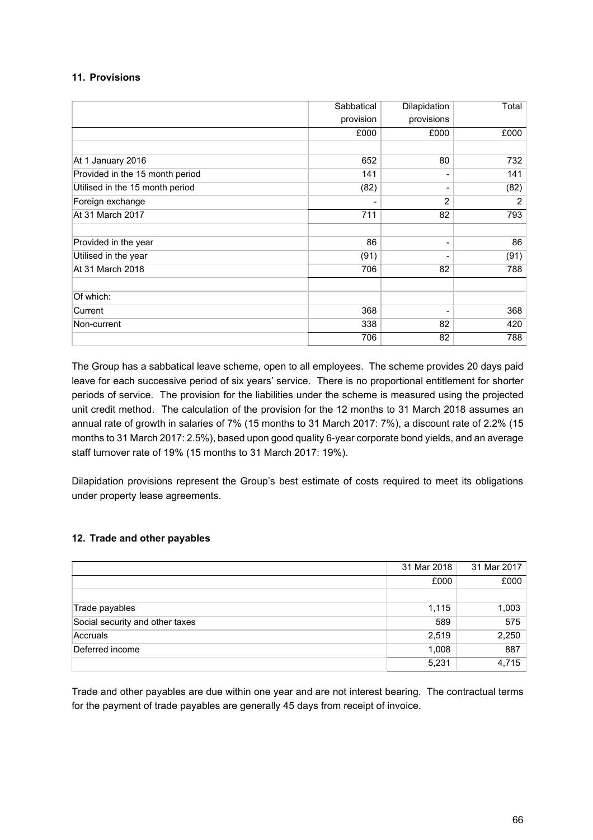### **11. Provisions**

|                                 | Sabbatical<br>Dilapidation |            | Total          |
|---------------------------------|----------------------------|------------|----------------|
|                                 | provision                  | provisions |                |
|                                 | £000                       | £000       | £000           |
|                                 |                            |            |                |
| At 1 January 2016               | 652                        | 80         | 732            |
| Provided in the 15 month period | 141                        |            | 141            |
| Utilised in the 15 month period | (82)                       |            | (82)           |
| Foreign exchange                |                            | 2          | $\overline{2}$ |
| At 31 March 2017                | 711                        | 82         | 793            |
|                                 |                            |            |                |
| Provided in the year            | 86                         | Ξ.         | 86             |
| Utilised in the year            | (91)                       |            | (91)           |
| At 31 March 2018                | 706                        | 82         | 788            |
| Of which:                       |                            |            |                |
| Current                         | 368                        |            | 368            |
| Non-current                     | 338                        | 82         | 420            |
|                                 | 706                        | 82         | 788            |

The Group has a sabbatical leave scheme, open to all employees. The scheme provides 20 days paid leave for each successive period of six years' service. There is no proportional entitlement for shorter periods of service. The provision for the liabilities under the scheme is measured using the projected unit credit method. The calculation of the provision for the 12 months to 31 March 2018 assumes an annual rate of growth in salaries of 7% (15 months to 31 March 2017: 7%), a discount rate of 2.2% (15 months to 31 March 2017: 2.5%), based upon good quality 6-year corporate bond yields, and an average staff turnover rate of 19% (15 months to 31 March 2017: 19%).

Dilapidation provisions represent the Group's best estimate of costs required to meet its obligations under property lease agreements.

### **12. Trade and other payables**

|                                 | 31 Mar 2018 | 31 Mar 2017 |
|---------------------------------|-------------|-------------|
|                                 | £000        | £000        |
|                                 |             |             |
| Trade payables                  | 1,115       | 1,003       |
| Social security and other taxes | 589         | 575         |
| Accruals                        | 2,519       | 2,250       |
| Deferred income                 | 1,008       | 887         |
|                                 | 5,231       | 4,715       |

Trade and other payables are due within one year and are not interest bearing. The contractual terms for the payment of trade payables are generally 45 days from receipt of invoice.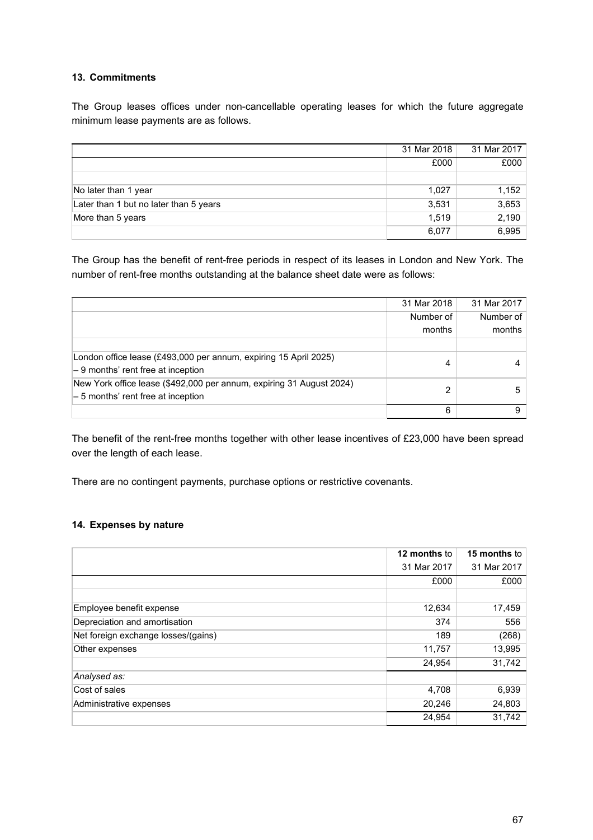### **13. Commitments**

The Group leases offices under non-cancellable operating leases for which the future aggregate minimum lease payments are as follows.

|                                        | 31 Mar 2018 | 31 Mar 2017 |
|----------------------------------------|-------------|-------------|
|                                        | £000        | £000        |
|                                        |             |             |
| No later than 1 year                   | 1.027       | 1,152       |
| Later than 1 but no later than 5 years | 3,531       | 3,653       |
| More than 5 years                      | 1.519       | 2,190       |
|                                        | 6,077       | 6,995       |

The Group has the benefit of rent-free periods in respect of its leases in London and New York. The number of rent-free months outstanding at the balance sheet date were as follows:

|                                                                      | 31 Mar 2018 | 31 Mar 2017 |
|----------------------------------------------------------------------|-------------|-------------|
|                                                                      | Number of   | Number of   |
|                                                                      | months      | months      |
|                                                                      |             |             |
| London office lease (£493,000 per annum, expiring 15 April 2025)     | 4           |             |
| $-9$ months' rent free at inception                                  |             |             |
| New York office lease (\$492,000 per annum, expiring 31 August 2024) | 2           |             |
| $-5$ months' rent free at inception                                  |             |             |
|                                                                      | 6           |             |

The benefit of the rent-free months together with other lease incentives of £23,000 have been spread over the length of each lease.

There are no contingent payments, purchase options or restrictive covenants.

### **14. Expenses by nature**

|                                     | 12 months to | 15 months to |
|-------------------------------------|--------------|--------------|
|                                     | 31 Mar 2017  | 31 Mar 2017  |
|                                     | £000         | £000         |
|                                     |              |              |
| Employee benefit expense            | 12,634       | 17,459       |
| Depreciation and amortisation       | 374          | 556          |
| Net foreign exchange losses/(gains) | 189          | (268)        |
| Other expenses                      | 11,757       | 13,995       |
|                                     | 24,954       | 31,742       |
| Analysed as:                        |              |              |
| Cost of sales                       | 4,708        | 6,939        |
| Administrative expenses             | 20,246       | 24,803       |
|                                     | 24,954       | 31,742       |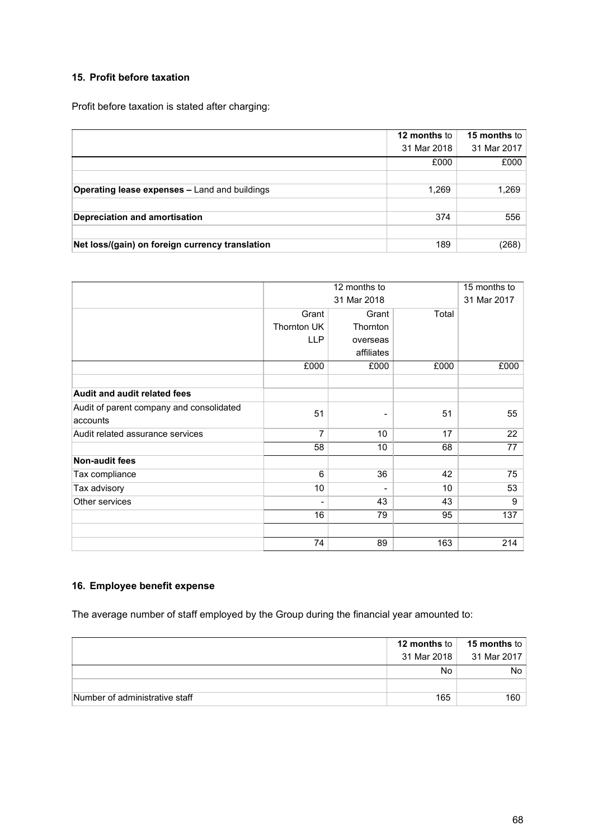### **15. Profit before taxation**

Profit before taxation is stated after charging:

|                                                      | 12 months to | <b>15 months to</b> |
|------------------------------------------------------|--------------|---------------------|
|                                                      | 31 Mar 2018  | 31 Mar 2017         |
|                                                      | £000         | £000                |
|                                                      |              |                     |
| <b>Operating lease expenses - Land and buildings</b> | 1,269        | 1,269               |
|                                                      |              |                     |
| <b>Depreciation and amortisation</b>                 | 374          | 556                 |
|                                                      |              |                     |
| Net loss/(gain) on foreign currency translation      | 189          | (268)               |

|                                          | 12 months to       |                 |       | 15 months to |
|------------------------------------------|--------------------|-----------------|-------|--------------|
|                                          |                    | 31 Mar 2018     |       |              |
|                                          | Grant              | Grant           | Total |              |
|                                          | <b>Thornton UK</b> | <b>Thornton</b> |       |              |
|                                          | <b>LLP</b>         | overseas        |       |              |
|                                          |                    | affiliates      |       |              |
|                                          | £000               | £000            | £000  | £000         |
| <b>Audit and audit related fees</b>      |                    |                 |       |              |
| Audit of parent company and consolidated | 51                 |                 |       |              |
| accounts                                 |                    |                 | 51    | 55           |
| Audit related assurance services         | 7                  | 10 <sup>°</sup> | 17    | 22           |
|                                          | 58                 | 10 <sup>°</sup> | 68    | 77           |
| <b>Non-audit fees</b>                    |                    |                 |       |              |
| Tax compliance                           | 6                  | 36              | 42    | 75           |
| Tax advisory                             | 10                 |                 | 10    | 53           |
| Other services                           | -                  | 43              | 43    | 9            |
|                                          | 16                 | 79              | 95    | 137          |
|                                          | 74                 | 89              | 163   | 214          |

### **16. Employee benefit expense**

The average number of staff employed by the Group during the financial year amounted to:

|                                | 12 months to $ $ | 15 months to |
|--------------------------------|------------------|--------------|
|                                | 31 Mar 2018      | 31 Mar 2017  |
|                                | No.              | No           |
|                                |                  |              |
| Number of administrative staff | 165              | 160          |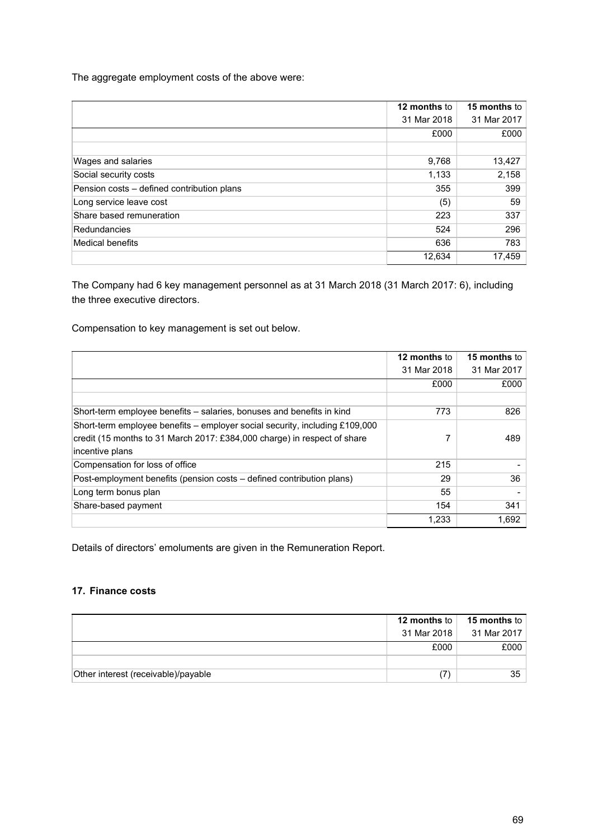The aggregate employment costs of the above were:

|                                            | 12 months to | <b>15 months to</b> |
|--------------------------------------------|--------------|---------------------|
|                                            | 31 Mar 2018  | 31 Mar 2017         |
|                                            | £000         | £000                |
|                                            |              |                     |
| Wages and salaries                         | 9,768        | 13,427              |
| Social security costs                      | 1,133        | 2,158               |
| Pension costs – defined contribution plans | 355          | 399                 |
| Long service leave cost                    | (5)          | 59                  |
| Share based remuneration                   | 223          | 337                 |
| Redundancies                               | 524          | 296                 |
| Medical benefits                           | 636          | 783                 |
|                                            | 12.634       | 17,459              |

The Company had 6 key management personnel as at 31 March 2018 (31 March 2017: 6), including the three executive directors.

Compensation to key management is set out below.

|                                                                             | 12 months to | 15 months to |
|-----------------------------------------------------------------------------|--------------|--------------|
|                                                                             | 31 Mar 2018  | 31 Mar 2017  |
|                                                                             | £000         | £000         |
|                                                                             |              |              |
| Short-term employee benefits – salaries, bonuses and benefits in kind       | 773          | 826          |
| Short-term employee benefits – employer social security, including £109,000 |              |              |
| credit (15 months to 31 March 2017: £384,000 charge) in respect of share    |              | 489          |
| incentive plans                                                             |              |              |
| Compensation for loss of office                                             | 215          |              |
| Post-employment benefits (pension costs – defined contribution plans)       | 29           | 36           |
| Long term bonus plan                                                        | 55           |              |
| Share-based payment                                                         | 154          | 341          |
|                                                                             | 1,233        | 1,692        |

Details of directors' emoluments are given in the Remuneration Report.

### **17. Finance costs**

|                                     | 12 months to | 15 months to |
|-------------------------------------|--------------|--------------|
|                                     | 31 Mar 2018  | 31 Mar 2017  |
|                                     | £000         | £000         |
|                                     |              |              |
| Other interest (receivable)/payable |              | 35           |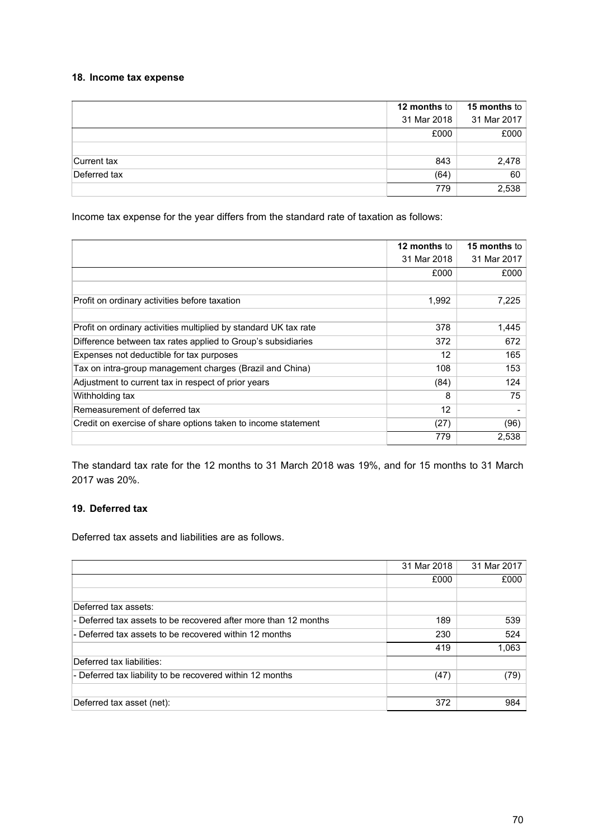### **18. Income tax expense**

|              | 12 months to | 15 months to |
|--------------|--------------|--------------|
|              | 31 Mar 2018  | 31 Mar 2017  |
|              | £000         | £000         |
|              |              |              |
| Current tax  | 843          | 2,478        |
| Deferred tax | (64)         | 60           |
|              | 779          | 2,538        |

Income tax expense for the year differs from the standard rate of taxation as follows:

|                                                                  | <b>12 months to</b> | <b>15 months</b> to |
|------------------------------------------------------------------|---------------------|---------------------|
|                                                                  | 31 Mar 2018         | 31 Mar 2017         |
|                                                                  | £000                | £000                |
|                                                                  |                     |                     |
| Profit on ordinary activities before taxation                    | 1,992               | 7,225               |
|                                                                  |                     |                     |
| Profit on ordinary activities multiplied by standard UK tax rate | 378                 | 1,445               |
| Difference between tax rates applied to Group's subsidiaries     | 372                 | 672                 |
| Expenses not deductible for tax purposes                         | 12                  | 165                 |
| Tax on intra-group management charges (Brazil and China)         | 108                 | 153                 |
| Adjustment to current tax in respect of prior years              | (84)                | 124                 |
| Withholding tax                                                  | 8                   | 75                  |
| Remeasurement of deferred tax                                    | 12                  |                     |
| Credit on exercise of share options taken to income statement    | (27)                | (96)                |
|                                                                  | 779                 | 2,538               |

The standard tax rate for the 12 months to 31 March 2018 was 19%, and for 15 months to 31 March 2017 was 20%.

# **19. Deferred tax**

Deferred tax assets and liabilities are as follows.

|                                                                 | 31 Mar 2018 | 31 Mar 2017 |
|-----------------------------------------------------------------|-------------|-------------|
|                                                                 | £000        | £000        |
|                                                                 |             |             |
| Deferred tax assets:                                            |             |             |
| - Deferred tax assets to be recovered after more than 12 months | 189         | 539         |
| - Deferred tax assets to be recovered within 12 months          | 230         | 524         |
|                                                                 | 419         | 1,063       |
| Deferred tax liabilities:                                       |             |             |
| - Deferred tax liability to be recovered within 12 months       | (47)        | (79)        |
|                                                                 |             |             |
| Deferred tax asset (net):                                       | 372         | 984         |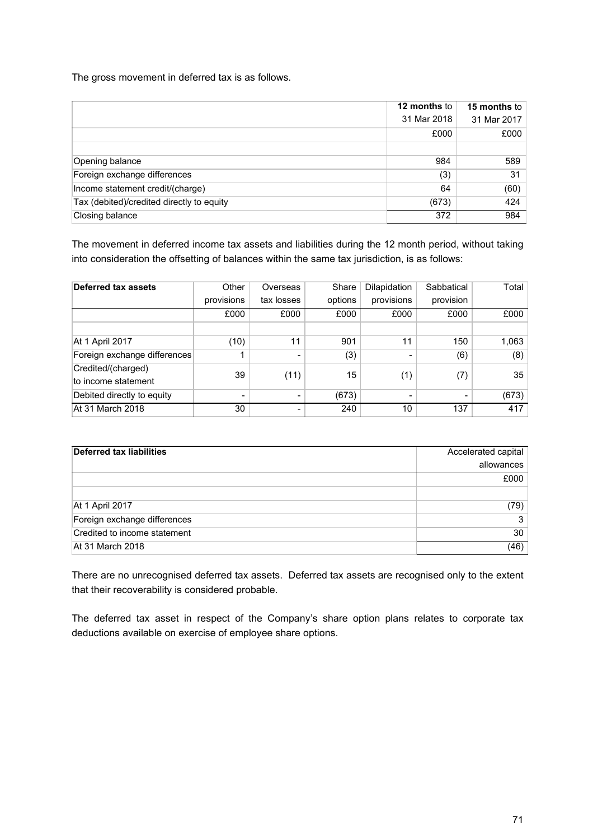The gross movement in deferred tax is as follows.

|                                           | <b>12 months to</b> | 15 months to |
|-------------------------------------------|---------------------|--------------|
|                                           | 31 Mar 2018         | 31 Mar 2017  |
|                                           | £000                | £000         |
|                                           |                     |              |
| Opening balance                           | 984                 | 589          |
| Foreign exchange differences              | (3)                 | 31           |
| Income statement credit/(charge)          | 64                  | (60)         |
| Tax (debited)/credited directly to equity | (673)               | 424          |
| Closing balance                           | 372                 | 984          |

The movement in deferred income tax assets and liabilities during the 12 month period, without taking into consideration the offsetting of balances within the same tax jurisdiction, is as follows:

| <b>Deferred tax assets</b>                | Other      | Overseas       | Share   | Dilapidation | Sabbatical     | Total |
|-------------------------------------------|------------|----------------|---------|--------------|----------------|-------|
|                                           | provisions | tax losses     | options | provisions   | provision      |       |
|                                           | £000       | £000           | £000    | £000         | £000           | £000  |
|                                           |            |                |         |              |                |       |
| At 1 April 2017                           | (10)       | 11             | 901     | 11           | 150            | 1,063 |
| Foreign exchange differences              | 1          | $\blacksquare$ | (3)     |              | (6)            | (8)   |
| Credited/(charged)<br>to income statement | 39         | (11)           | 15      | (1)          | (7)            | 35    |
| Debited directly to equity                | -          | $\blacksquare$ | (673)   | -            | $\overline{ }$ | (673) |
| At 31 March 2018                          | 30         |                | 240     | 10           | 137            | 417   |

| Deferred tax liabilities     | Accelerated capital |
|------------------------------|---------------------|
|                              | allowances          |
|                              | £000                |
|                              |                     |
| At 1 April 2017              | (79)                |
| Foreign exchange differences | 3                   |
| Credited to income statement | 30                  |
| At 31 March 2018             | (46)                |

There are no unrecognised deferred tax assets. Deferred tax assets are recognised only to the extent that their recoverability is considered probable.

The deferred tax asset in respect of the Company's share option plans relates to corporate tax deductions available on exercise of employee share options.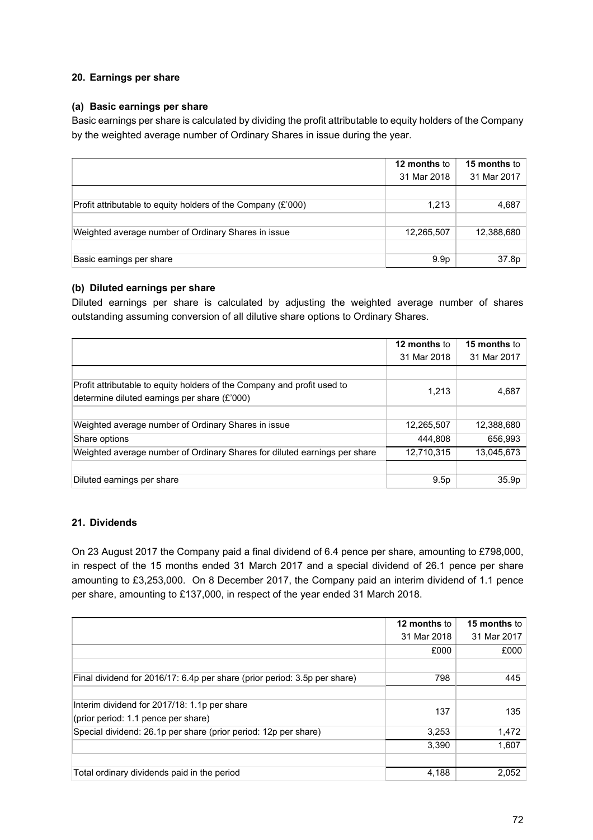### **20. Earnings per share**

### **(a) Basic earnings per share**

Basic earnings per share is calculated by dividing the profit attributable to equity holders of the Company by the weighted average number of Ordinary Shares in issue during the year.

|                                                              | 12 months to     | 15 months to |
|--------------------------------------------------------------|------------------|--------------|
|                                                              | 31 Mar 2018      | 31 Mar 2017  |
|                                                              |                  |              |
| Profit attributable to equity holders of the Company (£'000) | 1,213            | 4,687        |
|                                                              |                  |              |
| Weighted average number of Ordinary Shares in issue          | 12,265,507       | 12,388,680   |
|                                                              |                  |              |
| Basic earnings per share                                     | 9.9 <sub>p</sub> | 37.8p        |

### **(b) Diluted earnings per share**

Diluted earnings per share is calculated by adjusting the weighted average number of shares outstanding assuming conversion of all dilutive share options to Ordinary Shares.

|                                                                                                                         | 12 months to | <b>15 months to</b> |
|-------------------------------------------------------------------------------------------------------------------------|--------------|---------------------|
|                                                                                                                         | 31 Mar 2018  | 31 Mar 2017         |
|                                                                                                                         |              |                     |
| Profit attributable to equity holders of the Company and profit used to<br>determine diluted earnings per share (£'000) | 1,213        | 4,687               |
|                                                                                                                         |              |                     |
| Weighted average number of Ordinary Shares in issue                                                                     | 12,265,507   | 12,388,680          |
| Share options                                                                                                           | 444.808      | 656,993             |
| Weighted average number of Ordinary Shares for diluted earnings per share                                               | 12,710,315   | 13,045,673          |
|                                                                                                                         |              |                     |
| Diluted earnings per share                                                                                              | 9.5p         | 35.9p               |

### **21. Dividends**

On 23 August 2017 the Company paid a final dividend of 6.4 pence per share, amounting to £798,000, in respect of the 15 months ended 31 March 2017 and a special dividend of 26.1 pence per share amounting to £3,253,000. On 8 December 2017, the Company paid an interim dividend of 1.1 pence per share, amounting to £137,000, in respect of the year ended 31 March 2018.

|                                                                           | 12 months to | 15 months to |
|---------------------------------------------------------------------------|--------------|--------------|
|                                                                           | 31 Mar 2018  | 31 Mar 2017  |
|                                                                           | £000         | £000         |
|                                                                           |              |              |
| Final dividend for 2016/17: 6.4p per share (prior period: 3.5p per share) | 798          | 445          |
|                                                                           |              |              |
| Interim dividend for 2017/18: 1.1p per share                              | 137          | 135          |
| (prior period: 1.1 pence per share)                                       |              |              |
| Special dividend: 26.1p per share (prior period: 12p per share)           | 3,253        | 1,472        |
|                                                                           | 3,390        | 1,607        |
|                                                                           |              |              |
| Total ordinary dividends paid in the period                               | 4,188        | 2,052        |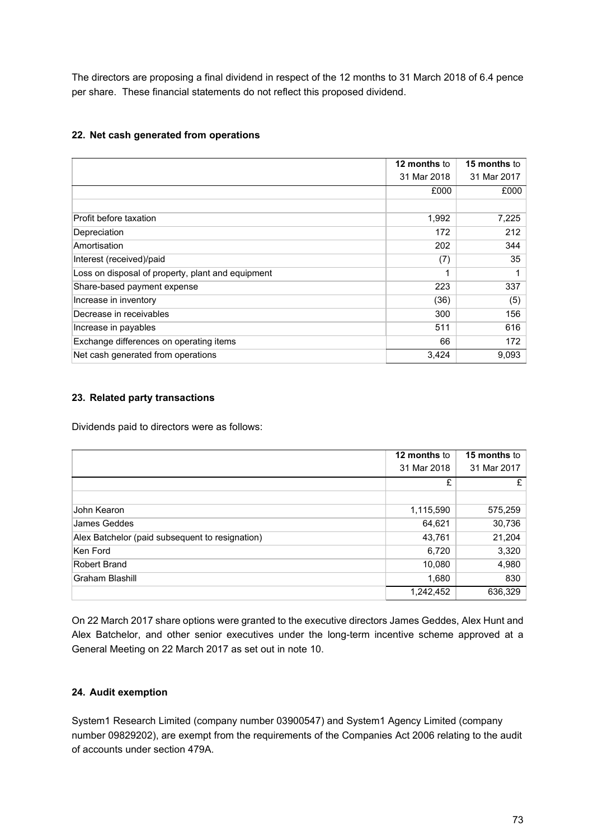The directors are proposing a final dividend in respect of the 12 months to 31 March 2018 of 6.4 pence per share. These financial statements do not reflect this proposed dividend.

# **22. Net cash generated from operations**

|                                                   | 12 months to | 15 months to |
|---------------------------------------------------|--------------|--------------|
|                                                   | 31 Mar 2018  | 31 Mar 2017  |
|                                                   | £000         | £000         |
|                                                   |              |              |
| Profit before taxation                            | 1,992        | 7,225        |
| Depreciation                                      | 172          | 212          |
| Amortisation                                      | 202          | 344          |
| Interest (received)/paid                          | (7)          | 35           |
| Loss on disposal of property, plant and equipment | 1            |              |
| Share-based payment expense                       | 223          | 337          |
| Increase in inventory                             | (36)         | (5)          |
| Decrease in receivables                           | 300          | 156          |
| Increase in payables                              | 511          | 616          |
| Exchange differences on operating items           | 66           | 172          |
| Net cash generated from operations                | 3,424        | 9,093        |

# **23. Related party transactions**

Dividends paid to directors were as follows:

|                                                 | 12 months to | 15 months to |
|-------------------------------------------------|--------------|--------------|
|                                                 | 31 Mar 2018  | 31 Mar 2017  |
|                                                 | £            | £            |
|                                                 |              |              |
| John Kearon                                     | 1,115,590    | 575,259      |
| James Geddes                                    | 64,621       | 30,736       |
| Alex Batchelor (paid subsequent to resignation) | 43,761       | 21,204       |
| Ken Ford                                        | 6,720        | 3,320        |
| Robert Brand                                    | 10,080       | 4,980        |
| Graham Blashill                                 | 1,680        | 830          |
|                                                 | 1,242,452    | 636,329      |

On 22 March 2017 share options were granted to the executive directors James Geddes, Alex Hunt and Alex Batchelor, and other senior executives under the long-term incentive scheme approved at a General Meeting on 22 March 2017 as set out in note 10.

# **24. Audit exemption**

System1 Research Limited (company number 03900547) and System1 Agency Limited (company number 09829202), are exempt from the requirements of the Companies Act 2006 relating to the audit of accounts under section 479A.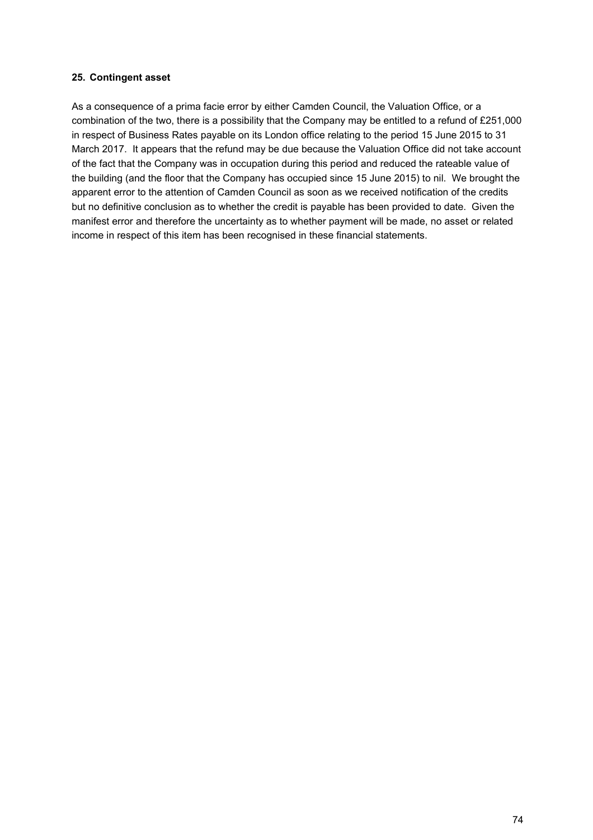## **25. Contingent asset**

As a consequence of a prima facie error by either Camden Council, the Valuation Office, or a combination of the two, there is a possibility that the Company may be entitled to a refund of £251,000 in respect of Business Rates payable on its London office relating to the period 15 June 2015 to 31 March 2017. It appears that the refund may be due because the Valuation Office did not take account of the fact that the Company was in occupation during this period and reduced the rateable value of the building (and the floor that the Company has occupied since 15 June 2015) to nil. We brought the apparent error to the attention of Camden Council as soon as we received notification of the credits but no definitive conclusion as to whether the credit is payable has been provided to date. Given the manifest error and therefore the uncertainty as to whether payment will be made, no asset or related income in respect of this item has been recognised in these financial statements.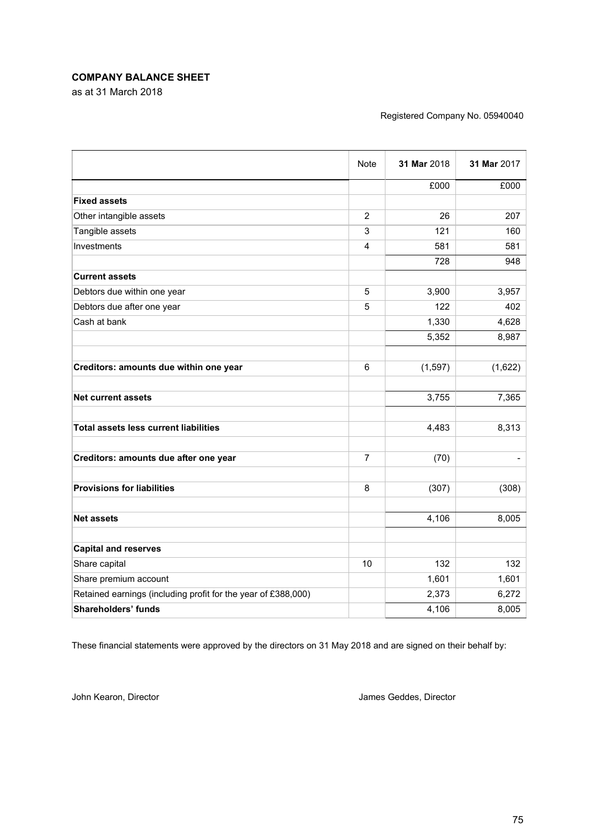# **COMPANY BALANCE SHEET**

as at 31 March 2018

#### Registered Company No. 05940040

|                                                               | <b>Note</b> | 31 Mar 2018 | 31 Mar 2017 |
|---------------------------------------------------------------|-------------|-------------|-------------|
|                                                               |             | £000        | £000        |
| <b>Fixed assets</b>                                           |             |             |             |
| Other intangible assets                                       | 2           | 26          | 207         |
| Tangible assets                                               | 3           | 121         | 160         |
| Investments                                                   | 4           | 581         | 581         |
|                                                               |             | 728         | 948         |
| <b>Current assets</b>                                         |             |             |             |
| Debtors due within one year                                   | 5           | 3,900       | 3,957       |
| Debtors due after one year                                    | 5           | 122         | 402         |
| Cash at bank                                                  |             | 1,330       | 4,628       |
|                                                               |             | 5,352       | 8,987       |
| Creditors: amounts due within one year                        | 6           | (1, 597)    | (1,622)     |
|                                                               |             |             |             |
| <b>Net current assets</b>                                     |             | 3,755       | 7,365       |
| <b>Total assets less current liabilities</b>                  |             | 4,483       | 8,313       |
| Creditors: amounts due after one year                         | 7           | (70)        |             |
| <b>Provisions for liabilities</b>                             | 8           | (307)       | (308)       |
| <b>Net assets</b>                                             |             | 4,106       | 8,005       |
| <b>Capital and reserves</b>                                   |             |             |             |
| Share capital                                                 | 10          | 132         | 132         |
| Share premium account                                         |             | 1,601       | 1,601       |
| Retained earnings (including profit for the year of £388,000) |             | 2,373       | 6,272       |
| <b>Shareholders' funds</b>                                    |             | 4,106       | 8,005       |
|                                                               |             |             |             |

These financial statements were approved by the directors on 31 May 2018 and are signed on their behalf by:

John Kearon, Director **James Geddes, Director** James Geddes, Director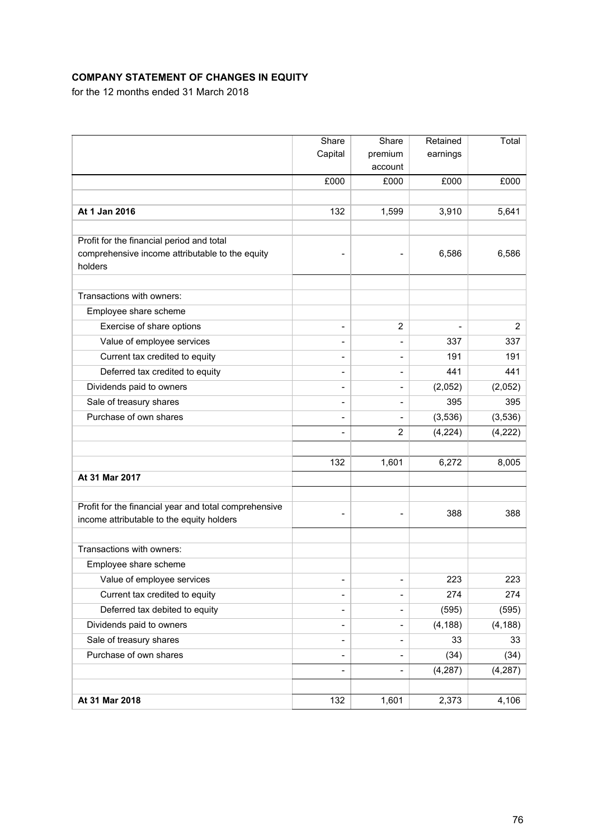# **COMPANY STATEMENT OF CHANGES IN EQUITY**

for the 12 months ended 31 March 2018

|                                                                                                    | Share                        | Share                    | Retained | Total          |
|----------------------------------------------------------------------------------------------------|------------------------------|--------------------------|----------|----------------|
|                                                                                                    | Capital                      | premium                  | earnings |                |
|                                                                                                    |                              | account                  |          |                |
|                                                                                                    | £000                         | £000                     | £000     | £000           |
|                                                                                                    |                              |                          |          |                |
| At 1 Jan 2016                                                                                      | 132                          | 1,599                    | 3,910    | 5,641          |
| Profit for the financial period and total                                                          |                              |                          |          |                |
| comprehensive income attributable to the equity<br>holders                                         |                              |                          | 6,586    | 6,586          |
| Transactions with owners:                                                                          |                              |                          |          |                |
| Employee share scheme                                                                              |                              |                          |          |                |
| Exercise of share options                                                                          |                              | 2                        |          | $\overline{2}$ |
| Value of employee services                                                                         | ۰                            | $\overline{\phantom{a}}$ | 337      | 337            |
| Current tax credited to equity                                                                     | $\qquad \qquad \blacksquare$ | $\overline{\phantom{a}}$ | 191      | 191            |
| Deferred tax credited to equity                                                                    | $\qquad \qquad \blacksquare$ | $\overline{\phantom{a}}$ | 441      | 441            |
| Dividends paid to owners                                                                           | ٠                            | $\overline{\phantom{a}}$ | (2,052)  | (2,052)        |
| Sale of treasury shares                                                                            | ۰                            | $\overline{\phantom{a}}$ | 395      | 395            |
| Purchase of own shares                                                                             | $\overline{a}$               | $\overline{\phantom{a}}$ | (3,536)  | (3,536)        |
|                                                                                                    | $\qquad \qquad \blacksquare$ | 2                        | (4, 224) | (4, 222)       |
|                                                                                                    |                              |                          |          |                |
|                                                                                                    | 132                          | 1,601                    | 6,272    | 8,005          |
| At 31 Mar 2017                                                                                     |                              |                          |          |                |
|                                                                                                    |                              |                          |          |                |
| Profit for the financial year and total comprehensive<br>income attributable to the equity holders |                              |                          | 388      | 388            |
| Transactions with owners:                                                                          |                              |                          |          |                |
| Employee share scheme                                                                              |                              |                          |          |                |
| Value of employee services                                                                         | $\qquad \qquad \blacksquare$ | $\blacksquare$           | 223      | 223            |
| Current tax credited to equity                                                                     | $\overline{\phantom{a}}$     | $\overline{\phantom{a}}$ | 274      | 274            |
| Deferred tax debited to equity                                                                     | $\overline{a}$               | $\blacksquare$           | (595)    | (595)          |
| Dividends paid to owners                                                                           | $\qquad \qquad \blacksquare$ | $\blacksquare$           | (4, 188) | (4, 188)       |
| Sale of treasury shares                                                                            | $\overline{\phantom{a}}$     | $\blacksquare$           | 33       | 33             |
| Purchase of own shares                                                                             | $\overline{\phantom{a}}$     | $\overline{\phantom{a}}$ | (34)     | (34)           |
|                                                                                                    | $\overline{\phantom{a}}$     | $\blacksquare$           | (4, 287) | (4, 287)       |
|                                                                                                    |                              |                          |          |                |
| At 31 Mar 2018                                                                                     | 132                          | 1,601                    | 2,373    | 4,106          |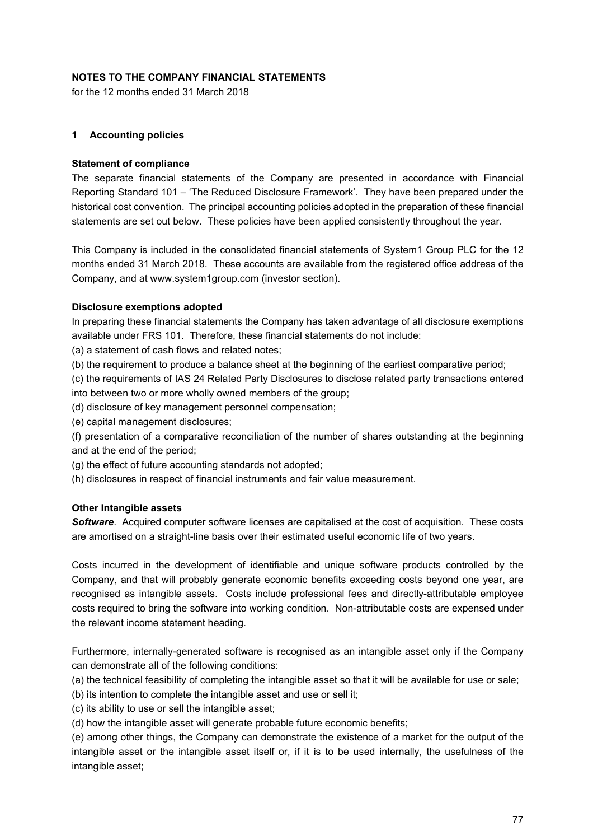# **NOTES TO THE COMPANY FINANCIAL STATEMENTS**

for the 12 months ended 31 March 2018

### **1 Accounting policies**

#### **Statement of compliance**

The separate financial statements of the Company are presented in accordance with Financial Reporting Standard 101 – 'The Reduced Disclosure Framework'. They have been prepared under the historical cost convention. The principal accounting policies adopted in the preparation of these financial statements are set out below. These policies have been applied consistently throughout the year.

This Company is included in the consolidated financial statements of System1 Group PLC for the 12 months ended 31 March 2018. These accounts are available from the registered office address of the Company, and at www.system1group.com (investor section).

#### **Disclosure exemptions adopted**

In preparing these financial statements the Company has taken advantage of all disclosure exemptions available under FRS 101. Therefore, these financial statements do not include:

(a) a statement of cash flows and related notes;

(b) the requirement to produce a balance sheet at the beginning of the earliest comparative period;

(c) the requirements of IAS 24 Related Party Disclosures to disclose related party transactions entered into between two or more wholly owned members of the group;

(d) disclosure of key management personnel compensation;

(e) capital management disclosures;

(f) presentation of a comparative reconciliation of the number of shares outstanding at the beginning and at the end of the period;

(g) the effect of future accounting standards not adopted;

(h) disclosures in respect of financial instruments and fair value measurement.

### **Other Intangible assets**

*Software*. Acquired computer software licenses are capitalised at the cost of acquisition. These costs are amortised on a straight-line basis over their estimated useful economic life of two years.

Costs incurred in the development of identifiable and unique software products controlled by the Company, and that will probably generate economic benefits exceeding costs beyond one year, are recognised as intangible assets. Costs include professional fees and directly-attributable employee costs required to bring the software into working condition. Non-attributable costs are expensed under the relevant income statement heading.

Furthermore, internally-generated software is recognised as an intangible asset only if the Company can demonstrate all of the following conditions:

(a) the technical feasibility of completing the intangible asset so that it will be available for use or sale;

(b) its intention to complete the intangible asset and use or sell it;

(c) its ability to use or sell the intangible asset;

(d) how the intangible asset will generate probable future economic benefits;

(e) among other things, the Company can demonstrate the existence of a market for the output of the intangible asset or the intangible asset itself or, if it is to be used internally, the usefulness of the intangible asset;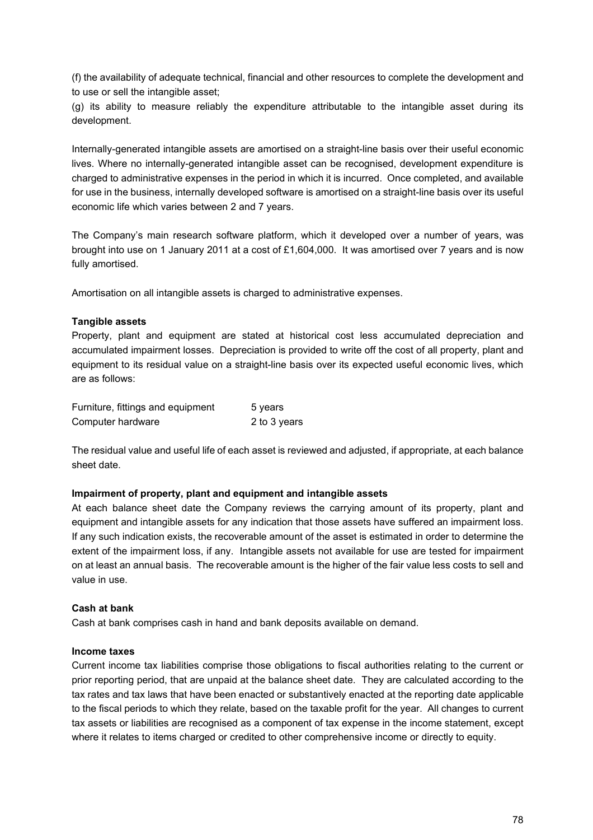(f) the availability of adequate technical, financial and other resources to complete the development and to use or sell the intangible asset;

(g) its ability to measure reliably the expenditure attributable to the intangible asset during its development.

Internally-generated intangible assets are amortised on a straight-line basis over their useful economic lives. Where no internally-generated intangible asset can be recognised, development expenditure is charged to administrative expenses in the period in which it is incurred. Once completed, and available for use in the business, internally developed software is amortised on a straight-line basis over its useful economic life which varies between 2 and 7 years.

The Company's main research software platform, which it developed over a number of years, was brought into use on 1 January 2011 at a cost of £1,604,000. It was amortised over 7 years and is now fully amortised.

Amortisation on all intangible assets is charged to administrative expenses.

### **Tangible assets**

Property, plant and equipment are stated at historical cost less accumulated depreciation and accumulated impairment losses. Depreciation is provided to write off the cost of all property, plant and equipment to its residual value on a straight-line basis over its expected useful economic lives, which are as follows:

| Furniture, fittings and equipment | 5 years      |
|-----------------------------------|--------------|
| Computer hardware                 | 2 to 3 years |

The residual value and useful life of each asset is reviewed and adjusted, if appropriate, at each balance sheet date.

### **Impairment of property, plant and equipment and intangible assets**

At each balance sheet date the Company reviews the carrying amount of its property, plant and equipment and intangible assets for any indication that those assets have suffered an impairment loss. If any such indication exists, the recoverable amount of the asset is estimated in order to determine the extent of the impairment loss, if any. Intangible assets not available for use are tested for impairment on at least an annual basis. The recoverable amount is the higher of the fair value less costs to sell and value in use.

### **Cash at bank**

Cash at bank comprises cash in hand and bank deposits available on demand.

### **Income taxes**

Current income tax liabilities comprise those obligations to fiscal authorities relating to the current or prior reporting period, that are unpaid at the balance sheet date. They are calculated according to the tax rates and tax laws that have been enacted or substantively enacted at the reporting date applicable to the fiscal periods to which they relate, based on the taxable profit for the year. All changes to current tax assets or liabilities are recognised as a component of tax expense in the income statement, except where it relates to items charged or credited to other comprehensive income or directly to equity.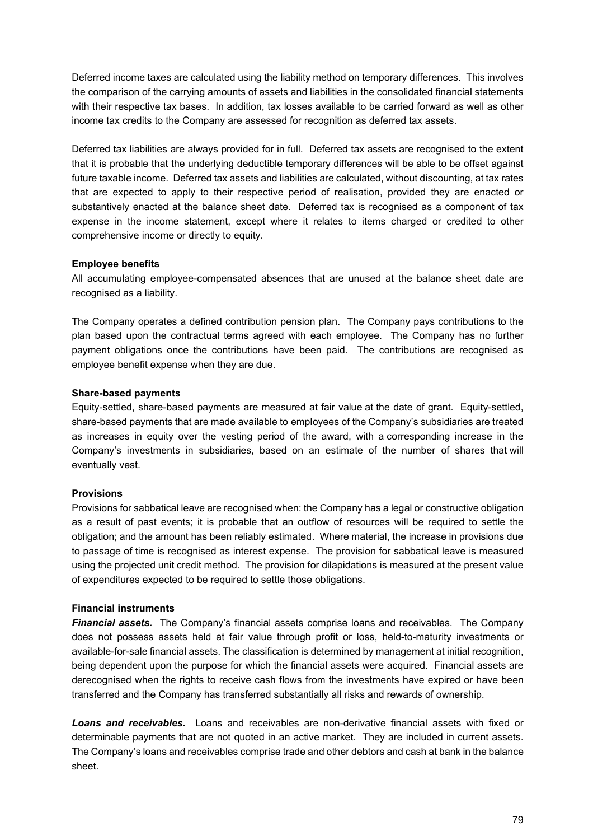Deferred income taxes are calculated using the liability method on temporary differences. This involves the comparison of the carrying amounts of assets and liabilities in the consolidated financial statements with their respective tax bases. In addition, tax losses available to be carried forward as well as other income tax credits to the Company are assessed for recognition as deferred tax assets.

Deferred tax liabilities are always provided for in full. Deferred tax assets are recognised to the extent that it is probable that the underlying deductible temporary differences will be able to be offset against future taxable income. Deferred tax assets and liabilities are calculated, without discounting, at tax rates that are expected to apply to their respective period of realisation, provided they are enacted or substantively enacted at the balance sheet date. Deferred tax is recognised as a component of tax expense in the income statement, except where it relates to items charged or credited to other comprehensive income or directly to equity.

# **Employee benefits**

All accumulating employee-compensated absences that are unused at the balance sheet date are recognised as a liability.

The Company operates a defined contribution pension plan. The Company pays contributions to the plan based upon the contractual terms agreed with each employee. The Company has no further payment obligations once the contributions have been paid. The contributions are recognised as employee benefit expense when they are due.

# **Share-based payments**

Equity-settled, share-based payments are measured at fair value at the date of grant. Equity-settled, share-based payments that are made available to employees of the Company's subsidiaries are treated as increases in equity over the vesting period of the award, with a corresponding increase in the Company's investments in subsidiaries, based on an estimate of the number of shares that will eventually vest.

# **Provisions**

Provisions for sabbatical leave are recognised when: the Company has a legal or constructive obligation as a result of past events; it is probable that an outflow of resources will be required to settle the obligation; and the amount has been reliably estimated. Where material, the increase in provisions due to passage of time is recognised as interest expense. The provision for sabbatical leave is measured using the projected unit credit method. The provision for dilapidations is measured at the present value of expenditures expected to be required to settle those obligations.

# **Financial instruments**

*Financial assets.* The Company's financial assets comprise loans and receivables. The Company does not possess assets held at fair value through profit or loss, held-to-maturity investments or available-for-sale financial assets. The classification is determined by management at initial recognition, being dependent upon the purpose for which the financial assets were acquired. Financial assets are derecognised when the rights to receive cash flows from the investments have expired or have been transferred and the Company has transferred substantially all risks and rewards of ownership.

*Loans and receivables.* Loans and receivables are non-derivative financial assets with fixed or determinable payments that are not quoted in an active market. They are included in current assets. The Company's loans and receivables comprise trade and other debtors and cash at bank in the balance sheet.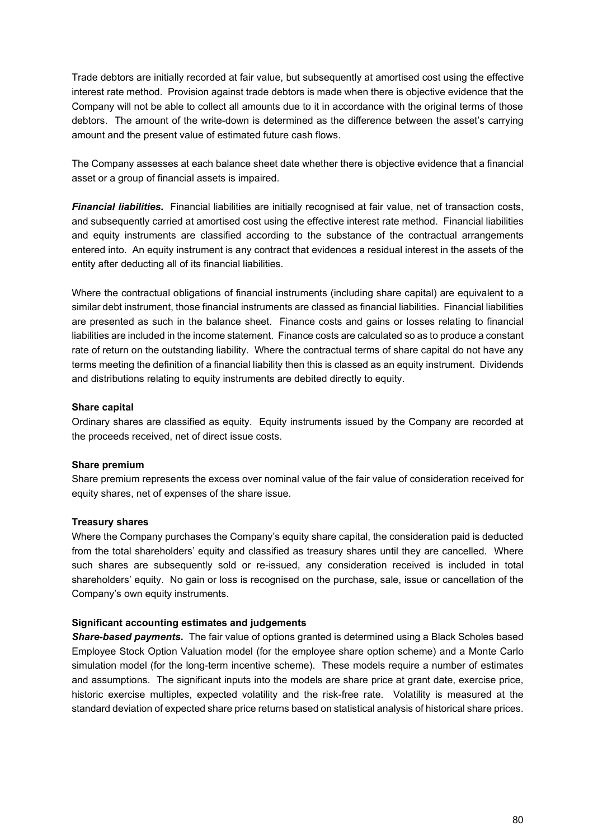Trade debtors are initially recorded at fair value, but subsequently at amortised cost using the effective interest rate method. Provision against trade debtors is made when there is objective evidence that the Company will not be able to collect all amounts due to it in accordance with the original terms of those debtors. The amount of the write-down is determined as the difference between the asset's carrying amount and the present value of estimated future cash flows.

The Company assesses at each balance sheet date whether there is objective evidence that a financial asset or a group of financial assets is impaired.

*Financial liabilities.* Financial liabilities are initially recognised at fair value, net of transaction costs, and subsequently carried at amortised cost using the effective interest rate method. Financial liabilities and equity instruments are classified according to the substance of the contractual arrangements entered into. An equity instrument is any contract that evidences a residual interest in the assets of the entity after deducting all of its financial liabilities.

Where the contractual obligations of financial instruments (including share capital) are equivalent to a similar debt instrument, those financial instruments are classed as financial liabilities. Financial liabilities are presented as such in the balance sheet. Finance costs and gains or losses relating to financial liabilities are included in the income statement. Finance costs are calculated so as to produce a constant rate of return on the outstanding liability. Where the contractual terms of share capital do not have any terms meeting the definition of a financial liability then this is classed as an equity instrument. Dividends and distributions relating to equity instruments are debited directly to equity.

#### **Share capital**

Ordinary shares are classified as equity. Equity instruments issued by the Company are recorded at the proceeds received, net of direct issue costs.

### **Share premium**

Share premium represents the excess over nominal value of the fair value of consideration received for equity shares, net of expenses of the share issue.

#### **Treasury shares**

Where the Company purchases the Company's equity share capital, the consideration paid is deducted from the total shareholders' equity and classified as treasury shares until they are cancelled. Where such shares are subsequently sold or re-issued, any consideration received is included in total shareholders' equity. No gain or loss is recognised on the purchase, sale, issue or cancellation of the Company's own equity instruments.

#### **Significant accounting estimates and judgements**

*Share-based payments.* The fair value of options granted is determined using a Black Scholes based Employee Stock Option Valuation model (for the employee share option scheme) and a Monte Carlo simulation model (for the long-term incentive scheme). These models require a number of estimates and assumptions. The significant inputs into the models are share price at grant date, exercise price, historic exercise multiples, expected volatility and the risk-free rate. Volatility is measured at the standard deviation of expected share price returns based on statistical analysis of historical share prices.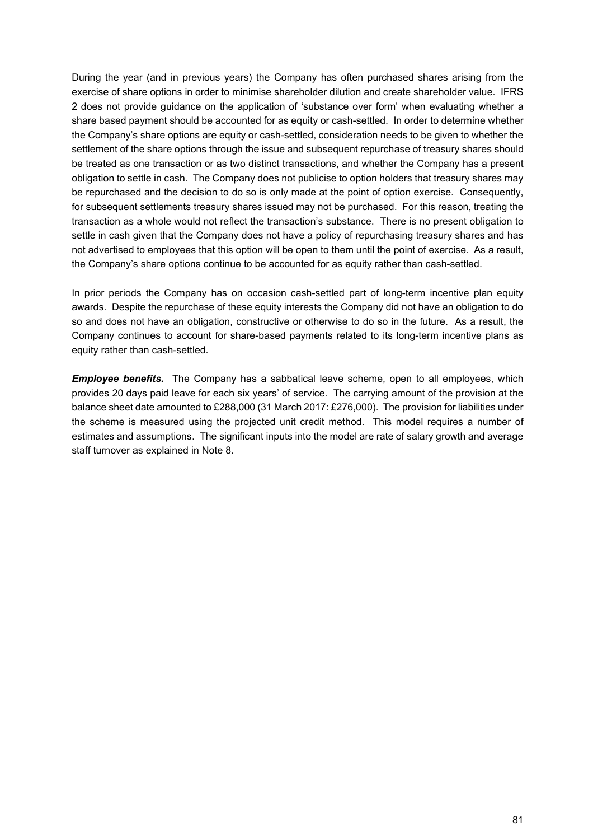During the year (and in previous years) the Company has often purchased shares arising from the exercise of share options in order to minimise shareholder dilution and create shareholder value. IFRS 2 does not provide guidance on the application of 'substance over form' when evaluating whether a share based payment should be accounted for as equity or cash-settled. In order to determine whether the Company's share options are equity or cash-settled, consideration needs to be given to whether the settlement of the share options through the issue and subsequent repurchase of treasury shares should be treated as one transaction or as two distinct transactions, and whether the Company has a present obligation to settle in cash. The Company does not publicise to option holders that treasury shares may be repurchased and the decision to do so is only made at the point of option exercise. Consequently, for subsequent settlements treasury shares issued may not be purchased. For this reason, treating the transaction as a whole would not reflect the transaction's substance. There is no present obligation to settle in cash given that the Company does not have a policy of repurchasing treasury shares and has not advertised to employees that this option will be open to them until the point of exercise. As a result, the Company's share options continue to be accounted for as equity rather than cash-settled.

In prior periods the Company has on occasion cash-settled part of long-term incentive plan equity awards. Despite the repurchase of these equity interests the Company did not have an obligation to do so and does not have an obligation, constructive or otherwise to do so in the future. As a result, the Company continues to account for share-based payments related to its long-term incentive plans as equity rather than cash-settled.

*Employee benefits.* The Company has a sabbatical leave scheme, open to all employees, which provides 20 days paid leave for each six years' of service. The carrying amount of the provision at the balance sheet date amounted to £288,000 (31 March 2017: £276,000). The provision for liabilities under the scheme is measured using the projected unit credit method. This model requires a number of estimates and assumptions. The significant inputs into the model are rate of salary growth and average staff turnover as explained in Note 8.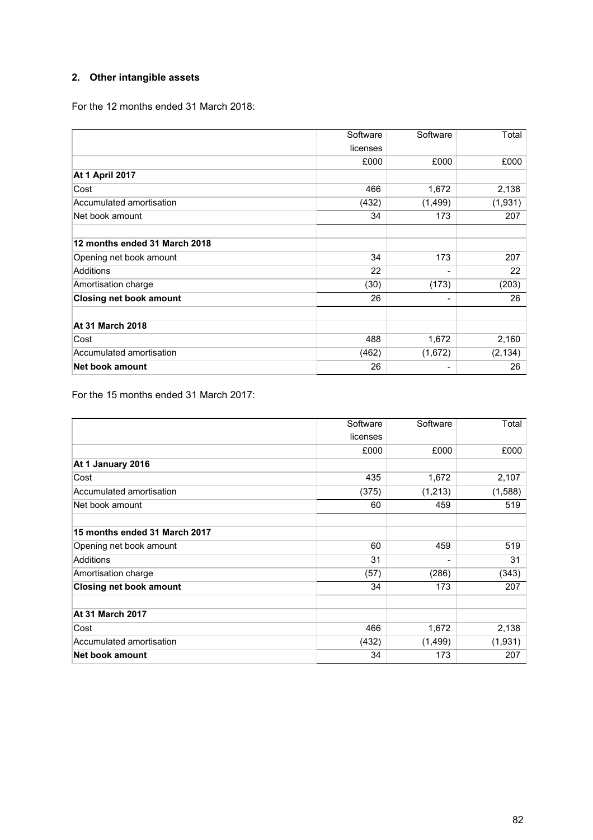# **2. Other intangible assets**

For the 12 months ended 31 March 2018:

|                                | Software | Software                 | Total    |
|--------------------------------|----------|--------------------------|----------|
|                                | licenses |                          |          |
|                                | £000     | £000                     | £000     |
| <b>At 1 April 2017</b>         |          |                          |          |
| Cost                           | 466      | 1,672                    | 2,138    |
| Accumulated amortisation       | (432)    | (1,499)                  | (1,931)  |
| Net book amount                | 34       | 173                      | 207      |
| 12 months ended 31 March 2018  |          |                          |          |
| Opening net book amount        | 34       | 173                      | 207      |
| Additions                      | 22       |                          | 22       |
| Amortisation charge            | (30)     | (173)                    | (203)    |
| <b>Closing net book amount</b> | 26       | $\overline{\phantom{0}}$ | 26       |
| <b>At 31 March 2018</b>        |          |                          |          |
| Cost                           | 488      | 1,672                    | 2,160    |
| Accumulated amortisation       | (462)    | (1,672)                  | (2, 134) |
| Net book amount                | 26       | -                        | 26       |

For the 15 months ended 31 March 2017:

|                                | Software | Software | Total   |
|--------------------------------|----------|----------|---------|
|                                | licenses |          |         |
|                                | £000     | £000     | £000    |
| At 1 January 2016              |          |          |         |
| Cost                           | 435      | 1,672    | 2,107   |
| Accumulated amortisation       | (375)    | (1,213)  | (1,588) |
| Net book amount                | 60       | 459      | 519     |
| 15 months ended 31 March 2017  |          |          |         |
| Opening net book amount        | 60       | 459      | 519     |
| Additions                      | 31       | -        | 31      |
| Amortisation charge            | (57)     | (286)    | (343)   |
| <b>Closing net book amount</b> | 34       | 173      | 207     |
| <b>At 31 March 2017</b>        |          |          |         |
| Cost                           | 466      | 1,672    | 2,138   |
| Accumulated amortisation       | (432)    | (1, 499) | (1,931) |
| <b>Net book amount</b>         | 34       | 173      | 207     |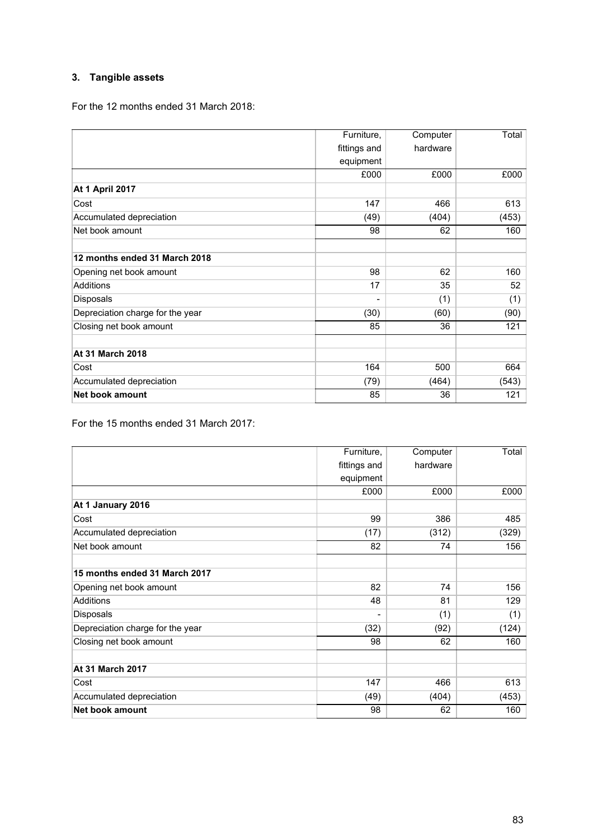# **3. Tangible assets**

For the 12 months ended 31 March 2018:

|                                  | Furniture,   | Computer | Total |
|----------------------------------|--------------|----------|-------|
|                                  | fittings and | hardware |       |
|                                  | equipment    |          |       |
|                                  | £000         | £000     | £000  |
| <b>At 1 April 2017</b>           |              |          |       |
| Cost                             | 147          | 466      | 613   |
| Accumulated depreciation         | (49)         | (404)    | (453) |
| Net book amount                  | 98           | 62       | 160   |
| 12 months ended 31 March 2018    |              |          |       |
| Opening net book amount          | 98           | 62       | 160   |
| Additions                        | 17           | 35       | 52    |
| Disposals                        | -            | (1)      | (1)   |
| Depreciation charge for the year | (30)         | (60)     | (90)  |
| Closing net book amount          | 85           | 36       | 121   |
| <b>At 31 March 2018</b>          |              |          |       |
| Cost                             | 164          | 500      | 664   |
| Accumulated depreciation         | (79)         | (464)    | (543) |
| <b>Net book amount</b>           | 85           | 36       | 121   |

For the 15 months ended 31 March 2017:

|                                  | Furniture,   | Computer | Total |
|----------------------------------|--------------|----------|-------|
|                                  | fittings and | hardware |       |
|                                  | equipment    |          |       |
|                                  | £000         | £000     | £000  |
| At 1 January 2016                |              |          |       |
| Cost                             | 99           | 386      | 485   |
| Accumulated depreciation         | (17)         | (312)    | (329) |
| Net book amount                  | 82           | 74       | 156   |
| 15 months ended 31 March 2017    |              |          |       |
| Opening net book amount          | 82           | 74       | 156   |
| <b>Additions</b>                 | 48           | 81       | 129   |
| Disposals                        | ۰            | (1)      | (1)   |
| Depreciation charge for the year | (32)         | (92)     | (124) |
| Closing net book amount          | 98           | 62       | 160   |
| <b>At 31 March 2017</b>          |              |          |       |
| Cost                             | 147          | 466      | 613   |
| Accumulated depreciation         | (49)         | (404)    | (453) |
| <b>Net book amount</b>           | 98           | 62       | 160   |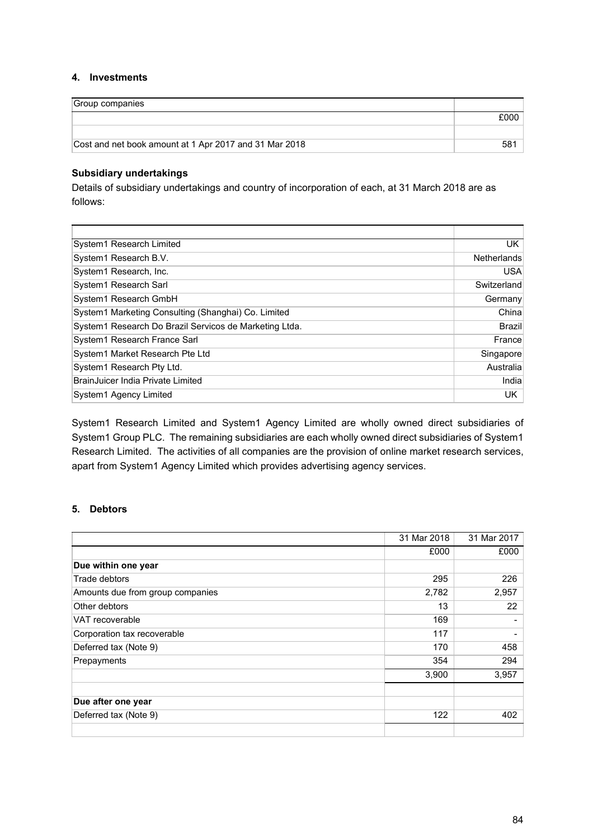### **4. Investments**

| Group companies                                        |      |
|--------------------------------------------------------|------|
|                                                        | £000 |
|                                                        |      |
| Cost and net book amount at 1 Apr 2017 and 31 Mar 2018 | 581  |

#### **Subsidiary undertakings**

Details of subsidiary undertakings and country of incorporation of each, at 31 March 2018 are as follows:

| System1 Research Limited                               | UK.                |
|--------------------------------------------------------|--------------------|
| System1 Research B.V.                                  | <b>Netherlands</b> |
| System1 Research, Inc.                                 | <b>USA</b>         |
| System1 Research Sarl                                  | Switzerland        |
| System1 Research GmbH                                  | Germany            |
| System1 Marketing Consulting (Shanghai) Co. Limited    | Chinal             |
| System1 Research Do Brazil Servicos de Marketing Ltda. | <b>Brazil</b>      |
| System1 Research France Sarl                           | France             |
| System1 Market Research Pte Ltd                        | Singapore          |
| System1 Research Pty Ltd.                              | Australia          |
| BrainJuicer India Private Limited                      | Indial             |
| System1 Agency Limited                                 | UK.                |

System1 Research Limited and System1 Agency Limited are wholly owned direct subsidiaries of System1 Group PLC. The remaining subsidiaries are each wholly owned direct subsidiaries of System1 Research Limited. The activities of all companies are the provision of online market research services, apart from System1 Agency Limited which provides advertising agency services.

# **5. Debtors**

|                                  | 31 Mar 2018 | 31 Mar 2017 |
|----------------------------------|-------------|-------------|
|                                  | £000        | £000        |
| Due within one year              |             |             |
| Trade debtors                    | 295         | 226         |
| Amounts due from group companies | 2,782       | 2,957       |
| Other debtors                    | 13          | 22          |
| VAT recoverable                  | 169         |             |
| Corporation tax recoverable      | 117         |             |
| Deferred tax (Note 9)            | 170         | 458         |
| Prepayments                      | 354         | 294         |
|                                  | 3,900       | 3,957       |
| Due after one year               |             |             |
| Deferred tax (Note 9)            | 122         | 402         |
|                                  |             |             |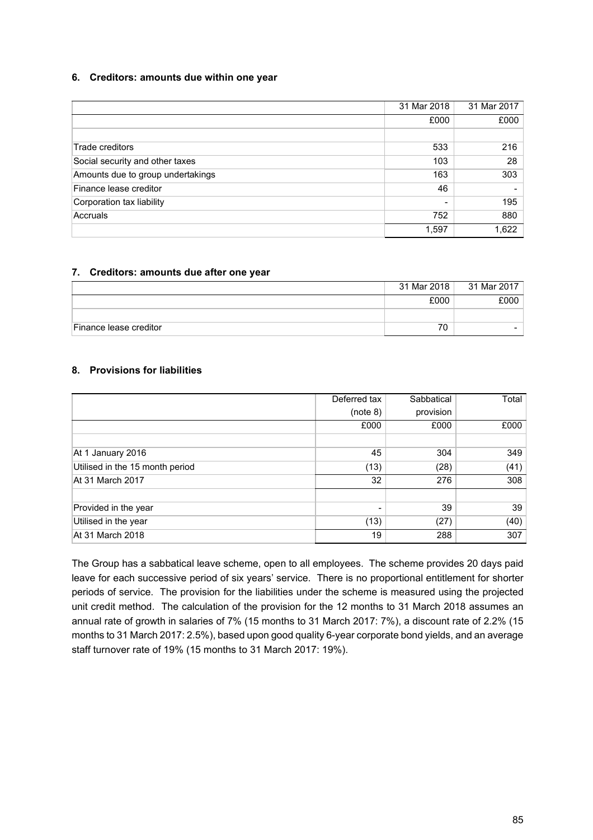### **6. Creditors: amounts due within one year**

|                                   | 31 Mar 2018 | 31 Mar 2017 |
|-----------------------------------|-------------|-------------|
|                                   | £000        | £000        |
|                                   |             |             |
| Trade creditors                   | 533         | 216         |
| Social security and other taxes   | 103         | 28          |
| Amounts due to group undertakings | 163         | 303         |
| Finance lease creditor            | 46          |             |
| Corporation tax liability         |             | 195         |
| Accruals                          | 752         | 880         |
|                                   | 1,597       | 1,622       |

### **7. Creditors: amounts due after one year**

|                        | 31 Mar 2018 | 31 Mar 2017 |
|------------------------|-------------|-------------|
|                        | £000        | £000        |
|                        |             |             |
| Finance lease creditor | 70          |             |

# **8. Provisions for liabilities**

|                                 | Deferred tax   | Sabbatical | Total |
|---------------------------------|----------------|------------|-------|
|                                 | (note 8)       | provision  |       |
|                                 | £000           | £000       | £000  |
|                                 |                |            |       |
| At 1 January 2016               | 45             | 304        | 349   |
| Utilised in the 15 month period | (13)           | (28)       | (41)  |
| At 31 March 2017                | 32             | 276        | 308   |
|                                 |                |            |       |
| Provided in the year            | $\blacksquare$ | 39         | 39    |
| Utilised in the year            | (13)           | (27)       | (40)  |
| At 31 March 2018                | 19             | 288        | 307   |

The Group has a sabbatical leave scheme, open to all employees. The scheme provides 20 days paid leave for each successive period of six years' service. There is no proportional entitlement for shorter periods of service. The provision for the liabilities under the scheme is measured using the projected unit credit method. The calculation of the provision for the 12 months to 31 March 2018 assumes an annual rate of growth in salaries of 7% (15 months to 31 March 2017: 7%), a discount rate of 2.2% (15 months to 31 March 2017: 2.5%), based upon good quality 6-year corporate bond yields, and an average staff turnover rate of 19% (15 months to 31 March 2017: 19%).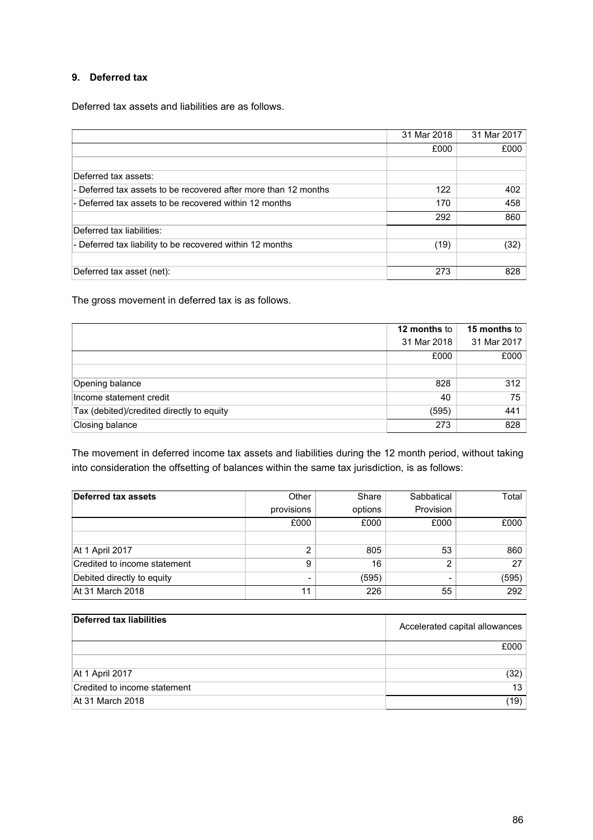# **9. Deferred tax**

Deferred tax assets and liabilities are as follows.

|                                                                 | 31 Mar 2018 | 31 Mar 2017 |
|-----------------------------------------------------------------|-------------|-------------|
|                                                                 | £000        | £000        |
|                                                                 |             |             |
| Deferred tax assets:                                            |             |             |
| - Deferred tax assets to be recovered after more than 12 months | 122         | 402         |
| - Deferred tax assets to be recovered within 12 months          | 170         | 458         |
|                                                                 | 292         | 860         |
| Deferred tax liabilities:                                       |             |             |
| - Deferred tax liability to be recovered within 12 months       | (19)        | (32)        |
|                                                                 |             |             |
| Deferred tax asset (net):                                       | 273         | 828         |

The gross movement in deferred tax is as follows.

|                                           | 12 months to | <b>15 months to</b> |
|-------------------------------------------|--------------|---------------------|
|                                           | 31 Mar 2018  | 31 Mar 2017         |
|                                           | £000         | £000                |
|                                           |              |                     |
| Opening balance                           | 828          | 312                 |
| Income statement credit                   | 40           | 75                  |
| Tax (debited)/credited directly to equity | (595)        | 441                 |
| Closing balance                           | 273          | 828                 |

The movement in deferred income tax assets and liabilities during the 12 month period, without taking into consideration the offsetting of balances within the same tax jurisdiction, is as follows:

| Deferred tax assets          | Other          | Share   | Sabbatical     | Total |
|------------------------------|----------------|---------|----------------|-------|
|                              | provisions     | options | Provision      |       |
|                              | £000           | £000    | £000           | £000  |
|                              |                |         |                |       |
| At 1 April 2017              | ົ              | 805     | 53             | 860   |
| Credited to income statement | 9              | 16      | 2              | 27    |
| Debited directly to equity   | $\blacksquare$ | (595)   | $\overline{ }$ | (595) |
| At 31 March 2018             | 11             | 226     | 55             | 292   |

| Deferred tax liabilities     | Accelerated capital allowances |
|------------------------------|--------------------------------|
|                              | £000                           |
|                              |                                |
| At 1 April 2017              | (32)                           |
| Credited to income statement | 13 <sup>13</sup>               |
| At 31 March 2018             | (19)                           |